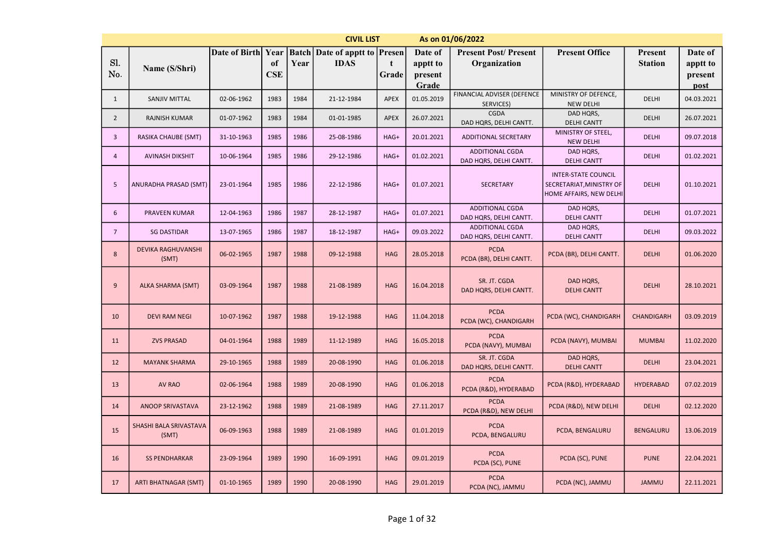|                | <b>CIVIL LIST</b><br>As on 01/06/2022<br><b>Batch</b> Date of apptt to <b>Presen</b> |                    |            |      |             |            |                  |                                                  |                                                                                   |                  |                 |  |  |
|----------------|--------------------------------------------------------------------------------------|--------------------|------------|------|-------------|------------|------------------|--------------------------------------------------|-----------------------------------------------------------------------------------|------------------|-----------------|--|--|
|                |                                                                                      | Date of Birth Year |            |      |             |            | Date of          | <b>Present Post/Present</b>                      | <b>Present Office</b>                                                             | Present          | Date of         |  |  |
| Sl.            | Name (S/Shri)                                                                        |                    | of         | Year | <b>IDAS</b> | t          | apptt to         | Organization                                     |                                                                                   | <b>Station</b>   | apptt to        |  |  |
| No.            |                                                                                      |                    | <b>CSE</b> |      |             | Grade      | present<br>Grade |                                                  |                                                                                   |                  | present<br>post |  |  |
| $\mathbf{1}$   | <b>SANJIV MITTAL</b>                                                                 | 02-06-1962         | 1983       | 1984 | 21-12-1984  | APEX       | 01.05.2019       | FINANCIAL ADVISER (DEFENCE<br>SERVICES)          | MINISTRY OF DEFENCE,<br><b>NEW DELHI</b>                                          | <b>DELHI</b>     | 04.03.2021      |  |  |
| $\overline{2}$ | <b>RAJNISH KUMAR</b>                                                                 | 01-07-1962         | 1983       | 1984 | 01-01-1985  | APEX       | 26.07.2021       | <b>CGDA</b><br>DAD HQRS, DELHI CANTT.            | DAD HQRS,<br><b>DELHI CANTT</b>                                                   | <b>DELHI</b>     | 26.07.2021      |  |  |
| $\overline{3}$ | RASIKA CHAUBE (SMT)                                                                  | 31-10-1963         | 1985       | 1986 | 25-08-1986  | HAG+       | 20.01.2021       | <b>ADDITIONAL SECRETARY</b>                      | MINISTRY OF STEEL,<br><b>NEW DELHI</b>                                            | <b>DELHI</b>     | 09.07.2018      |  |  |
| $\overline{4}$ | <b>AVINASH DIKSHIT</b>                                                               | 10-06-1964         | 1985       | 1986 | 29-12-1986  | HAG+       | 01.02.2021       | ADDITIONAL CGDA<br>DAD HQRS, DELHI CANTT.        | DAD HQRS,<br><b>DELHI CANTT</b>                                                   | <b>DELHI</b>     | 01.02.2021      |  |  |
| 5              | ANURADHA PRASAD (SMT)                                                                | 23-01-1964         | 1985       | 1986 | 22-12-1986  | HAG+       | 01.07.2021       | <b>SECRETARY</b>                                 | <b>INTER-STATE COUNCIL</b><br>SECRETARIAT, MINISTRY OF<br>HOME AFFAIRS, NEW DELHI | <b>DELHI</b>     | 01.10.2021      |  |  |
| 6              | PRAVEEN KUMAR                                                                        | 12-04-1963         | 1986       | 1987 | 28-12-1987  | HAG+       | 01.07.2021       | <b>ADDITIONAL CGDA</b><br>DAD HQRS, DELHI CANTT. | DAD HQRS,<br><b>DELHI CANTT</b>                                                   | <b>DELHI</b>     | 01.07.2021      |  |  |
| $\overline{7}$ | <b>SG DASTIDAR</b>                                                                   | 13-07-1965         | 1986       | 1987 | 18-12-1987  | HAG+       | 09.03.2022       | <b>ADDITIONAL CGDA</b><br>DAD HQRS, DELHI CANTT. | DAD HQRS,<br><b>DELHI CANTT</b>                                                   | <b>DELHI</b>     | 09.03.2022      |  |  |
| 8              | <b>DEVIKA RAGHUVANSHI</b><br>(SMT)                                                   | 06-02-1965         | 1987       | 1988 | 09-12-1988  | <b>HAG</b> | 28.05.2018       | <b>PCDA</b><br>PCDA (BR), DELHI CANTT.           | PCDA (BR), DELHI CANTT.                                                           | <b>DELHI</b>     | 01.06.2020      |  |  |
| 9              | ALKA SHARMA (SMT)                                                                    | 03-09-1964         | 1987       | 1988 | 21-08-1989  | <b>HAG</b> | 16.04.2018       | SR. JT. CGDA<br>DAD HQRS, DELHI CANTT.           | DAD HQRS,<br><b>DELHI CANTT</b>                                                   | <b>DELHI</b>     | 28.10.2021      |  |  |
| 10             | <b>DEVI RAM NEGI</b>                                                                 | 10-07-1962         | 1987       | 1988 | 19-12-1988  | <b>HAG</b> | 11.04.2018       | <b>PCDA</b><br>PCDA (WC), CHANDIGARH             | PCDA (WC), CHANDIGARH                                                             | CHANDIGARH       | 03.09.2019      |  |  |
| 11             | <b>ZVS PRASAD</b>                                                                    | 04-01-1964         | 1988       | 1989 | 11-12-1989  | <b>HAG</b> | 16.05.2018       | <b>PCDA</b><br>PCDA (NAVY), MUMBAI               | PCDA (NAVY), MUMBAI                                                               | <b>MUMBAI</b>    | 11.02.2020      |  |  |
| 12             | <b>MAYANK SHARMA</b>                                                                 | 29-10-1965         | 1988       | 1989 | 20-08-1990  | <b>HAG</b> | 01.06.2018       | SR. JT. CGDA<br>DAD HQRS, DELHI CANTT.           | DAD HQRS,<br><b>DELHI CANTT</b>                                                   | <b>DELHI</b>     | 23.04.2021      |  |  |
| 13             | AV RAO                                                                               | 02-06-1964         | 1988       | 1989 | 20-08-1990  | <b>HAG</b> | 01.06.2018       | <b>PCDA</b><br>PCDA (R&D), HYDERABAD             | PCDA (R&D), HYDERABAD                                                             | <b>HYDERABAD</b> | 07.02.2019      |  |  |
| 14             | ANOOP SRIVASTAVA                                                                     | 23-12-1962         | 1988       | 1989 | 21-08-1989  | <b>HAG</b> | 27.11.2017       | <b>PCDA</b><br>PCDA (R&D), NEW DELHI             | PCDA (R&D), NEW DELHI                                                             | <b>DELHI</b>     | 02.12.2020      |  |  |
| 15             | SHASHI BALA SRIVASTAVA<br>(SMT)                                                      | 06-09-1963         | 1988       | 1989 | 21-08-1989  | <b>HAG</b> | 01.01.2019       | <b>PCDA</b><br>PCDA, BENGALURU                   | PCDA, BENGALURU                                                                   | <b>BENGALURU</b> | 13.06.2019      |  |  |
| 16             | <b>SS PENDHARKAR</b>                                                                 | 23-09-1964         | 1989       | 1990 | 16-09-1991  | <b>HAG</b> | 09.01.2019       | <b>PCDA</b><br>PCDA (SC), PUNE                   | PCDA (SC), PUNE                                                                   | <b>PUNE</b>      | 22.04.2021      |  |  |
| 17             | <b>ARTI BHATNAGAR (SMT)</b>                                                          | 01-10-1965         | 1989       | 1990 | 20-08-1990  | <b>HAG</b> | 29.01.2019       | <b>PCDA</b><br>PCDA (NC), JAMMU                  | PCDA (NC), JAMMU                                                                  | <b>JAMMU</b>     | 22.11.2021      |  |  |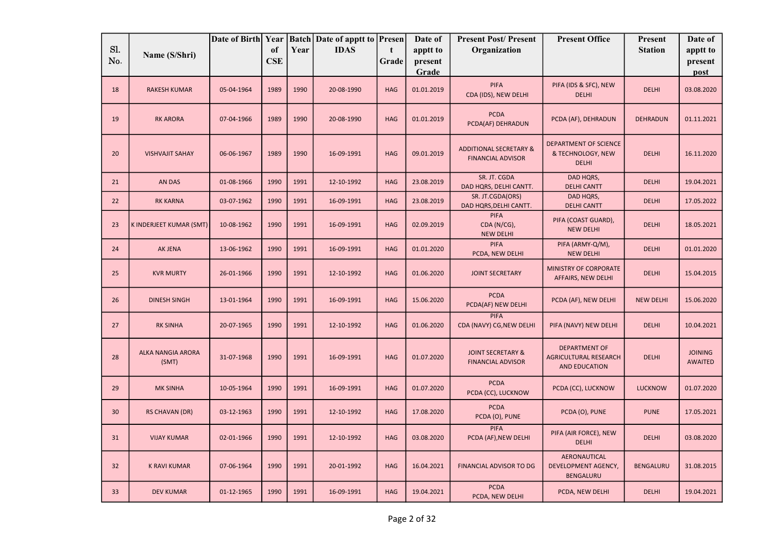| Sl. |                                   | Date of Birth Year |                  |      | <b>Batch Date of apptt to Presen</b> |                      | Date of             | <b>Present Post/Present</b>                                   | <b>Present Office</b>                                          | Present          | Date of                          |
|-----|-----------------------------------|--------------------|------------------|------|--------------------------------------|----------------------|---------------------|---------------------------------------------------------------|----------------------------------------------------------------|------------------|----------------------------------|
| No. | Name (S/Shri)                     |                    | of<br><b>CSE</b> | Year | <b>IDAS</b>                          | $\mathbf t$<br>Grade | apptt to<br>present | Organization                                                  |                                                                | <b>Station</b>   | apptt to<br>present              |
|     |                                   |                    |                  |      |                                      |                      | Grade               |                                                               |                                                                |                  | post                             |
| 18  | <b>RAKESH KUMAR</b>               | 05-04-1964         | 1989             | 1990 | 20-08-1990                           | <b>HAG</b>           | 01.01.2019          | <b>PIFA</b><br>CDA (IDS), NEW DELHI                           | PIFA (IDS & SFC), NEW<br><b>DELHI</b>                          | <b>DELHI</b>     | 03.08.2020                       |
| 19  | <b>RK ARORA</b>                   | 07-04-1966         | 1989             | 1990 | 20-08-1990                           | <b>HAG</b>           | 01.01.2019          | <b>PCDA</b><br>PCDA(AF) DEHRADUN                              | PCDA (AF), DEHRADUN                                            | <b>DEHRADUN</b>  | 01.11.2021                       |
| 20  | <b>VISHVAJIT SAHAY</b>            | 06-06-1967         | 1989             | 1990 | 16-09-1991                           | <b>HAG</b>           | 09.01.2019          | <b>ADDITIONAL SECRETARY &amp;</b><br><b>FINANCIAL ADVISOR</b> | DEPARTMENT OF SCIENCE<br>& TECHNOLOGY, NEW<br><b>DELHI</b>     | <b>DELHI</b>     | 16.11.2020                       |
| 21  | <b>AN DAS</b>                     | 01-08-1966         | 1990             | 1991 | 12-10-1992                           | <b>HAG</b>           | 23.08.2019          | SR. JT. CGDA<br>DAD HQRS, DELHI CANTT.                        | DAD HQRS,<br><b>DELHI CANTT</b>                                | <b>DELHI</b>     | 19.04.2021                       |
| 22  | <b>RK KARNA</b>                   | 03-07-1962         | 1990             | 1991 | 16-09-1991                           | <b>HAG</b>           | 23.08.2019          | SR. JT.CGDA(ORS)<br>DAD HQRS, DELHI CANTT.                    | DAD HQRS,<br><b>DELHI CANTT</b>                                | <b>DELHI</b>     | 17.05.2022                       |
| 23  | K INDERJEET KUMAR (SMT)           | 10-08-1962         | 1990             | 1991 | 16-09-1991                           | <b>HAG</b>           | 02.09.2019          | <b>PIFA</b><br>CDA (N/CG),<br><b>NEW DELHI</b>                | PIFA (COAST GUARD),<br><b>NEW DELHI</b>                        | <b>DELHI</b>     | 18.05.2021                       |
| 24  | AK JENA                           | 13-06-1962         | 1990             | 1991 | 16-09-1991                           | <b>HAG</b>           | 01.01.2020          | <b>PIFA</b><br>PCDA, NEW DELHI                                | PIFA (ARMY-Q/M),<br><b>NEW DELHI</b>                           | <b>DELHI</b>     | 01.01.2020                       |
| 25  | <b>KVR MURTY</b>                  | 26-01-1966         | 1990             | 1991 | 12-10-1992                           | <b>HAG</b>           | 01.06.2020          | <b>JOINT SECRETARY</b>                                        | MINISTRY OF CORPORATE<br>AFFAIRS, NEW DELHI                    | <b>DELHI</b>     | 15.04.2015                       |
| 26  | <b>DINESH SINGH</b>               | 13-01-1964         | 1990             | 1991 | 16-09-1991                           | <b>HAG</b>           | 15.06.2020          | <b>PCDA</b><br>PCDA(AF) NEW DELHI                             | PCDA (AF), NEW DELHI                                           | <b>NEW DELHI</b> | 15.06.2020                       |
| 27  | <b>RK SINHA</b>                   | 20-07-1965         | 1990             | 1991 | 12-10-1992                           | <b>HAG</b>           | 01.06.2020          | <b>PIFA</b><br>CDA (NAVY) CG, NEW DELHI                       | PIFA (NAVY) NEW DELHI                                          | <b>DELHI</b>     | 10.04.2021                       |
| 28  | <b>ALKA NANGIA ARORA</b><br>(SMT) | 31-07-1968         | 1990             | 1991 | 16-09-1991                           | <b>HAG</b>           | 01.07.2020          | <b>JOINT SECRETARY &amp;</b><br><b>FINANCIAL ADVISOR</b>      | <b>DEPARTMENT OF</b><br>AGRICULTURAL RESEARCH<br>AND EDUCATION | <b>DELHI</b>     | <b>JOINING</b><br><b>AWAITED</b> |
| 29  | <b>MK SINHA</b>                   | 10-05-1964         | 1990             | 1991 | 16-09-1991                           | <b>HAG</b>           | 01.07.2020          | <b>PCDA</b><br>PCDA (CC), LUCKNOW                             | PCDA (CC), LUCKNOW                                             | <b>LUCKNOW</b>   | 01.07.2020                       |
| 30  | <b>RS CHAVAN (DR)</b>             | 03-12-1963         | 1990             | 1991 | 12-10-1992                           | <b>HAG</b>           | 17.08.2020          | <b>PCDA</b><br>PCDA (O), PUNE                                 | PCDA (O), PUNE                                                 | <b>PUNE</b>      | 17.05.2021                       |
| 31  | <b>VIJAY KUMAR</b>                | 02-01-1966         | 1990             | 1991 | 12-10-1992                           | <b>HAG</b>           | 03.08.2020          | <b>PIFA</b><br>PCDA (AF), NEW DELHI                           | PIFA (AIR FORCE), NEW<br><b>DELHI</b>                          | <b>DELHI</b>     | 03.08.2020                       |
| 32  | <b>K RAVI KUMAR</b>               | 07-06-1964         | 1990             | 1991 | 20-01-1992                           | <b>HAG</b>           | 16.04.2021          | <b>FINANCIAL ADVISOR TO DG</b>                                | AERONAUTICAL<br>DEVELOPMENT AGENCY,<br><b>BENGALURU</b>        | <b>BENGALURU</b> | 31.08.2015                       |
| 33  | <b>DEV KUMAR</b>                  | 01-12-1965         | 1990             | 1991 | 16-09-1991                           | <b>HAG</b>           | 19.04.2021          | <b>PCDA</b><br>PCDA, NEW DELHI                                | PCDA, NEW DELHI                                                | <b>DELHI</b>     | 19.04.2021                       |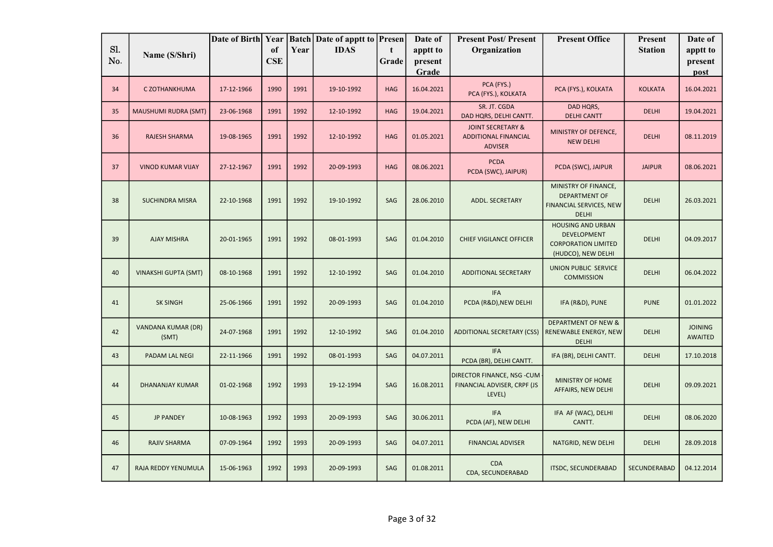|            |                             | Date of Birth Year |                  |      | <b>Batch</b> Date of apptt to | Presen     | Date of             | <b>Present Post/Present</b>                                                   | <b>Present Office</b>                                                                              | Present        | Date of                          |
|------------|-----------------------------|--------------------|------------------|------|-------------------------------|------------|---------------------|-------------------------------------------------------------------------------|----------------------------------------------------------------------------------------------------|----------------|----------------------------------|
| Sl.<br>No. | Name (S/Shri)               |                    | of<br><b>CSE</b> | Year | <b>IDAS</b>                   | t<br>Grade | apptt to<br>present | Organization                                                                  |                                                                                                    | <b>Station</b> | apptt to<br>present              |
|            |                             |                    |                  |      |                               |            | Grade               |                                                                               |                                                                                                    |                | post                             |
| 34         | C ZOTHANKHUMA               | 17-12-1966         | 1990             | 1991 | 19-10-1992                    | <b>HAG</b> | 16.04.2021          | PCA (FYS.)<br>PCA (FYS.), KOLKATA                                             | PCA (FYS.), KOLKATA                                                                                | <b>KOLKATA</b> | 16.04.2021                       |
| 35         | MAUSHUMI RUDRA (SMT)        | 23-06-1968         | 1991             | 1992 | 12-10-1992                    | HAG        | 19.04.2021          | SR. JT. CGDA<br>DAD HQRS, DELHI CANTT.                                        | DAD HQRS,<br><b>DELHI CANTT</b>                                                                    | <b>DELHI</b>   | 19.04.2021                       |
| 36         | <b>RAJESH SHARMA</b>        | 19-08-1965         | 1991             | 1992 | 12-10-1992                    | <b>HAG</b> | 01.05.2021          | <b>JOINT SECRETARY &amp;</b><br><b>ADDITIONAL FINANCIAL</b><br><b>ADVISER</b> | MINISTRY OF DEFENCE,<br><b>NEW DELHI</b>                                                           | <b>DELHI</b>   | 08.11.2019                       |
| 37         | <b>VINOD KUMAR VIJAY</b>    | 27-12-1967         | 1991             | 1992 | 20-09-1993                    | <b>HAG</b> | 08.06.2021          | <b>PCDA</b><br>PCDA (SWC), JAIPUR)                                            | PCDA (SWC), JAIPUR                                                                                 | <b>JAIPUR</b>  | 08.06.2021                       |
| 38         | <b>SUCHINDRA MISRA</b>      | 22-10-1968         | 1991             | 1992 | 19-10-1992                    | SAG        | 28.06.2010          | <b>ADDL. SECRETARY</b>                                                        | MINISTRY OF FINANCE,<br><b>DEPARTMENT OF</b><br>FINANCIAL SERVICES, NEW<br><b>DELHI</b>            | <b>DELHI</b>   | 26.03.2021                       |
| 39         | <b>AJAY MISHRA</b>          | 20-01-1965         | 1991             | 1992 | 08-01-1993                    | SAG        | 01.04.2010          | <b>CHIEF VIGILANCE OFFICER</b>                                                | <b>HOUSING AND URBAN</b><br><b>DEVELOPMENT</b><br><b>CORPORATION LIMITED</b><br>(HUDCO), NEW DELHI | <b>DELHI</b>   | 04.09.2017                       |
| 40         | <b>VINAKSHI GUPTA (SMT)</b> | 08-10-1968         | 1991             | 1992 | 12-10-1992                    | SAG        | 01.04.2010          | <b>ADDITIONAL SECRETARY</b>                                                   | UNION PUBLIC SERVICE<br><b>COMMISSION</b>                                                          | <b>DELHI</b>   | 06.04.2022                       |
| 41         | <b>SK SINGH</b>             | 25-06-1966         | 1991             | 1992 | 20-09-1993                    | SAG        | 01.04.2010          | <b>IFA</b><br>PCDA (R&D), NEW DELHI                                           | IFA (R&D), PUNE                                                                                    | <b>PUNE</b>    | 01.01.2022                       |
| 42         | VANDANA KUMAR (DR)<br>(SMT) | 24-07-1968         | 1991             | 1992 | 12-10-1992                    | SAG        | 01.04.2010          | <b>ADDITIONAL SECRETARY (CSS)</b>                                             | <b>DEPARTMENT OF NEW &amp;</b><br>RENEWABLE ENERGY, NEW<br><b>DELHI</b>                            | <b>DELHI</b>   | <b>JOINING</b><br><b>AWAITED</b> |
| 43         | PADAM LAL NEGI              | 22-11-1966         | 1991             | 1992 | 08-01-1993                    | SAG        | 04.07.2011          | <b>IFA</b><br>PCDA (BR), DELHI CANTT.                                         | IFA (BR), DELHI CANTT.                                                                             | <b>DELHI</b>   | 17.10.2018                       |
| 44         | DHANANJAY KUMAR             | 01-02-1968         | 1992             | 1993 | 19-12-1994                    | SAG        | 16.08.2011          | DIRECTOR FINANCE, NSG -CUM<br>FINANCIAL ADVISER, CRPF (JS<br>LEVEL)           | MINISTRY OF HOME<br>AFFAIRS, NEW DELHI                                                             | <b>DELHI</b>   | 09.09.2021                       |
| 45         | <b>JP PANDEY</b>            | 10-08-1963         | 1992             | 1993 | 20-09-1993                    | SAG        | 30.06.2011          | <b>IFA</b><br>PCDA (AF), NEW DELHI                                            | IFA AF (WAC), DELHI<br>CANTT.                                                                      | <b>DELHI</b>   | 08.06.2020                       |
| 46         | <b>RAJIV SHARMA</b>         | 07-09-1964         | 1992             | 1993 | 20-09-1993                    | SAG        | 04.07.2011          | <b>FINANCIAL ADVISER</b>                                                      | NATGRID, NEW DELHI                                                                                 | <b>DELHI</b>   | 28.09.2018                       |
| 47         | RAJA REDDY YENUMULA         | 15-06-1963         | 1992             | 1993 | 20-09-1993                    | SAG        | 01.08.2011          | CDA<br>CDA, SECUNDERABAD                                                      | <b>ITSDC, SECUNDERABAD</b>                                                                         | SECUNDERABAD   | 04.12.2014                       |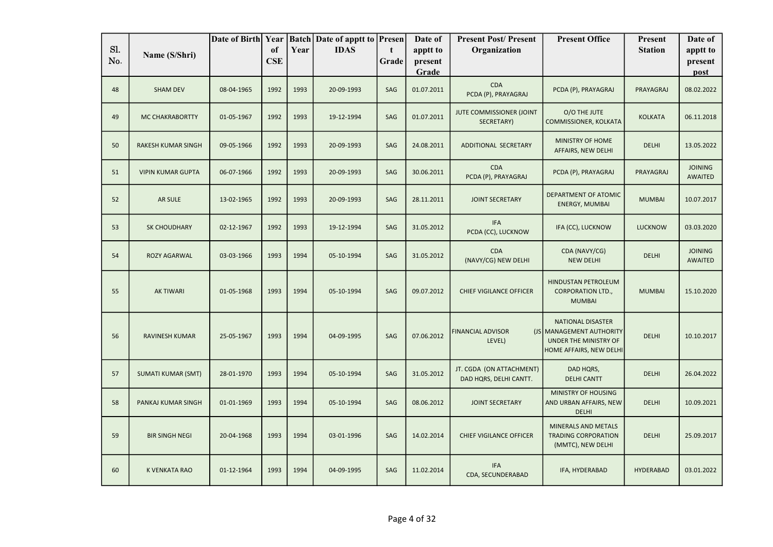|            |                           | Date of Birth Year |                  |      | <b>Batch Date of apptt to Presen</b> |            | Date of             | <b>Present Post/Present</b>                        | <b>Present Office</b>                                                                                    | Present          | Date of                          |
|------------|---------------------------|--------------------|------------------|------|--------------------------------------|------------|---------------------|----------------------------------------------------|----------------------------------------------------------------------------------------------------------|------------------|----------------------------------|
| SI.<br>No. | Name (S/Shri)             |                    | of<br><b>CSE</b> | Year | <b>IDAS</b>                          | t<br>Grade | apptt to<br>present | Organization                                       |                                                                                                          | <b>Station</b>   | apptt to<br>present              |
|            |                           |                    |                  |      |                                      |            | Grade               |                                                    |                                                                                                          |                  | post                             |
| 48         | <b>SHAM DEV</b>           | 08-04-1965         | 1992             | 1993 | 20-09-1993                           | SAG        | 01.07.2011          | CDA<br>PCDA (P), PRAYAGRAJ                         | PCDA (P), PRAYAGRAJ                                                                                      | PRAYAGRAJ        | 08.02.2022                       |
| 49         | <b>MC CHAKRABORTTY</b>    | 01-05-1967         | 1992             | 1993 | 19-12-1994                           | SAG        | 01.07.2011          | JUTE COMMISSIONER (JOINT<br>SECRETARY)             | O/O THE JUTE<br>COMMISSIONER, KOLKATA                                                                    | <b>KOLKATA</b>   | 06.11.2018                       |
| 50         | <b>RAKESH KUMAR SINGH</b> | 09-05-1966         | 1992             | 1993 | 20-09-1993                           | SAG        | 24.08.2011          | ADDITIONAL SECRETARY                               | <b>MINISTRY OF HOME</b><br>AFFAIRS, NEW DELHI                                                            | <b>DELHI</b>     | 13.05.2022                       |
| 51         | <b>VIPIN KUMAR GUPTA</b>  | 06-07-1966         | 1992             | 1993 | 20-09-1993                           | SAG        | 30.06.2011          | <b>CDA</b><br>PCDA (P), PRAYAGRAJ                  | PCDA (P), PRAYAGRAJ                                                                                      | PRAYAGRAJ        | <b>JOINING</b><br><b>AWAITED</b> |
| 52         | AR SULE                   | 13-02-1965         | 1992             | 1993 | 20-09-1993                           | SAG        | 28.11.2011          | <b>JOINT SECRETARY</b>                             | DEPARTMENT OF ATOMIC<br><b>ENERGY, MUMBAI</b>                                                            | <b>MUMBAI</b>    | 10.07.2017                       |
| 53         | SK CHOUDHARY              | 02-12-1967         | 1992             | 1993 | 19-12-1994                           | SAG        | 31.05.2012          | <b>IFA</b><br>PCDA (CC), LUCKNOW                   | IFA (CC), LUCKNOW                                                                                        | <b>LUCKNOW</b>   | 03.03.2020                       |
| 54         | <b>ROZY AGARWAL</b>       | 03-03-1966         | 1993             | 1994 | 05-10-1994                           | SAG        | 31.05.2012          | <b>CDA</b><br>(NAVY/CG) NEW DELHI                  | CDA (NAVY/CG)<br><b>NEW DELHI</b>                                                                        | <b>DELHI</b>     | <b>JOINING</b><br><b>AWAITED</b> |
| 55         | <b>AK TIWARI</b>          | 01-05-1968         | 1993             | 1994 | 05-10-1994                           | SAG        | 09.07.2012          | <b>CHIEF VIGILANCE OFFICER</b>                     | <b>HINDUSTAN PETROLEUM</b><br><b>CORPORATION LTD.,</b><br><b>MUMBAI</b>                                  | <b>MUMBAI</b>    | 15.10.2020                       |
| 56         | RAVINESH KUMAR            | 25-05-1967         | 1993             | 1994 | 04-09-1995                           | SAG        | 07.06.2012          | <b>FINANCIAL ADVISOR</b><br>LEVEL)                 | <b>NATIONAL DISASTER</b><br>(JS MANAGEMENT AUTHORITY<br>UNDER THE MINISTRY OF<br>HOME AFFAIRS, NEW DELHI | <b>DELHI</b>     | 10.10.2017                       |
| 57         | <b>SUMATI KUMAR (SMT)</b> | 28-01-1970         | 1993             | 1994 | 05-10-1994                           | SAG        | 31.05.2012          | JT. CGDA (ON ATTACHMENT)<br>DAD HQRS, DELHI CANTT. | DAD HQRS,<br><b>DELHI CANTT</b>                                                                          | <b>DELHI</b>     | 26.04.2022                       |
| 58         | PANKAJ KUMAR SINGH        | 01-01-1969         | 1993             | 1994 | 05-10-1994                           | SAG        | 08.06.2012          | <b>JOINT SECRETARY</b>                             | MINISTRY OF HOUSING<br>AND URBAN AFFAIRS, NEW<br><b>DELHI</b>                                            | <b>DELHI</b>     | 10.09.2021                       |
| 59         | <b>BIR SINGH NEGI</b>     | 20-04-1968         | 1993             | 1994 | 03-01-1996                           | SAG        | 14.02.2014          | <b>CHIEF VIGILANCE OFFICER</b>                     | MINERALS AND METALS<br><b>TRADING CORPORATION</b><br>(MMTC), NEW DELHI                                   | <b>DELHI</b>     | 25.09.2017                       |
| 60         | K VENKATA RAO             | 01-12-1964         | 1993             | 1994 | 04-09-1995                           | SAG        | 11.02.2014          | <b>IFA</b><br>CDA, SECUNDERABAD                    | IFA, HYDERABAD                                                                                           | <b>HYDERABAD</b> | 03.01.2022                       |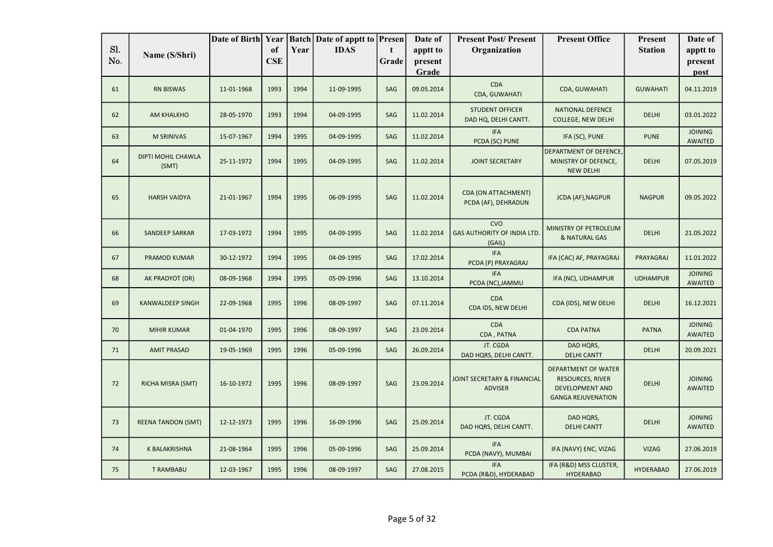|            |                             | Date of Birth Year |                  |      | <b>Batch Date of apptt to Presen</b> |            | Date of             | <b>Present Post/Present</b>                               | <b>Present Office</b>                                                                                        | <b>Present</b>   | Date of                          |
|------------|-----------------------------|--------------------|------------------|------|--------------------------------------|------------|---------------------|-----------------------------------------------------------|--------------------------------------------------------------------------------------------------------------|------------------|----------------------------------|
| Sl.<br>No. | Name (S/Shri)               |                    | of<br><b>CSE</b> | Year | <b>IDAS</b>                          | t<br>Grade | apptt to<br>present | Organization                                              |                                                                                                              | <b>Station</b>   | apptt to<br>present              |
|            |                             |                    |                  |      |                                      |            | Grade               |                                                           |                                                                                                              |                  | post                             |
| 61         | <b>RN BISWAS</b>            | 11-01-1968         | 1993             | 1994 | 11-09-1995                           | SAG        | 09.05.2014          | <b>CDA</b><br>CDA, GUWAHATI                               | <b>CDA, GUWAHATI</b>                                                                                         | <b>GUWAHATI</b>  | 04.11.2019                       |
| 62         | AM KHALKHO                  | 28-05-1970         | 1993             | 1994 | 04-09-1995                           | SAG        | 11.02.2014          | <b>STUDENT OFFICER</b><br>DAD HQ, DELHI CANTT.            | <b>NATIONAL DEFENCE</b><br><b>COLLEGE, NEW DELHI</b>                                                         | <b>DELHI</b>     | 03.01.2022                       |
| 63         | <b>M SRINIVAS</b>           | 15-07-1967         | 1994             | 1995 | 04-09-1995                           | SAG        | 11.02.2014          | <b>IFA</b><br>PCDA (SC) PUNE                              | IFA (SC), PUNE                                                                                               | <b>PUNE</b>      | <b>JOINING</b><br><b>AWAITED</b> |
| 64         | DIPTI MOHIL CHAWLA<br>(SMT) | 25-11-1972         | 1994             | 1995 | 04-09-1995                           | SAG        | 11.02.2014          | <b>JOINT SECRETARY</b>                                    | DEPARTMENT OF DEFENCE,<br>MINISTRY OF DEFENCE,<br><b>NEW DELHI</b>                                           | <b>DELHI</b>     | 07.05.2019                       |
| 65         | <b>HARSH VAIDYA</b>         | 21-01-1967         | 1994             | 1995 | 06-09-1995                           | SAG        | 11.02.2014          | <b>CDA (ON ATTACHMENT)</b><br>PCDA (AF), DEHRADUN         | <b>JCDA (AF), NAGPUR</b>                                                                                     | <b>NAGPUR</b>    | 09.05.2022                       |
| 66         | <b>SANDEEP SARKAR</b>       | 17-03-1972         | 1994             | 1995 | 04-09-1995                           | SAG        | 11.02.2014          | <b>CVO</b><br><b>GAS AUTHORITY OF INDIA LTD</b><br>(GAIL) | MINISTRY OF PETROLEUM<br>& NATURAL GAS                                                                       | <b>DELHI</b>     | 21.05.2022                       |
| 67         | PRAMOD KUMAR                | 30-12-1972         | 1994             | 1995 | 04-09-1995                           | SAG        | 17.02.2014          | <b>IFA</b><br>PCDA (P) PRAYAGRAJ                          | IFA (CAC) AF, PRAYAGRAJ                                                                                      | PRAYAGRAJ        | 11.01.2022                       |
| 68         | AK PRADYOT (DR)             | 08-09-1968         | 1994             | 1995 | 05-09-1996                           | SAG        | 13.10.2014          | <b>IFA</b><br>PCDA (NC), JAMMU                            | IFA (NC), UDHAMPUR                                                                                           | <b>UDHAMPUR</b>  | <b>JOINING</b><br><b>AWAITED</b> |
| 69         | <b>KANWALDEEP SINGH</b>     | 22-09-1968         | 1995             | 1996 | 08-09-1997                           | SAG        | 07.11.2014          | <b>CDA</b><br>CDA IDS, NEW DELHI                          | CDA (IDS), NEW DELHI                                                                                         | <b>DELHI</b>     | 16.12.2021                       |
| 70         | <b>MIHIR KUMAR</b>          | 01-04-1970         | 1995             | 1996 | 08-09-1997                           | SAG        | 23.09.2014          | <b>CDA</b><br>CDA, PATNA                                  | <b>CDA PATNA</b>                                                                                             | <b>PATNA</b>     | <b>JOINING</b><br><b>AWAITED</b> |
| 71         | <b>AMIT PRASAD</b>          | 19-05-1969         | 1995             | 1996 | 05-09-1996                           | SAG        | 26.09.2014          | JT. CGDA<br>DAD HQRS, DELHI CANTT.                        | DAD HQRS,<br><b>DELHI CANTT</b>                                                                              | <b>DELHI</b>     | 20.09.2021                       |
| 72         | RICHA MISRA (SMT)           | 16-10-1972         | 1995             | 1996 | 08-09-1997                           | SAG        | 23.09.2014          | JOINT SECRETARY & FINANCIAL<br><b>ADVISER</b>             | <b>DEPARTMENT OF WATER</b><br><b>RESOURCES, RIVER</b><br><b>DEVELOPMENT AND</b><br><b>GANGA REJUVENATION</b> | <b>DELHI</b>     | <b>JOINING</b><br><b>AWAITED</b> |
| 73         | <b>REENA TANDON (SMT)</b>   | 12-12-1973         | 1995             | 1996 | 16-09-1996                           | SAG        | 25.09.2014          | JT. CGDA<br>DAD HQRS, DELHI CANTT.                        | DAD HQRS,<br><b>DELHI CANTT</b>                                                                              | <b>DELHI</b>     | <b>JOINING</b><br><b>AWAITED</b> |
| 74         | K BALAKRISHNA               | 21-08-1964         | 1995             | 1996 | 05-09-1996                           | SAG        | 25.09.2014          | <b>IFA</b><br>PCDA (NAVY), MUMBAI                         | IFA (NAVY) ENC, VIZAG                                                                                        | <b>VIZAG</b>     | 27.06.2019                       |
| 75         | <b>T RAMBABU</b>            | 12-03-1967         | 1995             | 1996 | 08-09-1997                           | SAG        | 27.08.2015          | <b>IFA</b><br>PCDA (R&D), HYDERABAD                       | IFA (R&D) MSS CLUSTER,<br>HYDERABAD                                                                          | <b>HYDERABAD</b> | 27.06.2019                       |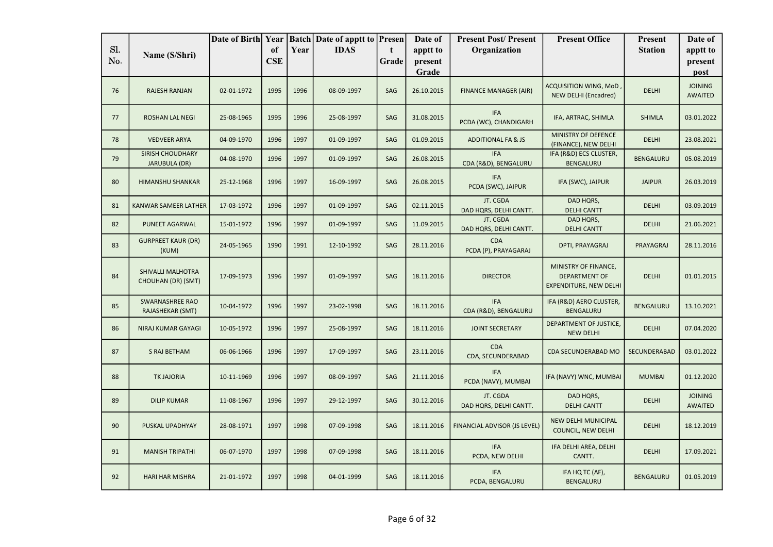|            |                                          | Date of Birth Year |                  |      | <b>Batch Date of apptt to Presen</b> |            | Date of             | <b>Present Post/Present</b>         | <b>Present Office</b>                                                         | <b>Present</b>   | Date of                          |
|------------|------------------------------------------|--------------------|------------------|------|--------------------------------------|------------|---------------------|-------------------------------------|-------------------------------------------------------------------------------|------------------|----------------------------------|
| Sl.<br>No. | Name (S/Shri)                            |                    | of<br><b>CSE</b> | Year | <b>IDAS</b>                          | t<br>Grade | apptt to<br>present | Organization                        |                                                                               | <b>Station</b>   | apptt to<br>present              |
|            |                                          |                    |                  |      |                                      |            | Grade               |                                     |                                                                               |                  | post                             |
| 76         | <b>RAJESH RANJAN</b>                     | 02-01-1972         | 1995             | 1996 | 08-09-1997                           | SAG        | 26.10.2015          | <b>FINANCE MANAGER (AIR)</b>        | ACQUISITION WING, MoD,<br><b>NEW DELHI (Encadred)</b>                         | <b>DELHI</b>     | <b>JOINING</b><br><b>AWAITED</b> |
| 77         | <b>ROSHAN LAL NEGI</b>                   | 25-08-1965         | 1995             | 1996 | 25-08-1997                           | SAG        | 31.08.2015          | <b>IFA</b><br>PCDA (WC), CHANDIGARH | IFA, ARTRAC, SHIMLA                                                           | <b>SHIMLA</b>    | 03.01.2022                       |
| 78         | <b>VEDVEER ARYA</b>                      | 04-09-1970         | 1996             | 1997 | 01-09-1997                           | SAG        | 01.09.2015          | <b>ADDITIONAL FA &amp; JS</b>       | <b>MINISTRY OF DEFENCE</b><br>(FINANCE), NEW DELHI                            | <b>DELHI</b>     | 23.08.2021                       |
| 79         | <b>SIRISH CHOUDHARY</b><br>JARUBULA (DR) | 04-08-1970         | 1996             | 1997 | 01-09-1997                           | SAG        | 26.08.2015          | <b>IFA</b><br>CDA (R&D), BENGALURU  | IFA (R&D) ECS CLUSTER,<br>BENGALURU                                           | <b>BENGALURU</b> | 05.08.2019                       |
| 80         | <b>HIMANSHU SHANKAR</b>                  | 25-12-1968         | 1996             | 1997 | 16-09-1997                           | SAG        | 26.08.2015          | <b>IFA</b><br>PCDA (SWC), JAIPUR    | IFA (SWC), JAIPUR                                                             | <b>JAIPUR</b>    | 26.03.2019                       |
| 81         | KANWAR SAMEER LATHER                     | 17-03-1972         | 1996             | 1997 | 01-09-1997                           | SAG        | 02.11.2015          | JT. CGDA<br>DAD HQRS, DELHI CANTT.  | DAD HQRS,<br><b>DELHI CANTT</b>                                               | <b>DELHI</b>     | 03.09.2019                       |
| 82         | <b>PUNEET AGARWAL</b>                    | 15-01-1972         | 1996             | 1997 | 01-09-1997                           | SAG        | 11.09.2015          | JT. CGDA<br>DAD HQRS, DELHI CANTT.  | DAD HQRS,<br><b>DELHI CANTT</b>                                               | <b>DELHI</b>     | 21.06.2021                       |
| 83         | <b>GURPREET KAUR (DR)</b><br>(KUM)       | 24-05-1965         | 1990             | 1991 | 12-10-1992                           | SAG        | 28.11.2016          | <b>CDA</b><br>PCDA (P), PRAYAGARAJ  | DPTI, PRAYAGRAJ                                                               | PRAYAGRAJ        | 28.11.2016                       |
| 84         | SHIVALLI MALHOTRA<br>CHOUHAN (DR) (SMT)  | 17-09-1973         | 1996             | 1997 | 01-09-1997                           | SAG        | 18.11.2016          | <b>DIRECTOR</b>                     | MINISTRY OF FINANCE,<br><b>DEPARTMENT OF</b><br><b>EXPENDITURE, NEW DELHI</b> | <b>DELHI</b>     | 01.01.2015                       |
| 85         | SWARNASHREE RAO<br>RAJASHEKAR (SMT)      | 10-04-1972         | 1996             | 1997 | 23-02-1998                           | SAG        | 18.11.2016          | <b>IFA</b><br>CDA (R&D), BENGALURU  | IFA (R&D) AERO CLUSTER,<br><b>BENGALURU</b>                                   | <b>BENGALURU</b> | 13.10.2021                       |
| 86         | <b>NIRAJ KUMAR GAYAGI</b>                | 10-05-1972         | 1996             | 1997 | 25-08-1997                           | SAG        | 18.11.2016          | <b>JOINT SECRETARY</b>              | DEPARTMENT OF JUSTICE,<br><b>NEW DELHI</b>                                    | <b>DELHI</b>     | 07.04.2020                       |
| 87         | S RAJ BETHAM                             | 06-06-1966         | 1996             | 1997 | 17-09-1997                           | SAG        | 23.11.2016          | CDA<br>CDA, SECUNDERABAD            | CDA SECUNDERABAD MO                                                           | SECUNDERABAD     | 03.01.2022                       |
| 88         | <b>TK JAJORIA</b>                        | 10-11-1969         | 1996             | 1997 | 08-09-1997                           | SAG        | 21.11.2016          | <b>IFA</b><br>PCDA (NAVY), MUMBAI   | IFA (NAVY) WNC, MUMBAI                                                        | <b>MUMBAI</b>    | 01.12.2020                       |
| 89         | <b>DILIP KUMAR</b>                       | 11-08-1967         | 1996             | 1997 | 29-12-1997                           | SAG        | 30.12.2016          | JT. CGDA<br>DAD HQRS, DELHI CANTT.  | DAD HQRS,<br><b>DELHI CANTT</b>                                               | <b>DELHI</b>     | <b>JOINING</b><br><b>AWAITED</b> |
| 90         | PUSKAL UPADHYAY                          | 28-08-1971         | 1997             | 1998 | 07-09-1998                           | SAG        | 18.11.2016          | FINANCIAL ADVISOR (JS LEVEL)        | NEW DELHI MUNICIPAL<br>COUNCIL, NEW DELHI                                     | <b>DELHI</b>     | 18.12.2019                       |
| 91         | <b>MANISH TRIPATHI</b>                   | 06-07-1970         | 1997             | 1998 | 07-09-1998                           | SAG        | 18.11.2016          | <b>IFA</b><br>PCDA, NEW DELHI       | IFA DELHI AREA, DELHI<br>CANTT.                                               | <b>DELHI</b>     | 17.09.2021                       |
| 92         | <b>HARI HAR MISHRA</b>                   | 21-01-1972         | 1997             | 1998 | 04-01-1999                           | SAG        | 18.11.2016          | <b>IFA</b><br>PCDA, BENGALURU       | IFA HQ TC (AF),<br>BENGALURU                                                  | BENGALURU        | 01.05.2019                       |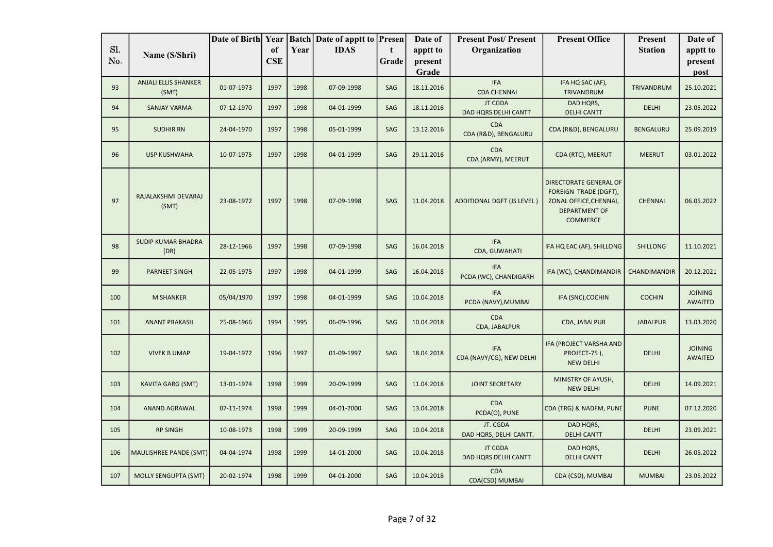|     |                                      | Date of Birth Year |            |      | <b>Batch</b> Date of apptt to <b>Presen</b> |       | Date of             | <b>Present Post/Present</b>            | <b>Present Office</b>                                                                                         | <b>Present</b>    | Date of                          |
|-----|--------------------------------------|--------------------|------------|------|---------------------------------------------|-------|---------------------|----------------------------------------|---------------------------------------------------------------------------------------------------------------|-------------------|----------------------------------|
| Sl. | Name (S/Shri)                        |                    | of         | Year | <b>IDAS</b>                                 | t     | apptt to            | Organization                           |                                                                                                               | <b>Station</b>    | apptt to                         |
| No. |                                      |                    | <b>CSE</b> |      |                                             | Grade | present             |                                        |                                                                                                               |                   | present                          |
| 93  | <b>ANJALI ELLIS SHANKER</b><br>(SMT) | 01-07-1973         | 1997       | 1998 | 07-09-1998                                  | SAG   | Grade<br>18.11.2016 | <b>IFA</b><br><b>CDA CHENNAI</b>       | IFA HQ SAC (AF),<br>TRIVANDRUM                                                                                | <b>TRIVANDRUM</b> | post<br>25.10.2021               |
| 94  | <b>SANJAY VARMA</b>                  | 07-12-1970         | 1997       | 1998 | 04-01-1999                                  | SAG   | 18.11.2016          | <b>JT CGDA</b><br>DAD HQRS DELHI CANTT | DAD HQRS,<br><b>DELHI CANTT</b>                                                                               | <b>DELHI</b>      | 23.05.2022                       |
| 95  | <b>SUDHIR RN</b>                     | 24-04-1970         | 1997       | 1998 | 05-01-1999                                  | SAG   | 13.12.2016          | <b>CDA</b><br>CDA (R&D), BENGALURU     | CDA (R&D), BENGALURU                                                                                          | <b>BENGALURU</b>  | 25.09.2019                       |
| 96  | <b>USP KUSHWAHA</b>                  | 10-07-1975         | 1997       | 1998 | 04-01-1999                                  | SAG   | 29.11.2016          | <b>CDA</b><br>CDA (ARMY), MEERUT       | CDA (RTC), MEERUT                                                                                             | <b>MEERUT</b>     | 03.01.2022                       |
| 97  | RAJALAKSHMI DEVARAJ<br>(SMT)         | 23-08-1972         | 1997       | 1998 | 07-09-1998                                  | SAG   | 11.04.2018          | <b>ADDITIONAL DGFT (JS LEVEL)</b>      | DIRECTORATE GENERAL OF<br>FOREIGN TRADE (DGFT),<br>ZONAL OFFICE, CHENNAI,<br><b>DEPARTMENT OF</b><br>COMMERCE | <b>CHENNAI</b>    | 06.05.2022                       |
| 98  | <b>SUDIP KUMAR BHADRA</b><br>(DR)    | 28-12-1966         | 1997       | 1998 | 07-09-1998                                  | SAG   | 16.04.2018          | <b>IFA</b><br>CDA, GUWAHATI            | IFA HQ EAC (AF), SHILLONG                                                                                     | <b>SHILLONG</b>   | 11.10.2021                       |
| 99  | <b>PARNEET SINGH</b>                 | 22-05-1975         | 1997       | 1998 | 04-01-1999                                  | SAG   | 16.04.2018          | <b>IFA</b><br>PCDA (WC), CHANDIGARH    | IFA (WC), CHANDIMANDIR                                                                                        | CHANDIMANDIR      | 20.12.2021                       |
| 100 | <b>M SHANKER</b>                     | 05/04/1970         | 1997       | 1998 | 04-01-1999                                  | SAG   | 10.04.2018          | <b>IFA</b><br>PCDA (NAVY), MUMBAI      | IFA (SNC), COCHIN                                                                                             | <b>COCHIN</b>     | <b>JOINING</b><br><b>AWAITED</b> |
| 101 | <b>ANANT PRAKASH</b>                 | 25-08-1966         | 1994       | 1995 | 06-09-1996                                  | SAG   | 10.04.2018          | <b>CDA</b><br>CDA, JABALPUR            | CDA, JABALPUR                                                                                                 | <b>JABALPUR</b>   | 13.03.2020                       |
| 102 | <b>VIVEK B UMAP</b>                  | 19-04-1972         | 1996       | 1997 | 01-09-1997                                  | SAG   | 18.04.2018          | <b>IFA</b><br>CDA (NAVY/CG), NEW DELHI | IFA (PROJECT VARSHA AND<br>PROJECT-75),<br><b>NEW DELHI</b>                                                   | <b>DELHI</b>      | <b>JOINING</b><br><b>AWAITED</b> |
| 103 | <b>KAVITA GARG (SMT)</b>             | 13-01-1974         | 1998       | 1999 | 20-09-1999                                  | SAG   | 11.04.2018          | <b>JOINT SECRETARY</b>                 | MINISTRY OF AYUSH,<br><b>NEW DELHI</b>                                                                        | DELHI             | 14.09.2021                       |
| 104 | ANAND AGRAWAL                        | 07-11-1974         | 1998       | 1999 | 04-01-2000                                  | SAG   | 13.04.2018          | <b>CDA</b><br>PCDA(O), PUNE            | CDA (TRG) & NADFM, PUNE                                                                                       | <b>PUNE</b>       | 07.12.2020                       |
| 105 | <b>RP SINGH</b>                      | 10-08-1973         | 1998       | 1999 | 20-09-1999                                  | SAG   | 10.04.2018          | JT. CGDA<br>DAD HQRS, DELHI CANTT.     | DAD HQRS,<br><b>DELHI CANTT</b>                                                                               | DELHI             | 23.09.2021                       |
| 106 | <b>MAULISHREE PANDE (SMT)</b>        | 04-04-1974         | 1998       | 1999 | 14-01-2000                                  | SAG   | 10.04.2018          | <b>JT CGDA</b><br>DAD HQRS DELHI CANTT | DAD HQRS,<br><b>DELHI CANTT</b>                                                                               | DELHI             | 26.05.2022                       |
| 107 | <b>MOLLY SENGUPTA (SMT)</b>          | 20-02-1974         | 1998       | 1999 | 04-01-2000                                  | SAG   | 10.04.2018          | CDA<br>CDA(CSD) MUMBAI                 | CDA (CSD), MUMBAI                                                                                             | <b>MUMBAI</b>     | 23.05.2022                       |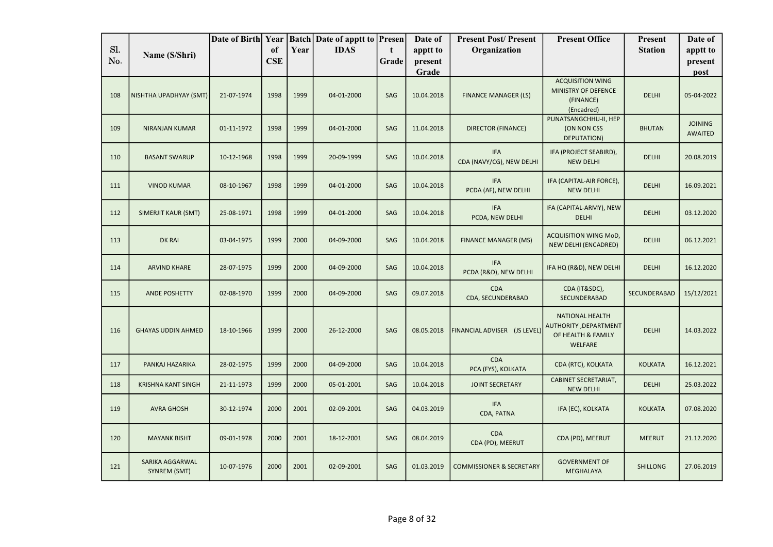|     |                                 | Date of Birth Year |            |      | <b>Batch Date of apptt to Presen</b> |            | Date of    | <b>Present Post/Present</b>            | <b>Present Office</b>                                                                    | <b>Present</b>  | Date of                          |
|-----|---------------------------------|--------------------|------------|------|--------------------------------------|------------|------------|----------------------------------------|------------------------------------------------------------------------------------------|-----------------|----------------------------------|
| Sl. | Name (S/Shri)                   |                    | of         | Year | <b>IDAS</b>                          | t          | apptt to   | Organization                           |                                                                                          | <b>Station</b>  | apptt to                         |
| No. |                                 |                    | <b>CSE</b> |      |                                      | Grade      | present    |                                        |                                                                                          |                 | present                          |
|     |                                 |                    |            |      |                                      |            | Grade      |                                        |                                                                                          |                 | post                             |
| 108 | NISHTHA UPADHYAY (SMT)          | 21-07-1974         | 1998       | 1999 | 04-01-2000                           | SAG        | 10.04.2018 | <b>FINANCE MANAGER (LS)</b>            | <b>ACQUISITION WING</b><br>MINISTRY OF DEFENCE<br>(FINANCE)<br>(Encadred)                | <b>DELHI</b>    | 05-04-2022                       |
| 109 | <b>NIRANJAN KUMAR</b>           | 01-11-1972         | 1998       | 1999 | 04-01-2000                           | SAG        | 11.04.2018 | <b>DIRECTOR (FINANCE)</b>              | PUNATSANGCHHU-II, HEP<br>(ON NON CSS<br>DEPUTATION)                                      | <b>BHUTAN</b>   | <b>JOINING</b><br><b>AWAITED</b> |
| 110 | <b>BASANT SWARUP</b>            | 10-12-1968         | 1998       | 1999 | 20-09-1999                           | SAG        | 10.04.2018 | <b>IFA</b><br>CDA (NAVY/CG), NEW DELHI | IFA (PROJECT SEABIRD),<br><b>NEW DELHI</b>                                               | <b>DELHI</b>    | 20.08.2019                       |
| 111 | <b>VINOD KUMAR</b>              | 08-10-1967         | 1998       | 1999 | 04-01-2000                           | SAG        | 10.04.2018 | <b>IFA</b><br>PCDA (AF), NEW DELHI     | IFA (CAPITAL-AIR FORCE),<br><b>NEW DELHI</b>                                             | <b>DELHI</b>    | 16.09.2021                       |
| 112 | SIMERJIT KAUR (SMT)             | 25-08-1971         | 1998       | 1999 | 04-01-2000                           | SAG        | 10.04.2018 | <b>IFA</b><br>PCDA, NEW DELHI          | IFA (CAPITAL-ARMY), NEW<br><b>DELHI</b>                                                  | <b>DELHI</b>    | 03.12.2020                       |
| 113 | <b>DK RAI</b>                   | 03-04-1975         | 1999       | 2000 | 04-09-2000                           | SAG        | 10.04.2018 | <b>FINANCE MANAGER (MS)</b>            | <b>ACQUISITION WING MoD,</b><br>NEW DELHI (ENCADRED)                                     | <b>DELHI</b>    | 06.12.2021                       |
| 114 | <b>ARVIND KHARE</b>             | 28-07-1975         | 1999       | 2000 | 04-09-2000                           | SAG        | 10.04.2018 | <b>IFA</b><br>PCDA (R&D), NEW DELHI    | IFA HQ (R&D), NEW DELHI                                                                  | <b>DELHI</b>    | 16.12.2020                       |
| 115 | <b>ANDE POSHETTY</b>            | 02-08-1970         | 1999       | 2000 | 04-09-2000                           | SAG        | 09.07.2018 | <b>CDA</b><br>CDA, SECUNDERABAD        | CDA (IT&SDC),<br>SECUNDERABAD                                                            | SECUNDERABAD    | 15/12/2021                       |
| 116 | <b>GHAYAS UDDIN AHMED</b>       | 18-10-1966         | 1999       | 2000 | 26-12-2000                           | SAG        | 08.05.2018 | FINANCIAL ADVISER (JS LEVEL)           | <b>NATIONAL HEALTH</b><br>AUTHORITY , DEPARTMENT<br>OF HEALTH & FAMILY<br><b>WELFARE</b> | <b>DELHI</b>    | 14.03.2022                       |
| 117 | PANKAJ HAZARIKA                 | 28-02-1975         | 1999       | 2000 | 04-09-2000                           | <b>SAG</b> | 10.04.2018 | <b>CDA</b><br>PCA (FYS), KOLKATA       | CDA (RTC), KOLKATA                                                                       | <b>KOLKATA</b>  | 16.12.2021                       |
| 118 | <b>KRISHNA KANT SINGH</b>       | 21-11-1973         | 1999       | 2000 | 05-01-2001                           | SAG        | 10.04.2018 | <b>JOINT SECRETARY</b>                 | <b>CABINET SECRETARIAT,</b><br><b>NEW DELHI</b>                                          | <b>DELHI</b>    | 25.03.2022                       |
| 119 | <b>AVRA GHOSH</b>               | 30-12-1974         | 2000       | 2001 | 02-09-2001                           | SAG        | 04.03.2019 | <b>IFA</b><br>CDA, PATNA               | IFA (EC), KOLKATA                                                                        | <b>KOLKATA</b>  | 07.08.2020                       |
| 120 | <b>MAYANK BISHT</b>             | 09-01-1978         | 2000       | 2001 | 18-12-2001                           | SAG        | 08.04.2019 | <b>CDA</b><br>CDA (PD), MEERUT         | CDA (PD), MEERUT                                                                         | <b>MEERUT</b>   | 21.12.2020                       |
| 121 | SARIKA AGGARWAL<br>SYNREM (SMT) | 10-07-1976         | 2000       | 2001 | 02-09-2001                           | SAG        | 01.03.2019 | <b>COMMISSIONER &amp; SECRETARY</b>    | <b>GOVERNMENT OF</b><br><b>MEGHALAYA</b>                                                 | <b>SHILLONG</b> | 27.06.2019                       |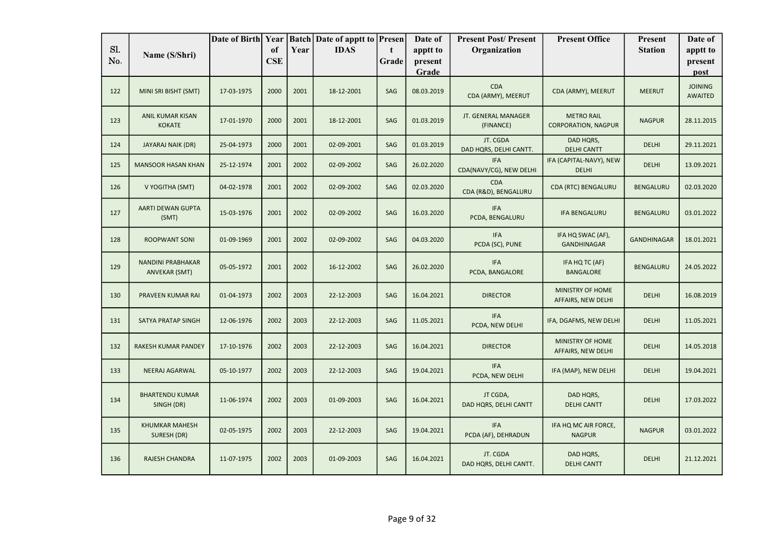|            |                                                  | Date of Birth Year |                  |      | <b>Batch Date of apptt to Presen</b> |            | Date of             | <b>Present Post/Present</b>           | <b>Present Office</b>                           | <b>Present</b>     | Date of                          |
|------------|--------------------------------------------------|--------------------|------------------|------|--------------------------------------|------------|---------------------|---------------------------------------|-------------------------------------------------|--------------------|----------------------------------|
| Sl.<br>No. | Name (S/Shri)                                    |                    | of<br><b>CSE</b> | Year | <b>IDAS</b>                          | t<br>Grade | apptt to<br>present | Organization                          |                                                 | <b>Station</b>     | apptt to<br>present              |
|            |                                                  |                    |                  |      |                                      |            | Grade               |                                       |                                                 |                    | post                             |
| 122        | MINI SRI BISHT (SMT)                             | 17-03-1975         | 2000             | 2001 | 18-12-2001                           | SAG        | 08.03.2019          | <b>CDA</b><br>CDA (ARMY), MEERUT      | CDA (ARMY), MEERUT                              | <b>MEERUT</b>      | <b>JOINING</b><br><b>AWAITED</b> |
| 123        | ANIL KUMAR KISAN<br><b>KOKATE</b>                | 17-01-1970         | 2000             | 2001 | 18-12-2001                           | SAG        | 01.03.2019          | JT. GENERAL MANAGER<br>(FINANCE)      | <b>METRO RAIL</b><br><b>CORPORATION, NAGPUR</b> | <b>NAGPUR</b>      | 28.11.2015                       |
| 124        | JAYARAJ NAIK (DR)                                | 25-04-1973         | 2000             | 2001 | 02-09-2001                           | SAG        | 01.03.2019          | JT. CGDA<br>DAD HQRS, DELHI CANTT.    | DAD HQRS,<br><b>DELHI CANTT</b>                 | <b>DELHI</b>       | 29.11.2021                       |
| 125        | <b>MANSOOR HASAN KHAN</b>                        | 25-12-1974         | 2001             | 2002 | 02-09-2002                           | SAG        | 26.02.2020          | <b>IFA</b><br>CDA(NAVY/CG), NEW DELHI | IFA (CAPITAL-NAVY), NEW<br><b>DELHI</b>         | <b>DELHI</b>       | 13.09.2021                       |
| 126        | V YOGITHA (SMT)                                  | 04-02-1978         | 2001             | 2002 | 02-09-2002                           | SAG        | 02.03.2020          | CDA<br>CDA (R&D), BENGALURU           | CDA (RTC) BENGALURU                             | <b>BENGALURU</b>   | 02.03.2020                       |
| 127        | AARTI DEWAN GUPTA<br>(SMT)                       | 15-03-1976         | 2001             | 2002 | 02-09-2002                           | SAG        | 16.03.2020          | <b>IFA</b><br>PCDA, BENGALURU         | <b>IFA BENGALURU</b>                            | <b>BENGALURU</b>   | 03.01.2022                       |
| 128        | <b>ROOPWANT SONI</b>                             | 01-09-1969         | 2001             | 2002 | 02-09-2002                           | SAG        | 04.03.2020          | <b>IFA</b><br>PCDA (SC), PUNE         | IFA HQ SWAC (AF),<br><b>GANDHINAGAR</b>         | <b>GANDHINAGAR</b> | 18.01.2021                       |
| 129        | <b>NANDINI PRABHAKAR</b><br><b>ANVEKAR (SMT)</b> | 05-05-1972         | 2001             | 2002 | 16-12-2002                           | SAG        | 26.02.2020          | <b>IFA</b><br>PCDA, BANGALORE         | IFA HQ TC (AF)<br><b>BANGALORE</b>              | <b>BENGALURU</b>   | 24.05.2022                       |
| 130        | PRAVEEN KUMAR RAI                                | 01-04-1973         | 2002             | 2003 | 22-12-2003                           | SAG        | 16.04.2021          | <b>DIRECTOR</b>                       | MINISTRY OF HOME<br>AFFAIRS, NEW DELHI          | <b>DELHI</b>       | 16.08.2019                       |
| 131        | SATYA PRATAP SINGH                               | 12-06-1976         | 2002             | 2003 | 22-12-2003                           | SAG        | 11.05.2021          | <b>IFA</b><br>PCDA, NEW DELHI         | IFA, DGAFMS, NEW DELHI                          | <b>DELHI</b>       | 11.05.2021                       |
| 132        | RAKESH KUMAR PANDEY                              | 17-10-1976         | 2002             | 2003 | 22-12-2003                           | SAG        | 16.04.2021          | <b>DIRECTOR</b>                       | MINISTRY OF HOME<br>AFFAIRS, NEW DELHI          | <b>DELHI</b>       | 14.05.2018                       |
| 133        | <b>NEERAJ AGARWAL</b>                            | 05-10-1977         | 2002             | 2003 | 22-12-2003                           | SAG        | 19.04.2021          | <b>IFA</b><br>PCDA, NEW DELHI         | IFA (MAP), NEW DELHI                            | <b>DELHI</b>       | 19.04.2021                       |
| 134        | <b>BHARTENDU KUMAR</b><br>SINGH (DR)             | 11-06-1974         | 2002             | 2003 | 01-09-2003                           | SAG        | 16.04.2021          | JT CGDA,<br>DAD HQRS, DELHI CANTT     | DAD HQRS,<br><b>DELHI CANTT</b>                 | <b>DELHI</b>       | 17.03.2022                       |
| 135        | <b>KHUMKAR MAHESH</b><br>SURESH (DR)             | 02-05-1975         | 2002             | 2003 | 22-12-2003                           | SAG        | 19.04.2021          | <b>IFA</b><br>PCDA (AF), DEHRADUN     | IFA HQ MC AIR FORCE,<br><b>NAGPUR</b>           | <b>NAGPUR</b>      | 03.01.2022                       |
| 136        | RAJESH CHANDRA                                   | 11-07-1975         | 2002             | 2003 | 01-09-2003                           | SAG        | 16.04.2021          | JT. CGDA<br>DAD HQRS, DELHI CANTT.    | DAD HQRS,<br><b>DELHI CANTT</b>                 | <b>DELHI</b>       | 21.12.2021                       |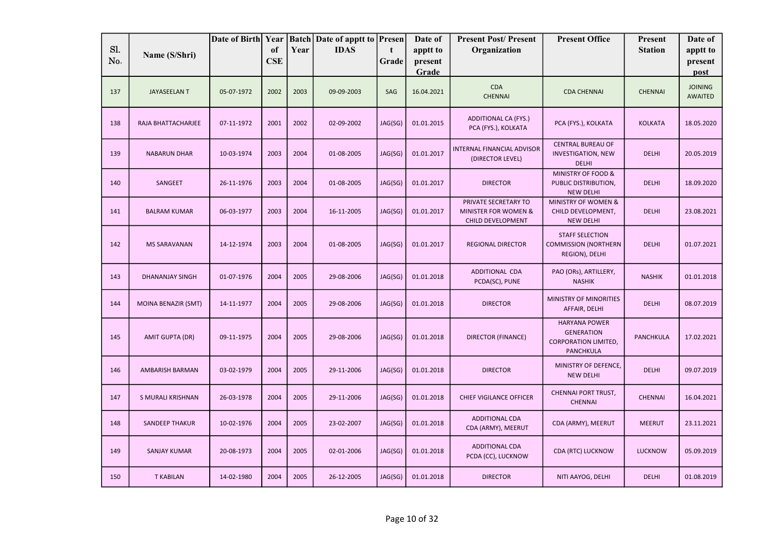| Sl. |                            | Date of Birth Year | of         | Year | <b>Batch Date of apptt to</b><br><b>IDAS</b> | Presen<br>t | Date of<br>apptt to | <b>Present Post/Present</b><br>Organization                       | <b>Present Office</b>                                                                 | <b>Present</b><br><b>Station</b> | Date of<br>apptt to              |
|-----|----------------------------|--------------------|------------|------|----------------------------------------------|-------------|---------------------|-------------------------------------------------------------------|---------------------------------------------------------------------------------------|----------------------------------|----------------------------------|
| No. | Name (S/Shri)              |                    | <b>CSE</b> |      |                                              | Grade       | present<br>Grade    |                                                                   |                                                                                       |                                  | present<br>post                  |
| 137 | <b>JAYASEELAN T</b>        | 05-07-1972         | 2002       | 2003 | 09-09-2003                                   | SAG         | 16.04.2021          | <b>CDA</b><br><b>CHENNAI</b>                                      | <b>CDA CHENNAI</b>                                                                    | <b>CHENNAI</b>                   | <b>JOINING</b><br><b>AWAITED</b> |
| 138 | RAJA BHATTACHARJEE         | 07-11-1972         | 2001       | 2002 | 02-09-2002                                   | JAG(SG)     | 01.01.2015          | <b>ADDITIONAL CA (FYS.)</b><br>PCA (FYS.), KOLKATA                | PCA (FYS.), KOLKATA                                                                   | <b>KOLKATA</b>                   | 18.05.2020                       |
| 139 | <b>NABARUN DHAR</b>        | 10-03-1974         | 2003       | 2004 | 01-08-2005                                   | JAG(SG)     | 01.01.2017          | INTERNAL FINANCIAL ADVISOR<br>(DIRECTOR LEVEL)                    | <b>CENTRAL BUREAU OF</b><br><b>INVESTIGATION, NEW</b><br><b>DELHI</b>                 | <b>DELHI</b>                     | 20.05.2019                       |
| 140 | SANGEET                    | 26-11-1976         | 2003       | 2004 | 01-08-2005                                   | JAG(SG)     | 01.01.2017          | <b>DIRECTOR</b>                                                   | MINISTRY OF FOOD &<br>PUBLIC DISTRIBUTION,<br><b>NEW DELHI</b>                        | <b>DELHI</b>                     | 18.09.2020                       |
| 141 | <b>BALRAM KUMAR</b>        | 06-03-1977         | 2003       | 2004 | 16-11-2005                                   | JAG(SG)     | 01.01.2017          | PRIVATE SECRETARY TO<br>MINISTER FOR WOMEN &<br>CHILD DEVELOPMENT | MINISTRY OF WOMEN &<br>CHILD DEVELOPMENT,<br><b>NEW DELHI</b>                         | <b>DELHI</b>                     | 23.08.2021                       |
| 142 | <b>MS SARAVANAN</b>        | 14-12-1974         | 2003       | 2004 | 01-08-2005                                   | JAG(SG)     | 01.01.2017          | <b>REGIONAL DIRECTOR</b>                                          | <b>STAFF SELECTION</b><br><b>COMMISSION (NORTHERN</b><br>REGION), DELHI               | <b>DELHI</b>                     | 01.07.2021                       |
| 143 | <b>DHANANJAY SINGH</b>     | 01-07-1976         | 2004       | 2005 | 29-08-2006                                   | JAG(SG)     | 01.01.2018          | ADDITIONAL CDA<br>PCDA(SC), PUNE                                  | PAO (ORs), ARTILLERY,<br><b>NASHIK</b>                                                | <b>NASHIK</b>                    | 01.01.2018                       |
| 144 | <b>MOINA BENAZIR (SMT)</b> | 14-11-1977         | 2004       | 2005 | 29-08-2006                                   | JAG(SG)     | 01.01.2018          | <b>DIRECTOR</b>                                                   | MINISTRY OF MINORITIES<br>AFFAIR, DELHI                                               | <b>DELHI</b>                     | 08.07.2019                       |
| 145 | <b>AMIT GUPTA (DR)</b>     | 09-11-1975         | 2004       | 2005 | 29-08-2006                                   | JAG(SG)     | 01.01.2018          | DIRECTOR (FINANCE)                                                | <b>HARYANA POWER</b><br><b>GENERATION</b><br><b>CORPORATION LIMITED,</b><br>PANCHKULA | PANCHKULA                        | 17.02.2021                       |
| 146 | <b>AMBARISH BARMAN</b>     | 03-02-1979         | 2004       | 2005 | 29-11-2006                                   | JAG(SG)     | 01.01.2018          | <b>DIRECTOR</b>                                                   | MINISTRY OF DEFENCE,<br><b>NEW DELHI</b>                                              | <b>DELHI</b>                     | 09.07.2019                       |
| 147 | S MURALI KRISHNAN          | 26-03-1978         | 2004       | 2005 | 29-11-2006                                   | JAG(SG)     | 01.01.2018          | <b>CHIEF VIGILANCE OFFICER</b>                                    | <b>CHENNAI PORT TRUST,</b><br><b>CHENNAI</b>                                          | <b>CHENNAI</b>                   | 16.04.2021                       |
| 148 | <b>SANDEEP THAKUR</b>      | 10-02-1976         | 2004       | 2005 | 23-02-2007                                   | JAG(SG)     | 01.01.2018          | <b>ADDITIONAL CDA</b><br>CDA (ARMY), MEERUT                       | CDA (ARMY), MEERUT                                                                    | <b>MEERUT</b>                    | 23.11.2021                       |
| 149 | <b>SANJAY KUMAR</b>        | 20-08-1973         | 2004       | 2005 | 02-01-2006                                   | JAG(SG)     | 01.01.2018          | <b>ADDITIONAL CDA</b><br>PCDA (CC), LUCKNOW                       | CDA (RTC) LUCKNOW                                                                     | <b>LUCKNOW</b>                   | 05.09.2019                       |
| 150 | <b>T KABILAN</b>           | 14-02-1980         | 2004       | 2005 | 26-12-2005                                   | JAG(SG)     | 01.01.2018          | <b>DIRECTOR</b>                                                   | NITI AAYOG, DELHI                                                                     | <b>DELHI</b>                     | 01.08.2019                       |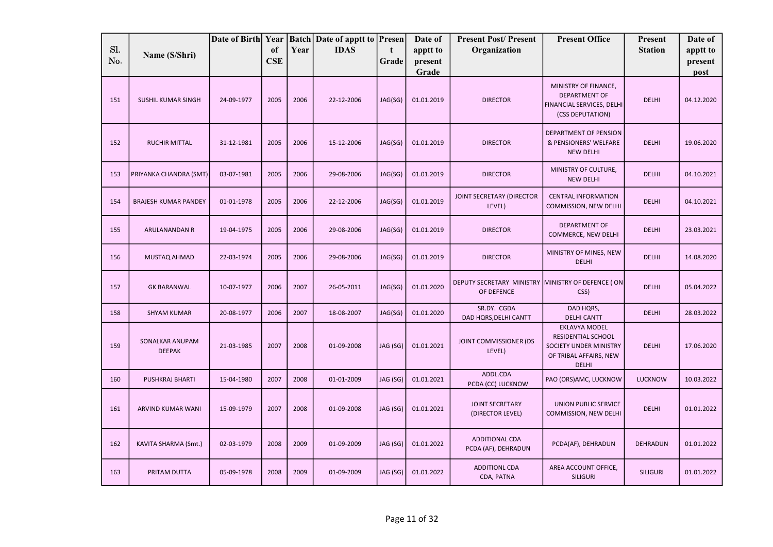|            |                                  | Date of Birth Year |            |      | <b>Batch Date of apptt to Presen</b> |          | Date of          | <b>Present Post/Present</b>                                     | <b>Present Office</b>                                                                                          | Present         | Date of         |
|------------|----------------------------------|--------------------|------------|------|--------------------------------------|----------|------------------|-----------------------------------------------------------------|----------------------------------------------------------------------------------------------------------------|-----------------|-----------------|
| SI.<br>No. | Name (S/Shri)                    |                    | of         | Year | <b>IDAS</b>                          | t        | apptt to         | Organization                                                    |                                                                                                                | <b>Station</b>  | apptt to        |
|            |                                  |                    | <b>CSE</b> |      |                                      | Grade    | present<br>Grade |                                                                 |                                                                                                                |                 | present<br>post |
| 151        | SUSHIL KUMAR SINGH               | 24-09-1977         | 2005       | 2006 | 22-12-2006                           | JAG(SG)  | 01.01.2019       | <b>DIRECTOR</b>                                                 | MINISTRY OF FINANCE,<br><b>DEPARTMENT OF</b><br>FINANCIAL SERVICES, DELHI<br>(CSS DEPUTATION)                  | <b>DELHI</b>    | 04.12.2020      |
| 152        | <b>RUCHIR MITTAL</b>             | 31-12-1981         | 2005       | 2006 | 15-12-2006                           | JAG(SG)  | 01.01.2019       | <b>DIRECTOR</b>                                                 | DEPARTMENT OF PENSION<br>& PENSIONERS' WELFARE<br><b>NEW DELHI</b>                                             | <b>DELHI</b>    | 19.06.2020      |
| 153        | PRIYANKA CHANDRA (SMT)           | 03-07-1981         | 2005       | 2006 | 29-08-2006                           | JAG(SG)  | 01.01.2019       | <b>DIRECTOR</b>                                                 | MINISTRY OF CULTURE,<br><b>NEW DELHI</b>                                                                       | <b>DELHI</b>    | 04.10.2021      |
| 154        | <b>BRAJESH KUMAR PANDEY</b>      | 01-01-1978         | 2005       | 2006 | 22-12-2006                           | JAG(SG)  | 01.01.2019       | JOINT SECRETARY (DIRECTOR<br>LEVEL)                             | <b>CENTRAL INFORMATION</b><br>COMMISSION, NEW DELHI                                                            | <b>DELHI</b>    | 04.10.2021      |
| 155        | ARULANANDAN R                    | 19-04-1975         | 2005       | 2006 | 29-08-2006                           | JAG(SG)  | 01.01.2019       | <b>DIRECTOR</b>                                                 | <b>DEPARTMENT OF</b><br>COMMERCE, NEW DELHI                                                                    | <b>DELHI</b>    | 23.03.2021      |
| 156        | MUSTAQ AHMAD                     | 22-03-1974         | 2005       | 2006 | 29-08-2006                           | JAG(SG)  | 01.01.2019       | <b>DIRECTOR</b>                                                 | MINISTRY OF MINES, NEW<br><b>DELHI</b>                                                                         | <b>DELHI</b>    | 14.08.2020      |
| 157        | <b>GK BARANWAL</b>               | 10-07-1977         | 2006       | 2007 | 26-05-2011                           | JAG(SG)  | 01.01.2020       | DEPUTY SECRETARY MINISTRY MINISTRY OF DEFENCE (ON<br>OF DEFENCE | CSS)                                                                                                           | <b>DELHI</b>    | 05.04.2022      |
| 158        | <b>SHYAM KUMAR</b>               | 20-08-1977         | 2006       | 2007 | 18-08-2007                           | JAG(SG)  | 01.01.2020       | SR.DY. CGDA<br>DAD HQRS, DELHI CANTT                            | DAD HQRS,<br><b>DELHI CANTT</b>                                                                                | <b>DELHI</b>    | 28.03.2022      |
| 159        | SONALKAR ANUPAM<br><b>DEEPAK</b> | 21-03-1985         | 2007       | 2008 | 01-09-2008                           | JAG (SG) | 01.01.2021       | JOINT COMMISSIONER (DS<br>LEVEL)                                | <b>EKLAVYA MODEL</b><br>RESIDENTIAL SCHOOL<br>SOCIETY UNDER MINISTRY<br>OF TRIBAL AFFAIRS, NEW<br><b>DELHI</b> | <b>DELHI</b>    | 17.06.2020      |
| 160        | PUSHKRAJ BHARTI                  | 15-04-1980         | 2007       | 2008 | 01-01-2009                           | JAG (SG) | 01.01.2021       | ADDL.CDA<br>PCDA (CC) LUCKNOW                                   | PAO (ORS)AMC, LUCKNOW                                                                                          | <b>LUCKNOW</b>  | 10.03.2022      |
| 161        | ARVIND KUMAR WANI                | 15-09-1979         | 2007       | 2008 | 01-09-2008                           | JAG (SG) | 01.01.2021       | <b>JOINT SECRETARY</b><br>(DIRECTOR LEVEL)                      | <b>UNION PUBLIC SERVICE</b><br>COMMISSION, NEW DELHI                                                           | <b>DELHI</b>    | 01.01.2022      |
| 162        | KAVITA SHARMA (Smt.)             | 02-03-1979         | 2008       | 2009 | 01-09-2009                           | JAG (SG) | 01.01.2022       | ADDITIONAL CDA<br>PCDA (AF), DEHRADUN                           | PCDA(AF), DEHRADUN                                                                                             | <b>DEHRADUN</b> | 01.01.2022      |
| 163        | PRITAM DUTTA                     | 05-09-1978         | 2008       | 2009 | 01-09-2009                           | JAG (SG) | 01.01.2022       | <b>ADDITIONL CDA</b><br>CDA, PATNA                              | AREA ACCOUNT OFFICE,<br><b>SILIGURI</b>                                                                        | <b>SILIGURI</b> | 01.01.2022      |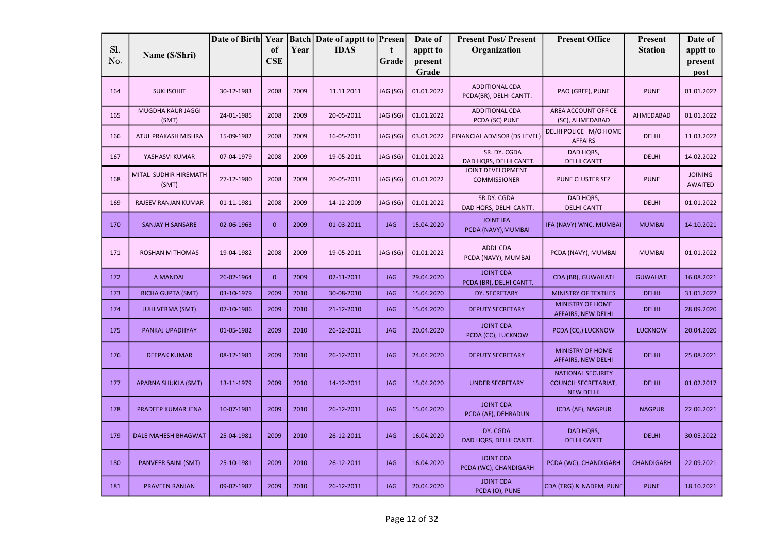|     |                                | Date of Birth Year |              |      | <b>Batch</b> Date of apptt to <b>Presen</b> |              | Date of          | <b>Present Post/Present</b>                     | <b>Present Office</b>                                                       | <b>Present</b>  | Date of                          |
|-----|--------------------------------|--------------------|--------------|------|---------------------------------------------|--------------|------------------|-------------------------------------------------|-----------------------------------------------------------------------------|-----------------|----------------------------------|
| Sl. | Name (S/Shri)                  |                    | of           | Year | <b>IDAS</b>                                 | $\mathbf{t}$ | apptt to         | Organization                                    |                                                                             | <b>Station</b>  | apptt to                         |
| No. |                                |                    | <b>CSE</b>   |      |                                             | Grade        | present<br>Grade |                                                 |                                                                             |                 | present<br>post                  |
| 164 | <b>SUKHSOHIT</b>               | 30-12-1983         | 2008         | 2009 | 11.11.2011                                  | JAG (SG)     | 01.01.2022       | <b>ADDITIONAL CDA</b><br>PCDA(BR), DELHI CANTT. | PAO (GREF), PUNE                                                            | <b>PUNE</b>     | 01.01.2022                       |
| 165 | MUGDHA KAUR JAGGI<br>(SMT)     | 24-01-1985         | 2008         | 2009 | 20-05-2011                                  | JAG (SG)     | 01.01.2022       | ADDITIONAL CDA<br>PCDA (SC) PUNE                | AREA ACCOUNT OFFICE<br>(SC), AHMEDABAD                                      | AHMEDABAD       | 01.01.2022                       |
| 166 | ATUL PRAKASH MISHRA            | 15-09-1982         | 2008         | 2009 | 16-05-2011                                  | JAG (SG)     | 03.01.2022       | FINANCIAL ADVISOR (DS LEVEL)                    | DELHI POLICE M/O HOME<br><b>AFFAIRS</b>                                     | <b>DELHI</b>    | 11.03.2022                       |
| 167 | YASHASVI KUMAR                 | 07-04-1979         | 2008         | 2009 | 19-05-2011                                  | JAG (SG)     | 01.01.2022       | SR. DY. CGDA<br>DAD HQRS, DELHI CANTT.          | DAD HQRS,<br><b>DELHI CANTT</b>                                             | <b>DELHI</b>    | 14.02.2022                       |
| 168 | MITAL SUDHIR HIREMATH<br>(SMT) | 27-12-1980         | 2008         | 2009 | 20-05-2011                                  | JAG (SG)     | 01.01.2022       | <b>JOINT DEVELOPMENT</b><br><b>COMMISSIONER</b> | PUNE CLUSTER SEZ                                                            | <b>PUNE</b>     | <b>JOINING</b><br><b>AWAITED</b> |
| 169 | RAJEEV RANJAN KUMAR            | 01-11-1981         | 2008         | 2009 | 14-12-2009                                  | JAG (SG)     | 01.01.2022       | SR.DY. CGDA<br>DAD HQRS, DELHI CANTT.           | DAD HQRS,<br><b>DELHI CANTT</b>                                             | <b>DELHI</b>    | 01.01.2022                       |
| 170 | SANJAY H SANSARE               | 02-06-1963         | $\mathbf{0}$ | 2009 | 01-03-2011                                  | <b>JAG</b>   | 15.04.2020       | <b>JOINT IFA</b><br>PCDA (NAVY), MUMBAI         | IFA (NAVY) WNC, MUMBAI                                                      | <b>MUMBAI</b>   | 14.10.2021                       |
| 171 | <b>ROSHAN M THOMAS</b>         | 19-04-1982         | 2008         | 2009 | 19-05-2011                                  | JAG (SG)     | 01.01.2022       | <b>ADDL CDA</b><br>PCDA (NAVY), MUMBAI          | PCDA (NAVY), MUMBAI                                                         | <b>MUMBAI</b>   | 01.01.2022                       |
| 172 | <b>A MANDAL</b>                | 26-02-1964         | $\mathbf{0}$ | 2009 | 02-11-2011                                  | <b>JAG</b>   | 29.04.2020       | <b>JOINT CDA</b><br>PCDA (BR), DELHI CANTT.     | CDA (BR), GUWAHATI                                                          | <b>GUWAHATI</b> | 16.08.2021                       |
| 173 | <b>RICHA GUPTA (SMT)</b>       | 03-10-1979         | 2009         | 2010 | 30-08-2010                                  | <b>JAG</b>   | 15.04.2020       | DY. SECRETARY                                   | <b>MINISTRY OF TEXTILES</b>                                                 | <b>DELHI</b>    | 31.01.2022                       |
| 174 | <b>JUHI VERMA (SMT)</b>        | 07-10-1986         | 2009         | 2010 | 21-12-2010                                  | <b>JAG</b>   | 15.04.2020       | <b>DEPUTY SECRETARY</b>                         | <b>MINISTRY OF HOME</b><br>AFFAIRS, NEW DELHI                               | <b>DELHI</b>    | 28.09.2020                       |
| 175 | PANKAJ UPADHYAY                | 01-05-1982         | 2009         | 2010 | 26-12-2011                                  | <b>JAG</b>   | 20.04.2020       | <b>JOINT CDA</b><br>PCDA (CC), LUCKNOW          | PCDA (CC,) LUCKNOW                                                          | <b>LUCKNOW</b>  | 20.04.2020                       |
| 176 | <b>DEEPAK KUMAR</b>            | 08-12-1981         | 2009         | 2010 | 26-12-2011                                  | <b>JAG</b>   | 24.04.2020       | <b>DEPUTY SECRETARY</b>                         | MINISTRY OF HOME<br><b>AFFAIRS, NEW DELHI</b>                               | <b>DELHI</b>    | 25.08.2021                       |
| 177 | <b>APARNA SHUKLA (SMT)</b>     | 13-11-1979         | 2009         | 2010 | 14-12-2011                                  | <b>JAG</b>   | 15.04.2020       | <b>UNDER SECRETARY</b>                          | <b>NATIONAL SECURITY</b><br><b>COUNCIL SECRETARIAT,</b><br><b>NEW DELHI</b> | <b>DELHI</b>    | 01.02.2017                       |
| 178 | PRADEEP KUMAR JENA             | 10-07-1981         | 2009         | 2010 | 26-12-2011                                  | <b>JAG</b>   | 15.04.2020       | <b>JOINT CDA</b><br>PCDA (AF), DEHRADUN         | <b>JCDA (AF), NAGPUR</b>                                                    | <b>NAGPUR</b>   | 22.06.2021                       |
| 179 | <b>DALE MAHESH BHAGWAT</b>     | 25-04-1981         | 2009         | 2010 | 26-12-2011                                  | <b>JAG</b>   | 16.04.2020       | DY. CGDA<br>DAD HQRS, DELHI CANTT.              | DAD HQRS,<br><b>DELHI CANTT</b>                                             | <b>DELHI</b>    | 30.05.2022                       |
| 180 | <b>PANVEER SAINI (SMT)</b>     | 25-10-1981         | 2009         | 2010 | 26-12-2011                                  | <b>JAG</b>   | 16.04.2020       | <b>JOINT CDA</b><br>PCDA (WC), CHANDIGARH       | PCDA (WC), CHANDIGARH                                                       | CHANDIGARH      | 22.09.2021                       |
| 181 | PRAVEEN RANJAN                 | 09-02-1987         | 2009         | 2010 | 26-12-2011                                  | <b>JAG</b>   | 20.04.2020       | <b>JOINT CDA</b><br>PCDA (O), PUNE              | CDA (TRG) & NADFM, PUNE                                                     | <b>PUNE</b>     | 18.10.2021                       |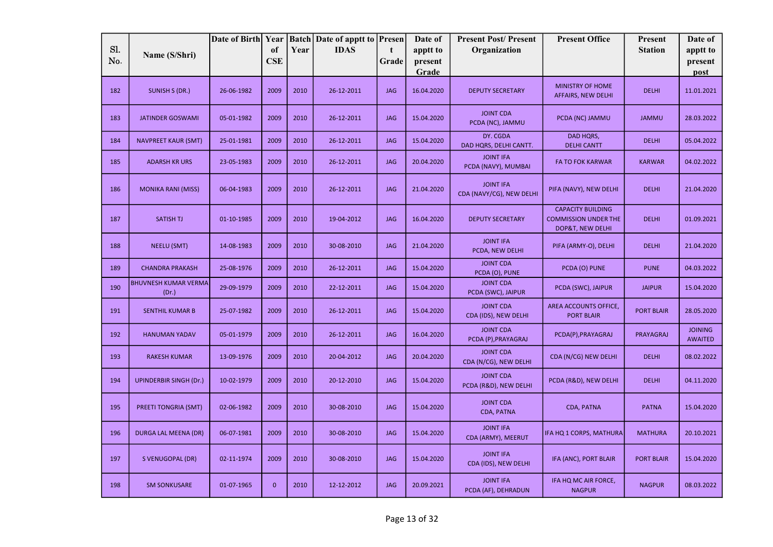|            |                                      | Date of Birth Year |                  |      | <b>Batch</b> Date of apptt to <b>Presen</b> |            | Date of             | <b>Present Post/Present</b>                  | <b>Present Office</b>                                                       | Present           | Date of                          |
|------------|--------------------------------------|--------------------|------------------|------|---------------------------------------------|------------|---------------------|----------------------------------------------|-----------------------------------------------------------------------------|-------------------|----------------------------------|
| Sl.<br>No. | Name (S/Shri)                        |                    | of<br><b>CSE</b> | Year | <b>IDAS</b>                                 | t<br>Grade | apptt to<br>present | Organization                                 |                                                                             | <b>Station</b>    | apptt to<br>present              |
|            |                                      |                    |                  |      |                                             |            | Grade               |                                              |                                                                             |                   | post                             |
| 182        | SUNISH S (DR.)                       | 26-06-1982         | 2009             | 2010 | 26-12-2011                                  | <b>JAG</b> | 16.04.2020          | <b>DEPUTY SECRETARY</b>                      | <b>MINISTRY OF HOME</b><br>AFFAIRS, NEW DELHI                               | <b>DELHI</b>      | 11.01.2021                       |
| 183        | <b>JATINDER GOSWAMI</b>              | 05-01-1982         | 2009             | 2010 | 26-12-2011                                  | <b>JAG</b> | 15.04.2020          | <b>JOINT CDA</b><br>PCDA (NC), JAMMU         | PCDA (NC) JAMMU                                                             | <b>JAMMU</b>      | 28.03.2022                       |
| 184        | <b>NAVPREET KAUR (SMT)</b>           | 25-01-1981         | 2009             | 2010 | 26-12-2011                                  | <b>JAG</b> | 15.04.2020          | DY. CGDA<br>DAD HQRS, DELHI CANTT.           | DAD HQRS,<br><b>DELHI CANTT</b>                                             | <b>DELHI</b>      | 05.04.2022                       |
| 185        | <b>ADARSH KR URS</b>                 | 23-05-1983         | 2009             | 2010 | 26-12-2011                                  | <b>JAG</b> | 20.04.2020          | <b>JOINT IFA</b><br>PCDA (NAVY), MUMBAI      | <b>FA TO FOK KARWAR</b>                                                     | <b>KARWAR</b>     | 04.02.2022                       |
| 186        | <b>MONIKA RANI (MISS)</b>            | 06-04-1983         | 2009             | 2010 | 26-12-2011                                  | <b>JAG</b> | 21.04.2020          | <b>JOINT IFA</b><br>CDA (NAVY/CG), NEW DELHI | PIFA (NAVY), NEW DELHI                                                      | <b>DELHI</b>      | 21.04.2020                       |
| 187        | <b>SATISH TJ</b>                     | 01-10-1985         | 2009             | 2010 | 19-04-2012                                  | <b>JAG</b> | 16.04.2020          | <b>DEPUTY SECRETARY</b>                      | <b>CAPACITY BUILDING</b><br><b>COMMISSION UNDER THE</b><br>DOP&T, NEW DELHI | <b>DELHI</b>      | 01.09.2021                       |
| 188        | <b>NEELU (SMT)</b>                   | 14-08-1983         | 2009             | 2010 | 30-08-2010                                  | <b>JAG</b> | 21.04.2020          | <b>JOINT IFA</b><br>PCDA, NEW DELHI          | PIFA (ARMY-O), DELHI                                                        | <b>DELHI</b>      | 21.04.2020                       |
| 189        | <b>CHANDRA PRAKASH</b>               | 25-08-1976         | 2009             | 2010 | 26-12-2011                                  | <b>JAG</b> | 15.04.2020          | <b>JOINT CDA</b><br>PCDA (O), PUNE           | PCDA (O) PUNE                                                               | <b>PUNE</b>       | 04.03.2022                       |
| 190        | <b>BHUVNESH KUMAR VERMA</b><br>(Dr.) | 29-09-1979         | 2009             | 2010 | 22-12-2011                                  | <b>JAG</b> | 15.04.2020          | <b>JOINT CDA</b><br>PCDA (SWC), JAIPUR       | PCDA (SWC), JAIPUR                                                          | <b>JAIPUR</b>     | 15.04.2020                       |
| 191        | <b>SENTHIL KUMAR B</b>               | 25-07-1982         | 2009             | 2010 | 26-12-2011                                  | <b>JAG</b> | 15.04.2020          | <b>JOINT CDA</b><br>CDA (IDS), NEW DELHI     | AREA ACCOUNTS OFFICE,<br><b>PORT BLAIR</b>                                  | <b>PORT BLAIR</b> | 28.05.2020                       |
| 192        | <b>HANUMAN YADAV</b>                 | 05-01-1979         | 2009             | 2010 | 26-12-2011                                  | <b>JAG</b> | 16.04.2020          | <b>JOINT CDA</b><br>PCDA (P), PRAYAGRAJ      | PCDA(P), PRAYAGRAJ                                                          | <b>PRAYAGRAJ</b>  | <b>JOINING</b><br><b>AWAITED</b> |
| 193        | <b>RAKESH KUMAR</b>                  | 13-09-1976         | 2009             | 2010 | 20-04-2012                                  | <b>JAG</b> | 20.04.2020          | <b>JOINT CDA</b><br>CDA (N/CG), NEW DELHI    | CDA (N/CG) NEW DELHI                                                        | <b>DELHI</b>      | 08.02.2022                       |
| 194        | <b>UPINDERBIR SINGH (Dr.)</b>        | 10-02-1979         | 2009             | 2010 | 20-12-2010                                  | <b>JAG</b> | 15.04.2020          | <b>JOINT CDA</b><br>PCDA (R&D), NEW DELHI    | PCDA (R&D), NEW DELHI                                                       | <b>DELHI</b>      | 04.11.2020                       |
| 195        | <b>PREETI TONGRIA (SMT)</b>          | 02-06-1982         | 2009             | 2010 | 30-08-2010                                  | <b>JAG</b> | 15.04.2020          | <b>JOINT CDA</b><br>CDA, PATNA               | CDA, PATNA                                                                  | <b>PATNA</b>      | 15.04.2020                       |
| 196        | DURGA LAL MEENA (DR)                 | 06-07-1981         | 2009             | 2010 | 30-08-2010                                  | <b>JAG</b> | 15.04.2020          | <b>JOINT IFA</b><br>CDA (ARMY), MEERUT       | IFA HQ 1 CORPS, MATHURA                                                     | <b>MATHURA</b>    | 20.10.2021                       |
| 197        | S VENUGOPAL (DR)                     | 02-11-1974         | 2009             | 2010 | 30-08-2010                                  | <b>JAG</b> | 15.04.2020          | <b>JOINT IFA</b><br>CDA (IDS), NEW DELHI     | IFA (ANC), PORT BLAIR                                                       | <b>PORT BLAIR</b> | 15.04.2020                       |
| 198        | <b>SM SONKUSARE</b>                  | 01-07-1965         | $\mathbf{0}$     | 2010 | 12-12-2012                                  | <b>JAG</b> | 20.09.2021          | <b>JOINT IFA</b><br>PCDA (AF), DEHRADUN      | IFA HQ MC AIR FORCE,<br><b>NAGPUR</b>                                       | <b>NAGPUR</b>     | 08.03.2022                       |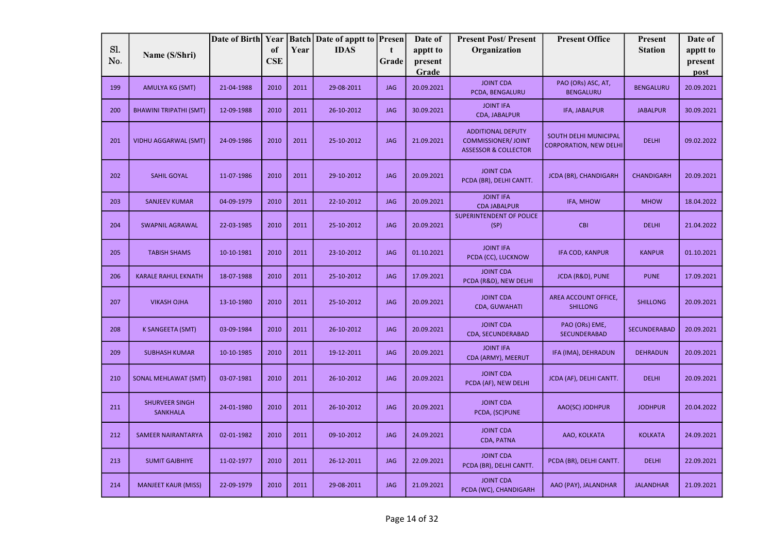|            |                                   | Date of Birth Year |                  |      | <b>Batch</b> Date of apptt to <b>Presen</b> |            | Date of             | <b>Present Post/Present</b>                                                              | <b>Present Office</b>                                  | Present           | Date of             |
|------------|-----------------------------------|--------------------|------------------|------|---------------------------------------------|------------|---------------------|------------------------------------------------------------------------------------------|--------------------------------------------------------|-------------------|---------------------|
| Sl.<br>No. | Name (S/Shri)                     |                    | of<br><b>CSE</b> | Year | <b>IDAS</b>                                 | t<br>Grade | apptt to<br>present | Organization                                                                             |                                                        | <b>Station</b>    | apptt to<br>present |
|            |                                   |                    |                  |      |                                             |            | Grade               |                                                                                          |                                                        |                   | post                |
| 199        | <b>AMULYA KG (SMT)</b>            | 21-04-1988         | 2010             | 2011 | 29-08-2011                                  | <b>JAG</b> | 20.09.2021          | <b>JOINT CDA</b><br>PCDA, BENGALURU                                                      | PAO (ORs) ASC, AT,<br><b>BENGALURU</b>                 | <b>BENGALURU</b>  | 20.09.2021          |
| 200        | <b>BHAWINI TRIPATHI (SMT)</b>     | 12-09-1988         | 2010             | 2011 | 26-10-2012                                  | <b>JAG</b> | 30.09.2021          | <b>JOINT IFA</b><br>CDA, JABALPUR                                                        | <b>IFA, JABALPUR</b>                                   | <b>JABALPUR</b>   | 30.09.2021          |
| 201        | <b>VIDHU AGGARWAL (SMT)</b>       | 24-09-1986         | 2010             | 2011 | 25-10-2012                                  | <b>JAG</b> | 21.09.2021          | <b>ADDITIONAL DEPUTY</b><br><b>COMMISSIONER/JOINT</b><br><b>ASSESSOR &amp; COLLECTOR</b> | SOUTH DELHI MUNICIPAL<br><b>CORPORATION, NEW DELHI</b> | <b>DELHI</b>      | 09.02.2022          |
| 202        | <b>SAHIL GOYAL</b>                | 11-07-1986         | 2010             | 2011 | 29-10-2012                                  | <b>JAG</b> | 20.09.2021          | <b>JOINT CDA</b><br>PCDA (BR), DELHI CANTT.                                              | JCDA (BR), CHANDIGARH                                  | <b>CHANDIGARH</b> | 20.09.2021          |
| 203        | <b>SANJEEV KUMAR</b>              | 04-09-1979         | 2010             | 2011 | 22-10-2012                                  | <b>JAG</b> | 20.09.2021          | <b>JOINT IFA</b><br><b>CDA JABALPUR</b>                                                  | IFA, MHOW                                              | <b>MHOW</b>       | 18.04.2022          |
| 204        | <b>SWAPNIL AGRAWAL</b>            | 22-03-1985         | 2010             | 2011 | 25-10-2012                                  | <b>JAG</b> | 20.09.2021          | <b>SUPERINTENDENT OF POLICE</b><br>(SP)                                                  | <b>CBI</b>                                             | <b>DELHI</b>      | 21.04.2022          |
| 205        | <b>TABISH SHAMS</b>               | 10-10-1981         | 2010             | 2011 | 23-10-2012                                  | <b>JAG</b> | 01.10.2021          | <b>JOINT IFA</b><br>PCDA (CC), LUCKNOW                                                   | <b>IFA COD, KANPUR</b>                                 | <b>KANPUR</b>     | 01.10.2021          |
| 206        | <b>KARALE RAHUL EKNATH</b>        | 18-07-1988         | 2010             | 2011 | 25-10-2012                                  | <b>JAG</b> | 17.09.2021          | <b>JOINT CDA</b><br>PCDA (R&D), NEW DELHI                                                | JCDA (R&D), PUNE                                       | <b>PUNE</b>       | 17.09.2021          |
| 207        | <b>VIKASH OJHA</b>                | 13-10-1980         | 2010             | 2011 | 25-10-2012                                  | <b>JAG</b> | 20.09.2021          | <b>JOINT CDA</b><br><b>CDA, GUWAHATI</b>                                                 | AREA ACCOUNT OFFICE,<br><b>SHILLONG</b>                | <b>SHILLONG</b>   | 20.09.2021          |
| 208        | K SANGEETA (SMT)                  | 03-09-1984         | 2010             | 2011 | 26-10-2012                                  | <b>JAG</b> | 20.09.2021          | <b>JOINT CDA</b><br>CDA, SECUNDERABAD                                                    | PAO (ORs) EME,<br><b>SECUNDERABAD</b>                  | SECUNDERABAD      | 20.09.2021          |
| 209        | <b>SUBHASH KUMAR</b>              | 10-10-1985         | 2010             | 2011 | 19-12-2011                                  | <b>JAG</b> | 20.09.2021          | <b>JOINT IFA</b><br>CDA (ARMY), MEERUT                                                   | IFA (IMA), DEHRADUN                                    | <b>DEHRADUN</b>   | 20.09.2021          |
| 210        | <b>SONAL MEHLAWAT (SMT)</b>       | 03-07-1981         | 2010             | 2011 | 26-10-2012                                  | <b>JAG</b> | 20.09.2021          | <b>JOINT CDA</b><br>PCDA (AF), NEW DELHI                                                 | JCDA (AF), DELHI CANTT.                                | <b>DELHI</b>      | 20.09.2021          |
| 211        | SHURVEER SINGH<br><b>SANKHALA</b> | 24-01-1980         | 2010             | 2011 | 26-10-2012                                  | <b>JAG</b> | 20.09.2021          | <b>JOINT CDA</b><br>PCDA, (SC)PUNE                                                       | AAO(SC) JODHPUR                                        | <b>JODHPUR</b>    | 20.04.2022          |
| 212        | <b>SAMEER NAIRANTARYA</b>         | 02-01-1982         | 2010             | 2011 | 09-10-2012                                  | <b>JAG</b> | 24.09.2021          | <b>JOINT CDA</b><br>CDA, PATNA                                                           | AAO, KOLKATA                                           | <b>KOLKATA</b>    | 24.09.2021          |
| 213        | <b>SUMIT GAJBHIYE</b>             | 11-02-1977         | 2010             | 2011 | 26-12-2011                                  | <b>JAG</b> | 22.09.2021          | <b>JOINT CDA</b><br>PCDA (BR), DELHI CANTT.                                              | PCDA (BR), DELHI CANTT.                                | <b>DELHI</b>      | 22.09.2021          |
| 214        | <b>MANJEET KAUR (MISS)</b>        | 22-09-1979         | 2010             | 2011 | 29-08-2011                                  | <b>JAG</b> | 21.09.2021          | <b>JOINT CDA</b><br>PCDA (WC), CHANDIGARH                                                | AAO (PAY), JALANDHAR                                   | <b>JALANDHAR</b>  | 21.09.2021          |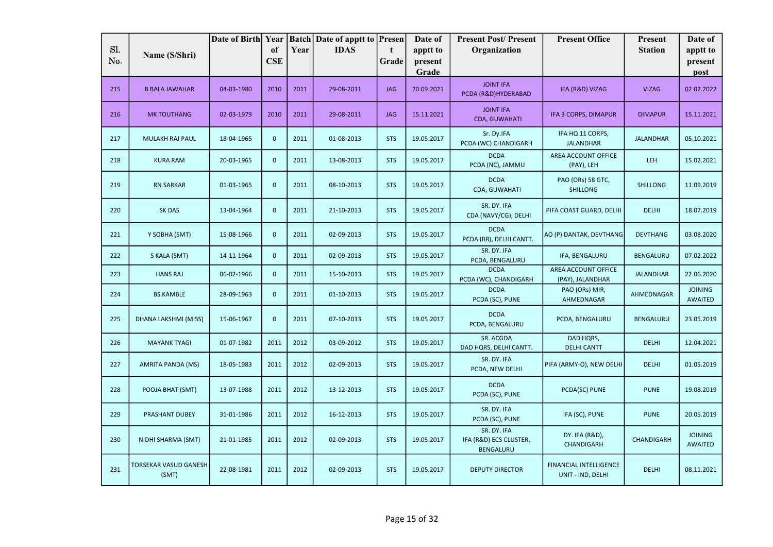|            |                                       | Date of Birth Year |                  |      | <b>Batch Date of apptt to Presen</b> |            | Date of             | <b>Present Post/Present</b>                        | <b>Present Office</b>                              | <b>Present</b>   | Date of                          |
|------------|---------------------------------------|--------------------|------------------|------|--------------------------------------|------------|---------------------|----------------------------------------------------|----------------------------------------------------|------------------|----------------------------------|
| Sl.<br>No. | Name (S/Shri)                         |                    | of<br><b>CSE</b> | Year | <b>IDAS</b>                          | t<br>Grade | apptt to<br>present | Organization                                       |                                                    | <b>Station</b>   | apptt to<br>present              |
|            |                                       |                    |                  |      |                                      |            | Grade               |                                                    |                                                    |                  | post                             |
| 215        | <b>B BALA JAWAHAR</b>                 | 04-03-1980         | 2010             | 2011 | 29-08-2011                           | <b>JAG</b> | 20.09.2021          | <b>JOINT IFA</b><br>PCDA (R&D)HYDERABAD            | IFA (R&D) VIZAG                                    | <b>VIZAG</b>     | 02.02.2022                       |
| 216        | <b>MK TOUTHANG</b>                    | 02-03-1979         | 2010             | 2011 | 29-08-2011                           | <b>JAG</b> | 15.11.2021          | <b>JOINT IFA</b><br>CDA, GUWAHATI                  | <b>IFA 3 CORPS, DIMAPUR</b>                        | <b>DIMAPUR</b>   | 15.11.2021                       |
| 217        | MULAKH RAJ PAUL                       | 18-04-1965         | $\mathbf{0}$     | 2011 | 01-08-2013                           | <b>STS</b> | 19.05.2017          | Sr. Dy.IFA<br>PCDA (WC) CHANDIGARH                 | IFA HQ 11 CORPS,<br><b>JALANDHAR</b>               | <b>JALANDHAR</b> | 05.10.2021                       |
| 218        | <b>KURA RAM</b>                       | 20-03-1965         | $\mathbf{0}$     | 2011 | 13-08-2013                           | <b>STS</b> | 19.05.2017          | <b>DCDA</b><br>PCDA (NC), JAMMU                    | AREA ACCOUNT OFFICE<br>(PAY), LEH                  | LEH              | 15.02.2021                       |
| 219        | <b>RN SARKAR</b>                      | 01-03-1965         | $\mathbf{0}$     | 2011 | 08-10-2013                           | <b>STS</b> | 19.05.2017          | <b>DCDA</b><br>CDA, GUWAHATI                       | PAO (ORs) 58 GTC,<br><b>SHILLONG</b>               | <b>SHILLONG</b>  | 11.09.2019                       |
| 220        | <b>SK DAS</b>                         | 13-04-1964         | $\mathbf 0$      | 2011 | 21-10-2013                           | <b>STS</b> | 19.05.2017          | SR. DY. IFA<br>CDA (NAVY/CG), DELHI                | PIFA COAST GUARD, DELHI                            | <b>DELHI</b>     | 18.07.2019                       |
| 221        | Y SOBHA (SMT)                         | 15-08-1966         | $\mathbf 0$      | 2011 | 02-09-2013                           | <b>STS</b> | 19.05.2017          | <b>DCDA</b><br>PCDA (BR), DELHI CANTT.             | AO (P) DANTAK, DEVTHANG                            | <b>DEVTHANG</b>  | 03.08.2020                       |
| 222        | S KALA (SMT)                          | 14-11-1964         | $\mathbf{0}$     | 2011 | 02-09-2013                           | <b>STS</b> | 19.05.2017          | SR. DY. IFA<br>PCDA, BENGALURU                     | IFA, BENGALURU                                     | <b>BENGALURU</b> | 07.02.2022                       |
| 223        | <b>HANS RAJ</b>                       | 06-02-1966         | $\mathbf{0}$     | 2011 | 15-10-2013                           | <b>STS</b> | 19.05.2017          | <b>DCDA</b><br>PCDA (WC), CHANDIGARH               | AREA ACCOUNT OFFICE<br>(PAY), JALANDHAR            | <b>JALANDHAR</b> | 22.06.2020                       |
| 224        | <b>BS KAMBLE</b>                      | 28-09-1963         | $\mathbf{0}$     | 2011 | 01-10-2013                           | <b>STS</b> | 19.05.2017          | <b>DCDA</b><br>PCDA (SC), PUNE                     | PAO (ORs) MIR,<br>AHMEDNAGAR                       | AHMEDNAGAR       | <b>JOINING</b><br><b>AWAITED</b> |
| 225        | DHANA LAKSHMI (MISS)                  | 15-06-1967         | $\mathbf{0}$     | 2011 | 07-10-2013                           | <b>STS</b> | 19.05.2017          | <b>DCDA</b><br>PCDA, BENGALURU                     | PCDA, BENGALURU                                    | <b>BENGALURU</b> | 23.05.2019                       |
| 226        | <b>MAYANK TYAGI</b>                   | 01-07-1982         | 2011             | 2012 | 03-09-2012                           | <b>STS</b> | 19.05.2017          | SR. ACGDA<br>DAD HQRS, DELHI CANTT.                | DAD HQRS,<br><b>DELHI CANTT</b>                    | <b>DELHI</b>     | 12.04.2021                       |
| 227        | AMRITA PANDA (MS)                     | 18-05-1983         | 2011             | 2012 | 02-09-2013                           | <b>STS</b> | 19.05.2017          | SR. DY. IFA<br>PCDA, NEW DELHI                     | PIFA (ARMY-O), NEW DELHI                           | <b>DELHI</b>     | 01.05.2019                       |
| 228        | POOJA BHAT (SMT)                      | 13-07-1988         | 2011             | 2012 | 13-12-2013                           | <b>STS</b> | 19.05.2017          | <b>DCDA</b><br>PCDA (SC), PUNE                     | PCDA(SC) PUNE                                      | <b>PUNE</b>      | 19.08.2019                       |
| 229        | PRASHANT DUBEY                        | 31-01-1986         | 2011             | 2012 | 16-12-2013                           | <b>STS</b> | 19.05.2017          | SR. DY. IFA<br>PCDA (SC), PUNE                     | IFA (SC), PUNE                                     | <b>PUNE</b>      | 20.05.2019                       |
| 230        | NIDHI SHARMA (SMT)                    | 21-01-1985         | 2011             | 2012 | 02-09-2013                           | <b>STS</b> | 19.05.2017          | SR. DY. IFA<br>IFA (R&D) ECS CLUSTER,<br>BENGALURU | DY. IFA (R&D),<br>CHANDIGARH                       | CHANDIGARH       | <b>JOINING</b><br><b>AWAITED</b> |
| 231        | <b>TORSEKAR VASUD GANESH</b><br>(SMT) | 22-08-1981         | 2011             | 2012 | 02-09-2013                           | <b>STS</b> | 19.05.2017          | <b>DEPUTY DIRECTOR</b>                             | <b>FINANCIAL INTELLIGENCE</b><br>UNIT - IND, DELHI | <b>DELHI</b>     | 08.11.2021                       |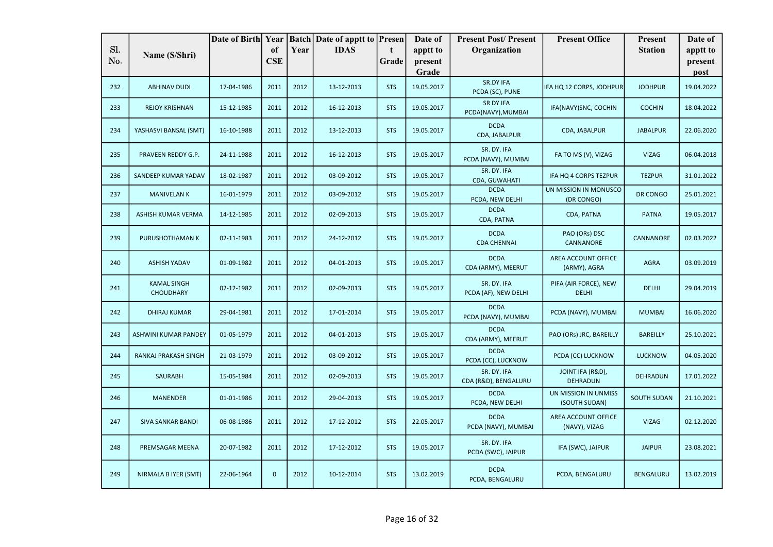|     |                                        | Date of Birth Year |              |      | <b>Batch Date of apptt to Presen</b> |            | Date of    | <b>Present Post/Present</b>         | <b>Present Office</b>                 | <b>Present</b>     | Date of    |
|-----|----------------------------------------|--------------------|--------------|------|--------------------------------------|------------|------------|-------------------------------------|---------------------------------------|--------------------|------------|
| Sl. | Name (S/Shri)                          |                    | of           | Year | <b>IDAS</b>                          | t.         | apptt to   | Organization                        |                                       | <b>Station</b>     | apptt to   |
| No. |                                        |                    | <b>CSE</b>   |      |                                      | Grade      | present    |                                     |                                       |                    | present    |
|     |                                        |                    |              |      |                                      |            | Grade      |                                     |                                       |                    | post       |
| 232 | <b>ABHINAV DUDI</b>                    | 17-04-1986         | 2011         | 2012 | 13-12-2013                           | <b>STS</b> | 19.05.2017 | SR.DY IFA<br>PCDA (SC), PUNE        | IFA HQ 12 CORPS, JODHPUR              | <b>JODHPUR</b>     | 19.04.2022 |
| 233 | <b>REJOY KRISHNAN</b>                  | 15-12-1985         | 2011         | 2012 | 16-12-2013                           | <b>STS</b> | 19.05.2017 | SR DY IFA<br>PCDA(NAVY), MUMBAI     | IFA(NAVY)SNC, COCHIN                  | <b>COCHIN</b>      | 18.04.2022 |
| 234 | YASHASVI BANSAL (SMT)                  | 16-10-1988         | 2011         | 2012 | 13-12-2013                           | <b>STS</b> | 19.05.2017 | <b>DCDA</b><br>CDA, JABALPUR        | CDA, JABALPUR                         | <b>JABALPUR</b>    | 22.06.2020 |
| 235 | PRAVEEN REDDY G.P.                     | 24-11-1988         | 2011         | 2012 | 16-12-2013                           | <b>STS</b> | 19.05.2017 | SR. DY. IFA<br>PCDA (NAVY), MUMBAI  | FA TO MS (V), VIZAG                   | <b>VIZAG</b>       | 06.04.2018 |
| 236 | SANDEEP KUMAR YADAV                    | 18-02-1987         | 2011         | 2012 | 03-09-2012                           | <b>STS</b> | 19.05.2017 | SR. DY. IFA<br>CDA, GUWAHATI        | IFA HQ 4 CORPS TEZPUR                 | <b>TEZPUR</b>      | 31.01.2022 |
| 237 | <b>MANIVELAN K</b>                     | 16-01-1979         | 2011         | 2012 | 03-09-2012                           | <b>STS</b> | 19.05.2017 | <b>DCDA</b><br>PCDA, NEW DELHI      | UN MISSION IN MONUSCO<br>(DR CONGO)   | DR CONGO           | 25.01.2021 |
| 238 | ASHISH KUMAR VERMA                     | 14-12-1985         | 2011         | 2012 | 02-09-2013                           | <b>STS</b> | 19.05.2017 | <b>DCDA</b><br>CDA, PATNA           | CDA, PATNA                            | <b>PATNA</b>       | 19.05.2017 |
| 239 | PURUSHOTHAMAN K                        | 02-11-1983         | 2011         | 2012 | 24-12-2012                           | <b>STS</b> | 19.05.2017 | <b>DCDA</b><br><b>CDA CHENNAI</b>   | PAO (ORs) DSC<br>CANNANORE            | CANNANORE          | 02.03.2022 |
| 240 | <b>ASHISH YADAV</b>                    | 01-09-1982         | 2011         | 2012 | 04-01-2013                           | <b>STS</b> | 19.05.2017 | <b>DCDA</b><br>CDA (ARMY), MEERUT   | AREA ACCOUNT OFFICE<br>(ARMY), AGRA   | <b>AGRA</b>        | 03.09.2019 |
| 241 | <b>KAMAL SINGH</b><br><b>CHOUDHARY</b> | 02-12-1982         | 2011         | 2012 | 02-09-2013                           | <b>STS</b> | 19.05.2017 | SR. DY. IFA<br>PCDA (AF), NEW DELHI | PIFA (AIR FORCE), NEW<br><b>DELHI</b> | <b>DELHI</b>       | 29.04.2019 |
| 242 | <b>DHIRAJ KUMAR</b>                    | 29-04-1981         | 2011         | 2012 | 17-01-2014                           | <b>STS</b> | 19.05.2017 | <b>DCDA</b><br>PCDA (NAVY), MUMBAI  | PCDA (NAVY), MUMBAI                   | <b>MUMBAI</b>      | 16.06.2020 |
| 243 | ASHWINI KUMAR PANDEY                   | 01-05-1979         | 2011         | 2012 | 04-01-2013                           | <b>STS</b> | 19.05.2017 | <b>DCDA</b><br>CDA (ARMY), MEERUT   | PAO (ORs) JRC, BAREILLY               | <b>BAREILLY</b>    | 25.10.2021 |
| 244 | RANKAJ PRAKASH SINGH                   | 21-03-1979         | 2011         | 2012 | 03-09-2012                           | <b>STS</b> | 19.05.2017 | <b>DCDA</b><br>PCDA (CC), LUCKNOW   | PCDA (CC) LUCKNOW                     | <b>LUCKNOW</b>     | 04.05.2020 |
| 245 | <b>SAURABH</b>                         | 15-05-1984         | 2011         | 2012 | 02-09-2013                           | <b>STS</b> | 19.05.2017 | SR. DY. IFA<br>CDA (R&D), BENGALURU | JOINT IFA (R&D),<br><b>DEHRADUN</b>   | <b>DEHRADUN</b>    | 17.01.2022 |
| 246 | <b>MANENDER</b>                        | 01-01-1986         | 2011         | 2012 | 29-04-2013                           | <b>STS</b> | 19.05.2017 | <b>DCDA</b><br>PCDA, NEW DELHI      | UN MISSION IN UNMISS<br>(SOUTH SUDAN) | <b>SOUTH SUDAN</b> | 21.10.2021 |
| 247 | <b>SIVA SANKAR BANDI</b>               | 06-08-1986         | 2011         | 2012 | 17-12-2012                           | <b>STS</b> | 22.05.2017 | <b>DCDA</b><br>PCDA (NAVY), MUMBAI  | AREA ACCOUNT OFFICE<br>(NAVY), VIZAG  | <b>VIZAG</b>       | 02.12.2020 |
| 248 | PREMSAGAR MEENA                        | 20-07-1982         | 2011         | 2012 | 17-12-2012                           | <b>STS</b> | 19.05.2017 | SR. DY. IFA<br>PCDA (SWC), JAIPUR   | IFA (SWC), JAIPUR                     | <b>JAIPUR</b>      | 23.08.2021 |
| 249 | NIRMALA B IYER (SMT)                   | 22-06-1964         | $\mathbf{0}$ | 2012 | 10-12-2014                           | <b>STS</b> | 13.02.2019 | <b>DCDA</b><br>PCDA, BENGALURU      | PCDA, BENGALURU                       | <b>BENGALURU</b>   | 13.02.2019 |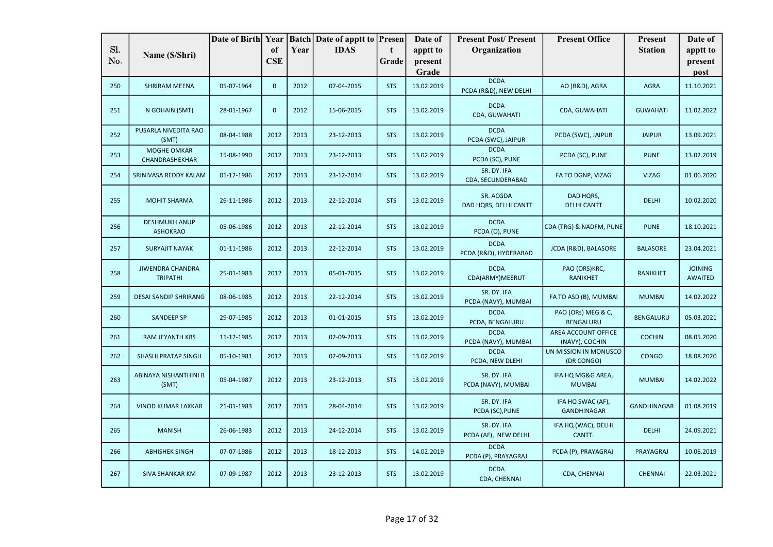|     |                                            | Date of Birth Year |              |      | <b>Batch</b> Date of apptt to <b>Presen</b> |              | Date of          | <b>Present Post/Present</b>          | <b>Present Office</b>                   | <b>Present</b>     | Date of                          |
|-----|--------------------------------------------|--------------------|--------------|------|---------------------------------------------|--------------|------------------|--------------------------------------|-----------------------------------------|--------------------|----------------------------------|
| Sl. | Name (S/Shri)                              |                    | of           | Year | <b>IDAS</b>                                 | $\mathbf{t}$ | apptt to         | Organization                         |                                         | <b>Station</b>     | apptt to                         |
| No. |                                            |                    | <b>CSE</b>   |      |                                             | Grade        | present<br>Grade |                                      |                                         |                    | present<br>post                  |
| 250 | <b>SHRIRAM MEENA</b>                       | 05-07-1964         | $\mathbf{0}$ | 2012 | 07-04-2015                                  | <b>STS</b>   | 13.02.2019       | <b>DCDA</b><br>PCDA (R&D), NEW DELHI | AO (R&D), AGRA                          | <b>AGRA</b>        | 11.10.2021                       |
| 251 | N GOHAIN (SMT)                             | 28-01-1967         | $\mathbf 0$  | 2012 | 15-06-2015                                  | <b>STS</b>   | 13.02.2019       | <b>DCDA</b><br><b>CDA, GUWAHATI</b>  | CDA, GUWAHATI                           | <b>GUWAHATI</b>    | 11.02.2022                       |
| 252 | PUSARLA NIVEDITA RAO<br>(SMT)              | 08-04-1988         | 2012         | 2013 | 23-12-2013                                  | <b>STS</b>   | 13.02.2019       | <b>DCDA</b><br>PCDA (SWC), JAIPUR    | PCDA (SWC), JAIPUR                      | <b>JAIPUR</b>      | 13.09.2021                       |
| 253 | MOGHE OMKAR<br>CHANDRASHEKHAR              | 15-08-1990         | 2012         | 2013 | 23-12-2013                                  | <b>STS</b>   | 13.02.2019       | <b>DCDA</b><br>PCDA (SC), PUNE       | PCDA (SC), PUNE                         | <b>PUNE</b>        | 13.02.2019                       |
| 254 | SRINIVASA REDDY KALAM                      | 01-12-1986         | 2012         | 2013 | 23-12-2014                                  | <b>STS</b>   | 13.02.2019       | SR. DY. IFA<br>CDA, SECUNDERABAD     | FA TO DGNP, VIZAG                       | <b>VIZAG</b>       | 01.06.2020                       |
| 255 | <b>MOHIT SHARMA</b>                        | 26-11-1986         | 2012         | 2013 | 22-12-2014                                  | <b>STS</b>   | 13.02.2019       | SR. ACGDA<br>DAD HQRS, DELHI CANTT   | DAD HQRS,<br><b>DELHI CANTT</b>         | <b>DELHI</b>       | 10.02.2020                       |
| 256 | <b>DESHMUKH ANUP</b><br><b>ASHOKRAO</b>    | 05-06-1986         | 2012         | 2013 | 22-12-2014                                  | <b>STS</b>   | 13.02.2019       | <b>DCDA</b><br>PCDA (O), PUNE        | CDA (TRG) & NADFM, PUNE                 | <b>PUNE</b>        | 18.10.2021                       |
| 257 | <b>SURYAJIT NAYAK</b>                      | 01-11-1986         | 2012         | 2013 | 22-12-2014                                  | <b>STS</b>   | 13.02.2019       | <b>DCDA</b><br>PCDA (R&D), HYDERABAD | JCDA (R&D), BALASORE                    | <b>BALASORE</b>    | 23.04.2021                       |
| 258 | <b>JIWENDRA CHANDRA</b><br><b>TRIPATHI</b> | 25-01-1983         | 2012         | 2013 | 05-01-2015                                  | <b>STS</b>   | 13.02.2019       | <b>DCDA</b><br>CDA(ARMY)MEERUT       | PAO (ORS)KRC,<br><b>RANIKHET</b>        | <b>RANIKHET</b>    | <b>JOINING</b><br><b>AWAITED</b> |
| 259 | <b>DESAI SANDIP SHRIRANG</b>               | 08-06-1985         | 2012         | 2013 | 22-12-2014                                  | <b>STS</b>   | 13.02.2019       | SR. DY. IFA<br>PCDA (NAVY), MUMBAI   | FA TO ASD (B), MUMBAI                   | <b>MUMBAI</b>      | 14.02.2022                       |
| 260 | <b>SANDEEP SP</b>                          | 29-07-1985         | 2012         | 2013 | 01-01-2015                                  | <b>STS</b>   | 13.02.2019       | <b>DCDA</b><br>PCDA, BENGALURU       | PAO (ORs) MEG & C,<br><b>BENGALURU</b>  | <b>BENGALURU</b>   | 05.03.2021                       |
| 261 | RAM JEYANTH KRS                            | 11-12-1985         | 2012         | 2013 | 02-09-2013                                  | <b>STS</b>   | 13.02.2019       | <b>DCDA</b><br>PCDA (NAVY), MUMBAI   | AREA ACCOUNT OFFICE<br>(NAVY), COCHIN   | <b>COCHIN</b>      | 08.05.2020                       |
| 262 | <b>SHASHI PRATAP SINGH</b>                 | 05-10-1981         | 2012         | 2013 | 02-09-2013                                  | <b>STS</b>   | 13.02.2019       | <b>DCDA</b><br>PCDA, NEW DLEHI       | UN MISSION IN MONUSCO<br>(DR CONGO)     | <b>CONGO</b>       | 18.08.2020                       |
| 263 | ABINAYA NISHANTHINI B<br>(SMT)             | 05-04-1987         | 2012         | 2013 | 23-12-2013                                  | <b>STS</b>   | 13.02.2019       | SR. DY. IFA<br>PCDA (NAVY), MUMBAI   | IFA HQ MG&G AREA,<br><b>MUMBAI</b>      | <b>MUMBAI</b>      | 14.02.2022                       |
| 264 | <b>VINOD KUMAR LAXKAR</b>                  | 21-01-1983         | 2012         | 2013 | 28-04-2014                                  | <b>STS</b>   | 13.02.2019       | SR. DY. IFA<br>PCDA (SC), PUNE       | IFA HQ SWAC (AF),<br><b>GANDHINAGAR</b> | <b>GANDHINAGAR</b> | 01.08.2019                       |
| 265 | <b>MANISH</b>                              | 26-06-1983         | 2012         | 2013 | 24-12-2014                                  | <b>STS</b>   | 13.02.2019       | SR. DY. IFA<br>PCDA (AF), NEW DELHI  | IFA HQ (WAC), DELHI<br>CANTT.           | <b>DELHI</b>       | 24.09.2021                       |
| 266 | <b>ABHISHEK SINGH</b>                      | 07-07-1986         | 2012         | 2013 | 18-12-2013                                  | <b>STS</b>   | 14.02.2019       | <b>DCDA</b><br>PCDA (P), PRAYAGRAJ   | PCDA (P), PRAYAGRAJ                     | PRAYAGRAJ          | 10.06.2019                       |
| 267 | <b>SIVA SHANKAR KM</b>                     | 07-09-1987         | 2012         | 2013 | 23-12-2013                                  | <b>STS</b>   | 13.02.2019       | <b>DCDA</b><br>CDA, CHENNAI          | CDA, CHENNAI                            | <b>CHENNAI</b>     | 22.03.2021                       |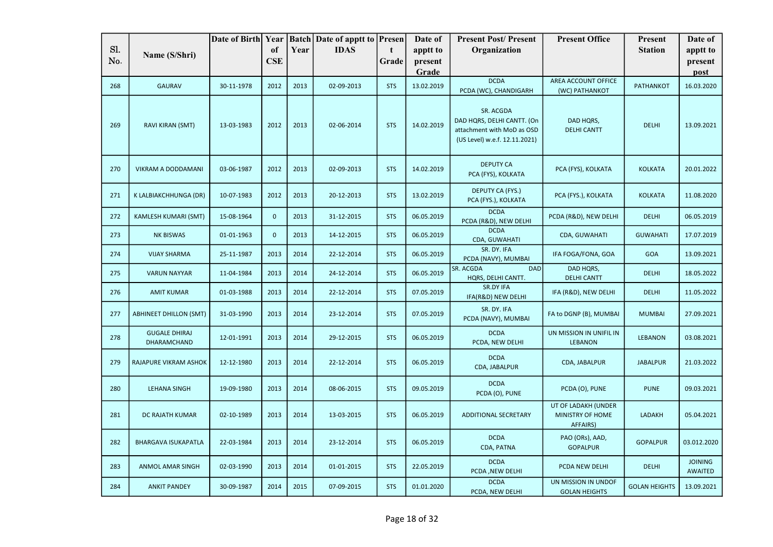|     |                                     |            |             |      | Date of Birth Year   Batch   Date of apptt to   Presen |            | Date of          | <b>Present Post/Present</b>                                                                            | <b>Present Office</b>                               | <b>Present</b>       | Date of                          |
|-----|-------------------------------------|------------|-------------|------|--------------------------------------------------------|------------|------------------|--------------------------------------------------------------------------------------------------------|-----------------------------------------------------|----------------------|----------------------------------|
| Sl. | Name (S/Shri)                       |            | of          | Year | <b>IDAS</b>                                            | t          | apptt to         | Organization                                                                                           |                                                     | <b>Station</b>       | apptt to                         |
| No. |                                     |            | <b>CSE</b>  |      |                                                        | Grade      | present<br>Grade |                                                                                                        |                                                     |                      | present<br>post                  |
| 268 | <b>GAURAV</b>                       | 30-11-1978 | 2012        | 2013 | 02-09-2013                                             | <b>STS</b> | 13.02.2019       | <b>DCDA</b><br>PCDA (WC), CHANDIGARH                                                                   | AREA ACCOUNT OFFICE<br>(WC) PATHANKOT               | <b>PATHANKOT</b>     | 16.03.2020                       |
| 269 | RAVI KIRAN (SMT)                    | 13-03-1983 | 2012        | 2013 | 02-06-2014                                             | <b>STS</b> | 14.02.2019       | SR. ACGDA<br>DAD HQRS, DELHI CANTT. (On<br>attachment with MoD as OSD<br>(US Level) w.e.f. 12.11.2021) | DAD HQRS,<br><b>DELHI CANTT</b>                     | <b>DELHI</b>         | 13.09.2021                       |
| 270 | VIKRAM A DODDAMANI                  | 03-06-1987 | 2012        | 2013 | 02-09-2013                                             | <b>STS</b> | 14.02.2019       | <b>DEPUTY CA</b><br>PCA (FYS), KOLKATA                                                                 | PCA (FYS), KOLKATA                                  | <b>KOLKATA</b>       | 20.01.2022                       |
| 271 | K LALBIAKCHHUNGA (DR)               | 10-07-1983 | 2012        | 2013 | 20-12-2013                                             | <b>STS</b> | 13.02.2019       | <b>DEPUTY CA (FYS.)</b><br>PCA (FYS.), KOLKATA                                                         | PCA (FYS.), KOLKATA                                 | <b>KOLKATA</b>       | 11.08.2020                       |
| 272 | KAMLESH KUMARI (SMT)                | 15-08-1964 | $\mathbf 0$ | 2013 | 31-12-2015                                             | <b>STS</b> | 06.05.2019       | <b>DCDA</b><br>PCDA (R&D), NEW DELHI                                                                   | PCDA (R&D), NEW DELHI                               | <b>DELHI</b>         | 06.05.2019                       |
| 273 | <b>NK BISWAS</b>                    | 01-01-1963 | $\mathbf 0$ | 2013 | 14-12-2015                                             | <b>STS</b> | 06.05.2019       | <b>DCDA</b><br>CDA, GUWAHATI                                                                           | CDA, GUWAHATI                                       | <b>GUWAHATI</b>      | 17.07.2019                       |
| 274 | <b>VIJAY SHARMA</b>                 | 25-11-1987 | 2013        | 2014 | 22-12-2014                                             | <b>STS</b> | 06.05.2019       | SR. DY. IFA<br>PCDA (NAVY), MUMBAI                                                                     | IFA FOGA/FONA, GOA                                  | <b>GOA</b>           | 13.09.2021                       |
| 275 | <b>VARUN NAYYAR</b>                 | 11-04-1984 | 2013        | 2014 | 24-12-2014                                             | <b>STS</b> | 06.05.2019       | SR. ACGDA<br><b>DAD</b><br>HQRS, DELHI CANTT.                                                          | DAD HQRS,<br><b>DELHI CANTT</b>                     | <b>DELHI</b>         | 18.05.2022                       |
| 276 | <b>AMIT KUMAR</b>                   | 01-03-1988 | 2013        | 2014 | 22-12-2014                                             | <b>STS</b> | 07.05.2019       | SR.DY IFA<br>IFA(R&D) NEW DELHI                                                                        | IFA (R&D), NEW DELHI                                | <b>DELHI</b>         | 11.05.2022                       |
| 277 | <b>ABHINEET DHILLON (SMT)</b>       | 31-03-1990 | 2013        | 2014 | 23-12-2014                                             | <b>STS</b> | 07.05.2019       | SR. DY. IFA<br>PCDA (NAVY), MUMBAI                                                                     | FA to DGNP (B), MUMBAI                              | <b>MUMBAI</b>        | 27.09.2021                       |
| 278 | <b>GUGALE DHIRAJ</b><br>DHARAMCHAND | 12-01-1991 | 2013        | 2014 | 29-12-2015                                             | <b>STS</b> | 06.05.2019       | <b>DCDA</b><br>PCDA, NEW DELHI                                                                         | UN MISSION IN UNIFIL IN<br><b>LEBANON</b>           | <b>LEBANON</b>       | 03.08.2021                       |
| 279 | RAJAPURE VIKRAM ASHOK               | 12-12-1980 | 2013        | 2014 | 22-12-2014                                             | <b>STS</b> | 06.05.2019       | <b>DCDA</b><br>CDA, JABALPUR                                                                           | CDA, JABALPUR                                       | <b>JABALPUR</b>      | 21.03.2022                       |
| 280 | <b>LEHANA SINGH</b>                 | 19-09-1980 | 2013        | 2014 | 08-06-2015                                             | <b>STS</b> | 09.05.2019       | <b>DCDA</b><br>PCDA (O), PUNE                                                                          | PCDA (O), PUNE                                      | <b>PUNE</b>          | 09.03.2021                       |
| 281 | DC RAJATH KUMAR                     | 02-10-1989 | 2013        | 2014 | 13-03-2015                                             | <b>STS</b> | 06.05.2019       | <b>ADDITIONAL SECRETARY</b>                                                                            | UT OF LADAKH (UNDER<br>MINISTRY OF HOME<br>AFFAIRS) | LADAKH               | 05.04.2021                       |
| 282 | <b>BHARGAVA ISUKAPATLA</b>          | 22-03-1984 | 2013        | 2014 | 23-12-2014                                             | <b>STS</b> | 06.05.2019       | <b>DCDA</b><br>CDA, PATNA                                                                              | PAO (ORs), AAD,<br><b>GOPALPUR</b>                  | <b>GOPALPUR</b>      | 03.012.2020                      |
| 283 | <b>ANMOL AMAR SINGH</b>             | 02-03-1990 | 2013        | 2014 | 01-01-2015                                             | <b>STS</b> | 22.05.2019       | <b>DCDA</b><br>PCDA, NEW DELHI                                                                         | PCDA NEW DELHI                                      | <b>DELHI</b>         | <b>JOINING</b><br><b>AWAITED</b> |
| 284 | <b>ANKIT PANDEY</b>                 | 30-09-1987 | 2014        | 2015 | 07-09-2015                                             | <b>STS</b> | 01.01.2020       | <b>DCDA</b><br>PCDA, NEW DELHI                                                                         | UN MISSION IN UNDOF<br><b>GOLAN HEIGHTS</b>         | <b>GOLAN HEIGHTS</b> | 13.09.2021                       |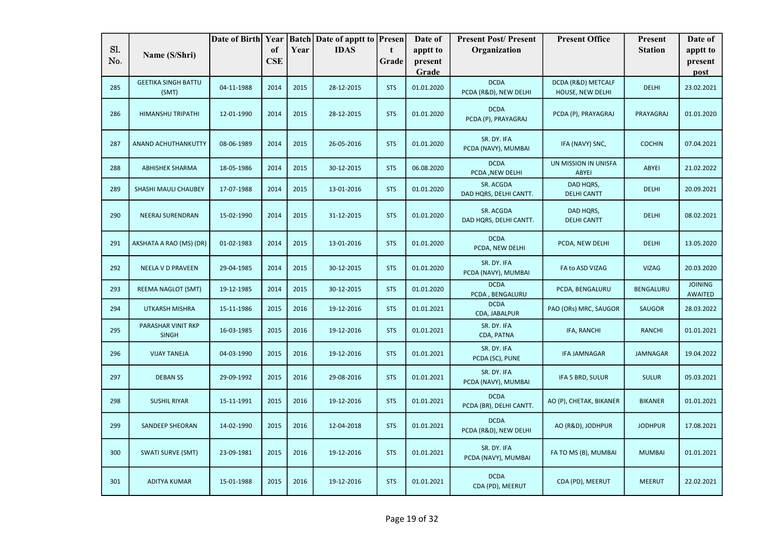|     |                                    | Date of Birth Year |            |      | <b>Batch Date of apptt to Presen</b> |            | Date of    | <b>Present Post/Present</b>            | <b>Present Office</b>           | Present         | Date of                   |
|-----|------------------------------------|--------------------|------------|------|--------------------------------------|------------|------------|----------------------------------------|---------------------------------|-----------------|---------------------------|
| Sl. | Name (S/Shri)                      |                    | of         | Year | <b>IDAS</b>                          | t          | apptt to   | Organization                           |                                 | <b>Station</b>  | apptt to                  |
| No. |                                    |                    | <b>CSE</b> |      |                                      | Grade      | present    |                                        |                                 |                 | present                   |
|     | <b>GEETIKA SINGH BATTU</b>         |                    |            |      |                                      |            | Grade      | <b>DCDA</b>                            | DCDA (R&D) METCALF              |                 | post                      |
| 285 | (SMT)                              | 04-11-1988         | 2014       | 2015 | 28-12-2015                           | <b>STS</b> | 01.01.2020 | PCDA (R&D), NEW DELHI                  | HOUSE, NEW DELHI                | <b>DELHI</b>    | 23.02.2021                |
| 286 | <b>HIMANSHU TRIPATHI</b>           | 12-01-1990         | 2014       | 2015 | 28-12-2015                           | <b>STS</b> | 01.01.2020 | <b>DCDA</b><br>PCDA (P), PRAYAGRAJ     | PCDA (P), PRAYAGRAJ             | PRAYAGRAJ       | 01.01.2020                |
| 287 | ANAND ACHUTHANKUTTY                | 08-06-1989         | 2014       | 2015 | 26-05-2016                           | <b>STS</b> | 01.01.2020 | SR. DY. IFA<br>PCDA (NAVY), MUMBAI     | IFA (NAVY) SNC,                 | <b>COCHIN</b>   | 07.04.2021                |
| 288 | <b>ABHISHEK SHARMA</b>             | 18-05-1986         | 2014       | 2015 | 30-12-2015                           | <b>STS</b> | 06.08.2020 | <b>DCDA</b><br>PCDA, NEW DELHI         | UN MISSION IN UNISFA<br>ABYEI   | <b>ABYEI</b>    | 21.02.2022                |
| 289 | SHASHI MAULI CHAUBEY               | 17-07-1988         | 2014       | 2015 | 13-01-2016                           | <b>STS</b> | 01.01.2020 | SR. ACGDA<br>DAD HQRS, DELHI CANTT.    | DAD HQRS,<br><b>DELHI CANTT</b> | <b>DELHI</b>    | 20.09.2021                |
| 290 | <b>NEERAJ SURENDRAN</b>            | 15-02-1990         | 2014       | 2015 | 31-12-2015                           | <b>STS</b> | 01.01.2020 | SR. ACGDA<br>DAD HQRS, DELHI CANTT.    | DAD HQRS,<br><b>DELHI CANTT</b> | <b>DELHI</b>    | 08.02.2021                |
| 291 | AKSHATA A RAO (MS) (DR)            | 01-02-1983         | 2014       | 2015 | 13-01-2016                           | <b>STS</b> | 01.01.2020 | <b>DCDA</b><br>PCDA, NEW DELHI         | PCDA, NEW DELHI                 | <b>DELHI</b>    | 13.05.2020                |
| 292 | NEELA V D PRAVEEN                  | 29-04-1985         | 2014       | 2015 | 30-12-2015                           | <b>STS</b> | 01.01.2020 | SR. DY. IFA<br>PCDA (NAVY), MUMBAI     | FA to ASD VIZAG                 | <b>VIZAG</b>    | 20.03.2020                |
| 293 | REEMA NAGLOT (SMT)                 | 19-12-1985         | 2014       | 2015 | 30-12-2015                           | <b>STS</b> | 01.01.2020 | <b>DCDA</b><br>PCDA, BENGALURU         | PCDA, BENGALURU                 | BENGALURU       | <b>JOINING</b><br>AWAITED |
| 294 | <b>UTKARSH MISHRA</b>              | 15-11-1986         | 2015       | 2016 | 19-12-2016                           | <b>STS</b> | 01.01.2021 | <b>DCDA</b><br>CDA, JABALPUR           | PAO (ORs) MRC, SAUGOR           | <b>SAUGOR</b>   | 28.03.2022                |
| 295 | PARASHAR VINIT RKP<br><b>SINGH</b> | 16-03-1985         | 2015       | 2016 | 19-12-2016                           | <b>STS</b> | 01.01.2021 | SR. DY. IFA<br>CDA, PATNA              | IFA, RANCHI                     | <b>RANCHI</b>   | 01.01.2021                |
| 296 | <b>VIJAY TANEJA</b>                | 04-03-1990         | 2015       | 2016 | 19-12-2016                           | <b>STS</b> | 01.01.2021 | SR. DY. IFA<br>PCDA (SC), PUNE         | <b>IFA JAMNAGAR</b>             | <b>JAMNAGAR</b> | 19.04.2022                |
| 297 | <b>DEBAN SS</b>                    | 29-09-1992         | 2015       | 2016 | 29-08-2016                           | <b>STS</b> | 01.01.2021 | SR. DY. IFA<br>PCDA (NAVY), MUMBAI     | IFA 5 BRD, SULUR                | <b>SULUR</b>    | 05.03.2021                |
| 298 | <b>SUSHIL RIYAR</b>                | 15-11-1991         | 2015       | 2016 | 19-12-2016                           | <b>STS</b> | 01.01.2021 | <b>DCDA</b><br>PCDA (BR), DELHI CANTT. | AO (P), CHETAK, BIKANER         | <b>BIKANER</b>  | 01.01.2021                |
| 299 | SANDEEP SHEORAN                    | 14-02-1990         | 2015       | 2016 | 12-04-2018                           | <b>STS</b> | 01.01.2021 | <b>DCDA</b><br>PCDA (R&D), NEW DELHI   | AO (R&D), JODHPUR               | <b>JODHPUR</b>  | 17.08.2021                |
| 300 | <b>SWATI SURVE (SMT)</b>           | 23-09-1981         | 2015       | 2016 | 19-12-2016                           | <b>STS</b> | 01.01.2021 | SR. DY. IFA<br>PCDA (NAVY), MUMBAI     | FA TO MS (B), MUMBAI            | <b>MUMBAI</b>   | 01.01.2021                |
| 301 | <b>ADITYA KUMAR</b>                | 15-01-1988         | 2015       | 2016 | 19-12-2016                           | <b>STS</b> | 01.01.2021 | <b>DCDA</b><br>CDA (PD), MEERUT        | CDA (PD), MEERUT                | <b>MEERUT</b>   | 22.02.2021                |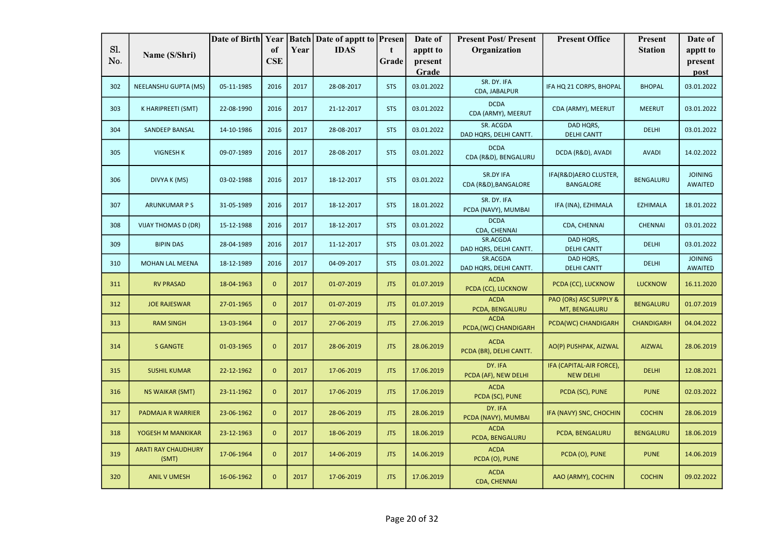|     |                                     | Date of Birth Year |                |      | <b>Batch Date of apptt to Presen</b> |            | Date of    | <b>Present Post/Present</b>            | <b>Present Office</b>                        | Present           | Date of                          |
|-----|-------------------------------------|--------------------|----------------|------|--------------------------------------|------------|------------|----------------------------------------|----------------------------------------------|-------------------|----------------------------------|
| Sl. | Name (S/Shri)                       |                    | of             | Year | <b>IDAS</b>                          | t          | apptt to   | Organization                           |                                              | <b>Station</b>    | apptt to                         |
| No. |                                     |                    | <b>CSE</b>     |      |                                      | Grade      | present    |                                        |                                              |                   | present                          |
|     |                                     |                    |                |      |                                      |            | Grade      |                                        |                                              |                   | post                             |
| 302 | NEELANSHU GUPTA (MS)                | 05-11-1985         | 2016           | 2017 | 28-08-2017                           | <b>STS</b> | 03.01.2022 | SR. DY. IFA<br>CDA, JABALPUR           | IFA HQ 21 CORPS, BHOPAL                      | <b>BHOPAL</b>     | 03.01.2022                       |
| 303 | K HARIPREETI (SMT)                  | 22-08-1990         | 2016           | 2017 | 21-12-2017                           | <b>STS</b> | 03.01.2022 | <b>DCDA</b><br>CDA (ARMY), MEERUT      | CDA (ARMY), MEERUT                           | <b>MEERUT</b>     | 03.01.2022                       |
| 304 | SANDEEP BANSAL                      | 14-10-1986         | 2016           | 2017 | 28-08-2017                           | <b>STS</b> | 03.01.2022 | SR. ACGDA<br>DAD HQRS, DELHI CANTT.    | DAD HQRS,<br><b>DELHI CANTT</b>              | <b>DELHI</b>      | 03.01.2022                       |
| 305 | <b>VIGNESH K</b>                    | 09-07-1989         | 2016           | 2017 | 28-08-2017                           | <b>STS</b> | 03.01.2022 | <b>DCDA</b><br>CDA (R&D), BENGALURU    | DCDA (R&D), AVADI                            | <b>AVADI</b>      | 14.02.2022                       |
| 306 | DIVYA K (MS)                        | 03-02-1988         | 2016           | 2017 | 18-12-2017                           | <b>STS</b> | 03.01.2022 | SR.DY IFA<br>CDA (R&D), BANGALORE      | IFA(R&D)AERO CLUSTER,<br><b>BANGALORE</b>    | <b>BENGALURU</b>  | <b>JOINING</b><br>AWAITED        |
| 307 | <b>ARUNKUMAR P S</b>                | 31-05-1989         | 2016           | 2017 | 18-12-2017                           | <b>STS</b> | 18.01.2022 | SR. DY. IFA<br>PCDA (NAVY), MUMBAI     | IFA (INA), EZHIMALA                          | <b>EZHIMALA</b>   | 18.01.2022                       |
| 308 | <b>VIJAY THOMAS D (DR)</b>          | 15-12-1988         | 2016           | 2017 | 18-12-2017                           | <b>STS</b> | 03.01.2022 | <b>DCDA</b><br>CDA, CHENNAI            | CDA, CHENNAI                                 | <b>CHENNAI</b>    | 03.01.2022                       |
| 309 | <b>BIPIN DAS</b>                    | 28-04-1989         | 2016           | 2017 | 11-12-2017                           | <b>STS</b> | 03.01.2022 | SR.ACGDA<br>DAD HQRS, DELHI CANTT.     | DAD HQRS,<br><b>DELHI CANTT</b>              | <b>DELHI</b>      | 03.01.2022                       |
| 310 | MOHAN LAL MEENA                     | 18-12-1989         | 2016           | 2017 | 04-09-2017                           | <b>STS</b> | 03.01.2022 | SR.ACGDA<br>DAD HQRS, DELHI CANTT.     | DAD HQRS,<br><b>DELHI CANTT</b>              | <b>DELHI</b>      | <b>JOINING</b><br><b>AWAITED</b> |
| 311 | <b>RV PRASAD</b>                    | 18-04-1963         | $\mathbf{0}$   | 2017 | 01-07-2019                           | <b>JTS</b> | 01.07.2019 | <b>ACDA</b><br>PCDA (CC), LUCKNOW      | PCDA (CC), LUCKNOW                           | <b>LUCKNOW</b>    | 16.11.2020                       |
| 312 | <b>JOE RAJESWAR</b>                 | 27-01-1965         | $\mathbf{0}$   | 2017 | 01-07-2019                           | <b>JTS</b> | 01.07.2019 | <b>ACDA</b><br>PCDA, BENGALURU         | PAO (ORs) ASC SUPPLY &<br>MT, BENGALURU      | <b>BENGALURU</b>  | 01.07.2019                       |
| 313 | <b>RAM SINGH</b>                    | 13-03-1964         | $\mathbf 0$    | 2017 | 27-06-2019                           | <b>JTS</b> | 27.06.2019 | <b>ACDA</b><br>PCDA, (WC) CHANDIGARH   | PCDA(WC) CHANDIGARH                          | <b>CHANDIGARH</b> | 04.04.2022                       |
| 314 | <b>S GANGTE</b>                     | 01-03-1965         | $\mathbf{0}$   | 2017 | 28-06-2019                           | <b>JTS</b> | 28.06.2019 | <b>ACDA</b><br>PCDA (BR), DELHI CANTT. | AO(P) PUSHPAK, AIZWAL                        | <b>AIZWAL</b>     | 28.06.2019                       |
| 315 | <b>SUSHIL KUMAR</b>                 | 22-12-1962         | $\mathbf{0}$   | 2017 | 17-06-2019                           | JTS        | 17.06.2019 | DY. IFA<br>PCDA (AF), NEW DELHI        | IFA (CAPITAL-AIR FORCE),<br><b>NEW DELHI</b> | <b>DELHI</b>      | 12.08.2021                       |
| 316 | <b>NS WAIKAR (SMT)</b>              | 23-11-1962         | $\mathbf{0}$   | 2017 | 17-06-2019                           | <b>JTS</b> | 17.06.2019 | <b>ACDA</b><br>PCDA (SC), PUNE         | PCDA (SC), PUNE                              | <b>PUNE</b>       | 02.03.2022                       |
| 317 | PADMAJA R WARRIER                   | 23-06-1962         | $\overline{0}$ | 2017 | 28-06-2019                           | <b>JTS</b> | 28.06.2019 | DY. IFA<br>PCDA (NAVY), MUMBAI         | IFA (NAVY) SNC, CHOCHIN                      | <b>COCHIN</b>     | 28.06.2019                       |
| 318 | YOGESH M MANKIKAR                   | 23-12-1963         | $\mathbf{0}$   | 2017 | 18-06-2019                           | <b>JTS</b> | 18.06.2019 | <b>ACDA</b><br>PCDA, BENGALURU         | PCDA, BENGALURU                              | <b>BENGALURU</b>  | 18.06.2019                       |
| 319 | <b>ARATI RAY CHAUDHURY</b><br>(SMT) | 17-06-1964         | $\mathbf{0}$   | 2017 | 14-06-2019                           | <b>JTS</b> | 14.06.2019 | <b>ACDA</b><br>PCDA (O), PUNE          | PCDA (O), PUNE                               | <b>PUNE</b>       | 14.06.2019                       |
| 320 | <b>ANIL V UMESH</b>                 | 16-06-1962         | $\mathbf{0}$   | 2017 | 17-06-2019                           | <b>JTS</b> | 17.06.2019 | <b>ACDA</b><br>CDA, CHENNAI            | AAO (ARMY), COCHIN                           | <b>COCHIN</b>     | 09.02.2022                       |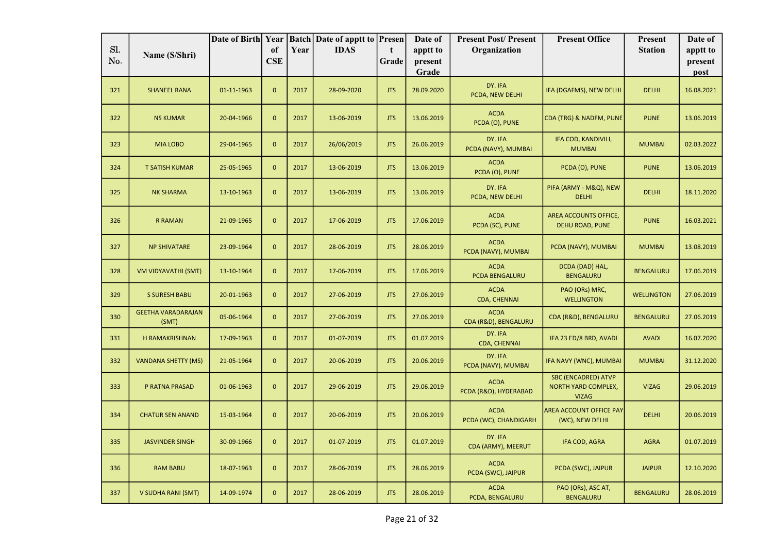| Sl. |                                    | Date of Birth Year |                  |      | <b>Batch Date of apptt to Presen</b> |                      | Date of             | <b>Present Post/Present</b>          | <b>Present Office</b>                                                    | Present           | Date of             |
|-----|------------------------------------|--------------------|------------------|------|--------------------------------------|----------------------|---------------------|--------------------------------------|--------------------------------------------------------------------------|-------------------|---------------------|
| No. | Name (S/Shri)                      |                    | of<br><b>CSE</b> | Year | <b>IDAS</b>                          | $\mathbf t$<br>Grade | apptt to<br>present | Organization                         |                                                                          | <b>Station</b>    | apptt to<br>present |
|     |                                    |                    |                  |      |                                      |                      | Grade               |                                      |                                                                          |                   | post                |
| 321 | <b>SHANEEL RANA</b>                | 01-11-1963         | $\mathbf{0}$     | 2017 | 28-09-2020                           | <b>JTS</b>           | 28.09.2020          | DY. IFA<br>PCDA, NEW DELHI           | IFA (DGAFMS), NEW DELHI                                                  | <b>DELHI</b>      | 16.08.2021          |
| 322 | <b>NS KUMAR</b>                    | 20-04-1966         | $\mathbf{0}$     | 2017 | 13-06-2019                           | <b>JTS</b>           | 13.06.2019          | <b>ACDA</b><br>PCDA (O), PUNE        | CDA (TRG) & NADFM, PUNE                                                  | <b>PUNE</b>       | 13.06.2019          |
| 323 | <b>MIA LOBO</b>                    | 29-04-1965         | $\mathbf{0}$     | 2017 | 26/06/2019                           | <b>JTS</b>           | 26.06.2019          | DY. IFA<br>PCDA (NAVY), MUMBAI       | IFA COD, KANDIVILI,<br><b>MUMBAI</b>                                     | <b>MUMBAI</b>     | 02.03.2022          |
| 324 | <b>T SATISH KUMAR</b>              | 25-05-1965         | $\mathbf{0}$     | 2017 | 13-06-2019                           | <b>JTS</b>           | 13.06.2019          | <b>ACDA</b><br>PCDA (O), PUNE        | PCDA (O), PUNE                                                           | <b>PUNE</b>       | 13.06.2019          |
| 325 | <b>NK SHARMA</b>                   | 13-10-1963         | $\mathbf{0}$     | 2017 | 13-06-2019                           | <b>JTS</b>           | 13.06.2019          | DY. IFA<br>PCDA, NEW DELHI           | PIFA (ARMY - M&Q), NEW<br><b>DELHI</b>                                   | <b>DELHI</b>      | 18.11.2020          |
| 326 | <b>R RAMAN</b>                     | 21-09-1965         | $\mathbf{0}$     | 2017 | 17-06-2019                           | <b>JTS</b>           | 17.06.2019          | <b>ACDA</b><br>PCDA (SC), PUNE       | AREA ACCOUNTS OFFICE,<br><b>DEHU ROAD, PUNE</b>                          | <b>PUNE</b>       | 16.03.2021          |
| 327 | <b>NP SHIVATARE</b>                | 23-09-1964         | $\mathbf{0}$     | 2017 | 28-06-2019                           | <b>JTS</b>           | 28.06.2019          | <b>ACDA</b><br>PCDA (NAVY), MUMBAI   | PCDA (NAVY), MUMBAI                                                      | <b>MUMBAI</b>     | 13.08.2019          |
| 328 | VM VIDYAVATHI (SMT)                | 13-10-1964         | $\mathbf{0}$     | 2017 | 17-06-2019                           | <b>JTS</b>           | 17.06.2019          | <b>ACDA</b><br>PCDA BENGALURU        | DCDA (DAD) HAL,<br><b>BENGALURU</b>                                      | <b>BENGALURU</b>  | 17.06.2019          |
| 329 | <b>S SURESH BABU</b>               | 20-01-1963         | $\mathbf{0}$     | 2017 | 27-06-2019                           | <b>JTS</b>           | 27.06.2019          | <b>ACDA</b><br>CDA, CHENNAI          | PAO (ORs) MRC,<br><b>WELLINGTON</b>                                      | <b>WELLINGTON</b> | 27.06.2019          |
| 330 | <b>GEETHA VARADARAJAN</b><br>(SMT) | 05-06-1964         | $\mathbf{0}$     | 2017 | 27-06-2019                           | <b>JTS</b>           | 27.06.2019          | <b>ACDA</b><br>CDA (R&D), BENGALURU  | CDA (R&D), BENGALURU                                                     | <b>BENGALURU</b>  | 27.06.2019          |
| 331 | <b>H RAMAKRISHNAN</b>              | 17-09-1963         | $\mathbf{0}$     | 2017 | 01-07-2019                           | <b>JTS</b>           | 01.07.2019          | DY. IFA<br>CDA, CHENNAI              | IFA 23 ED/8 BRD, AVADI                                                   | <b>AVADI</b>      | 16.07.2020          |
| 332 | <b>VANDANA SHETTY (MS)</b>         | 21-05-1964         | $\mathbf{0}$     | 2017 | 20-06-2019                           | <b>JTS</b>           | 20.06.2019          | DY. IFA<br>PCDA (NAVY), MUMBAI       | IFA NAVY (WNC), MUMBAI                                                   | <b>MUMBAI</b>     | 31.12.2020          |
| 333 | P RATNA PRASAD                     | 01-06-1963         | $\mathbf{0}$     | 2017 | 29-06-2019                           | <b>JTS</b>           | 29.06.2019          | <b>ACDA</b><br>PCDA (R&D), HYDERABAD | <b>SBC (ENCADRED) ATVP</b><br><b>NORTH YARD COMPLEX,</b><br><b>VIZAG</b> | <b>VIZAG</b>      | 29.06.2019          |
| 334 | <b>CHATUR SEN ANAND</b>            | 15-03-1964         | $\mathbf{0}$     | 2017 | 20-06-2019                           | <b>JTS</b>           | 20.06.2019          | <b>ACDA</b><br>PCDA (WC), CHANDIGARH | AREA ACCOUNT OFFICE PAY<br>(WC), NEW DELHI                               | <b>DELHI</b>      | 20.06.2019          |
| 335 | <b>JASVINDER SINGH</b>             | 30-09-1966         | $\mathbf{0}$     | 2017 | 01-07-2019                           | <b>JTS</b>           | 01.07.2019          | DY. IFA<br>CDA (ARMY), MEERUT        | IFA COD, AGRA                                                            | <b>AGRA</b>       | 01.07.2019          |
| 336 | <b>RAM BABU</b>                    | 18-07-1963         | $\mathbf{0}$     | 2017 | 28-06-2019                           | <b>JTS</b>           | 28.06.2019          | <b>ACDA</b><br>PCDA (SWC), JAIPUR    | PCDA (SWC), JAIPUR                                                       | <b>JAIPUR</b>     | 12.10.2020          |
| 337 | V SUDHA RANI (SMT)                 | 14-09-1974         | $\mathbf{0}$     | 2017 | 28-06-2019                           | <b>JTS</b>           | 28.06.2019          | <b>ACDA</b><br>PCDA, BENGALURU       | PAO (ORs), ASC AT,<br><b>BENGALURU</b>                                   | <b>BENGALURU</b>  | 28.06.2019          |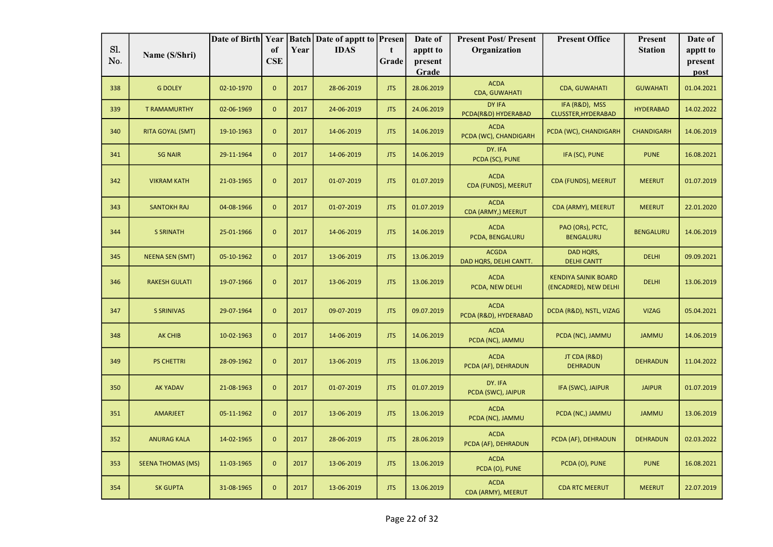|            |                          | Date of Birth Year |                  |      | <b>Batch Date of apptt to Presen</b> |             | Date of          | <b>Present Post/Present</b>            | <b>Present Office</b>                                | Present           | Date of         |
|------------|--------------------------|--------------------|------------------|------|--------------------------------------|-------------|------------------|----------------------------------------|------------------------------------------------------|-------------------|-----------------|
| Sl.<br>No. | Name (S/Shri)            |                    | of<br><b>CSE</b> | Year | <b>IDAS</b>                          | $\mathbf t$ | apptt to         | Organization                           |                                                      | <b>Station</b>    | apptt to        |
|            |                          |                    |                  |      |                                      | Grade       | present<br>Grade |                                        |                                                      |                   | present<br>post |
| 338        | <b>G DOLEY</b>           | 02-10-1970         | $\overline{0}$   | 2017 | 28-06-2019                           | <b>JTS</b>  | 28.06.2019       | <b>ACDA</b><br><b>CDA, GUWAHATI</b>    | <b>CDA, GUWAHATI</b>                                 | <b>GUWAHATI</b>   | 01.04.2021      |
| 339        | <b>T RAMAMURTHY</b>      | 02-06-1969         | $\overline{0}$   | 2017 | 24-06-2019                           | <b>JTS</b>  | 24.06.2019       | DY IFA<br>PCDA(R&D) HYDERABAD          | IFA (R&D), MSS<br>CLUSSTER, HYDERABAD                | <b>HYDERABAD</b>  | 14.02.2022      |
| 340        | RITA GOYAL (SMT)         | 19-10-1963         | $\mathbf{0}$     | 2017 | 14-06-2019                           | <b>JTS</b>  | 14.06.2019       | <b>ACDA</b><br>PCDA (WC), CHANDIGARH   | PCDA (WC), CHANDIGARH                                | <b>CHANDIGARH</b> | 14.06.2019      |
| 341        | <b>SG NAIR</b>           | 29-11-1964         | $\overline{0}$   | 2017 | 14-06-2019                           | <b>JTS</b>  | 14.06.2019       | DY. IFA<br>PCDA (SC), PUNE             | IFA (SC), PUNE                                       | <b>PUNE</b>       | 16.08.2021      |
| 342        | <b>VIKRAM KATH</b>       | 21-03-1965         | $\mathbf{0}$     | 2017 | 01-07-2019                           | <b>JTS</b>  | 01.07.2019       | <b>ACDA</b><br>CDA (FUNDS), MEERUT     | CDA (FUNDS), MEERUT                                  | <b>MEERUT</b>     | 01.07.2019      |
| 343        | <b>SANTOKH RAJ</b>       | 04-08-1966         | $\overline{0}$   | 2017 | 01-07-2019                           | <b>JTS</b>  | 01.07.2019       | <b>ACDA</b><br>CDA (ARMY,) MEERUT      | CDA (ARMY), MEERUT                                   | <b>MEERUT</b>     | 22.01.2020      |
| 344        | <b>S SRINATH</b>         | 25-01-1966         | $\mathbf{0}$     | 2017 | 14-06-2019                           | <b>JTS</b>  | 14.06.2019       | <b>ACDA</b><br>PCDA, BENGALURU         | PAO (ORs), PCTC,<br><b>BENGALURU</b>                 | <b>BENGALURU</b>  | 14.06.2019      |
| 345        | <b>NEENA SEN (SMT)</b>   | 05-10-1962         | $\mathbf{0}$     | 2017 | 13-06-2019                           | <b>JTS</b>  | 13.06.2019       | <b>ACGDA</b><br>DAD HQRS, DELHI CANTT. | DAD HQRS,<br><b>DELHI CANTT</b>                      | <b>DELHI</b>      | 09.09.2021      |
| 346        | <b>RAKESH GULATI</b>     | 19-07-1966         | $\mathbf{0}$     | 2017 | 13-06-2019                           | <b>JTS</b>  | 13.06.2019       | <b>ACDA</b><br>PCDA, NEW DELHI         | <b>KENDIYA SAINIK BOARD</b><br>(ENCADRED), NEW DELHI | <b>DELHI</b>      | 13.06.2019      |
| 347        | <b>S SRINIVAS</b>        | 29-07-1964         | $\mathbf{0}$     | 2017 | 09-07-2019                           | <b>JTS</b>  | 09.07.2019       | <b>ACDA</b><br>PCDA (R&D), HYDERABAD   | DCDA (R&D), NSTL, VIZAG                              | <b>VIZAG</b>      | 05.04.2021      |
| 348        | <b>AK CHIB</b>           | 10-02-1963         | $\mathbf{0}$     | 2017 | 14-06-2019                           | <b>JTS</b>  | 14.06.2019       | <b>ACDA</b><br>PCDA (NC), JAMMU        | PCDA (NC), JAMMU                                     | <b>JAMMU</b>      | 14.06.2019      |
| 349        | <b>PS CHETTRI</b>        | 28-09-1962         | $\mathbf{0}$     | 2017 | 13-06-2019                           | <b>JTS</b>  | 13.06.2019       | <b>ACDA</b><br>PCDA (AF), DEHRADUN     | JT CDA (R&D)<br><b>DEHRADUN</b>                      | <b>DEHRADUN</b>   | 11.04.2022      |
| 350        | <b>AK YADAV</b>          | 21-08-1963         | $\mathbf{0}$     | 2017 | 01-07-2019                           | <b>JTS</b>  | 01.07.2019       | DY. IFA<br>PCDA (SWC), JAIPUR          | IFA (SWC), JAIPUR                                    | <b>JAIPUR</b>     | 01.07.2019      |
| 351        | AMARJEET                 | 05-11-1962         | $\mathbf{0}$     | 2017 | 13-06-2019                           | <b>JTS</b>  | 13.06.2019       | <b>ACDA</b><br>PCDA (NC), JAMMU        | PCDA (NC,) JAMMU                                     | <b>JAMMU</b>      | 13.06.2019      |
| 352        | <b>ANURAG KALA</b>       | 14-02-1965         | $\mathbf{0}$     | 2017 | 28-06-2019                           | <b>JTS</b>  | 28.06.2019       | <b>ACDA</b><br>PCDA (AF), DEHRADUN     | PCDA (AF), DEHRADUN                                  | <b>DEHRADUN</b>   | 02.03.2022      |
| 353        | <b>SEENA THOMAS (MS)</b> | 11-03-1965         | $\mathbf{0}$     | 2017 | 13-06-2019                           | <b>JTS</b>  | 13.06.2019       | <b>ACDA</b><br>PCDA (O), PUNE          | PCDA (O), PUNE                                       | <b>PUNE</b>       | 16.08.2021      |
| 354        | <b>SK GUPTA</b>          | 31-08-1965         | $\mathbf{0}$     | 2017 | 13-06-2019                           | <b>JTS</b>  | 13.06.2019       | <b>ACDA</b><br>CDA (ARMY), MEERUT      | <b>CDA RTC MEERUT</b>                                | <b>MEERUT</b>     | 22.07.2019      |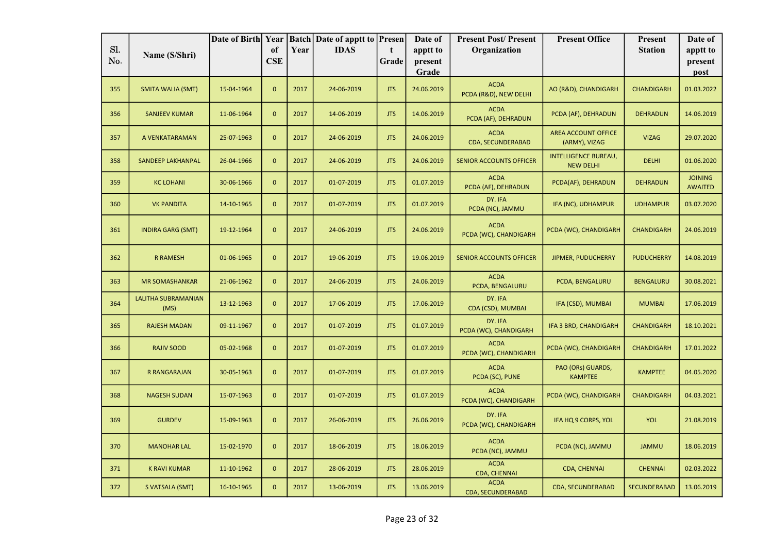|            |                             | Date of Birth Year |                  |      | <b>Batch Date of apptt to Presen</b> |                      | Date of             | <b>Present Post/Present</b>          | <b>Present Office</b>                           | Present             | Date of                          |
|------------|-----------------------------|--------------------|------------------|------|--------------------------------------|----------------------|---------------------|--------------------------------------|-------------------------------------------------|---------------------|----------------------------------|
| Sl.<br>No. | Name (S/Shri)               |                    | of<br><b>CSE</b> | Year | <b>IDAS</b>                          | $\mathbf t$<br>Grade | apptt to<br>present | Organization                         |                                                 | <b>Station</b>      | apptt to                         |
|            |                             |                    |                  |      |                                      |                      | Grade               |                                      |                                                 |                     | present<br>post                  |
| 355        | SMITA WALIA (SMT)           | 15-04-1964         | $\mathbf{0}$     | 2017 | 24-06-2019                           | <b>JTS</b>           | 24.06.2019          | <b>ACDA</b><br>PCDA (R&D), NEW DELHI | AO (R&D), CHANDIGARH                            | <b>CHANDIGARH</b>   | 01.03.2022                       |
| 356        | <b>SANJEEV KUMAR</b>        | 11-06-1964         | $\mathbf{0}$     | 2017 | 14-06-2019                           | <b>JTS</b>           | 14.06.2019          | <b>ACDA</b><br>PCDA (AF), DEHRADUN   | PCDA (AF), DEHRADUN                             | <b>DEHRADUN</b>     | 14.06.2019                       |
| 357        | A VENKATARAMAN              | 25-07-1963         | $\mathbf{0}$     | 2017 | 24-06-2019                           | <b>JTS</b>           | 24.06.2019          | <b>ACDA</b><br>CDA, SECUNDERABAD     | AREA ACCOUNT OFFICE<br>(ARMY), VIZAG            | <b>VIZAG</b>        | 29.07.2020                       |
| 358        | <b>SANDEEP LAKHANPAL</b>    | 26-04-1966         | $\mathbf{0}$     | 2017 | 24-06-2019                           | <b>JTS</b>           | 24.06.2019          | <b>SENIOR ACCOUNTS OFFICER</b>       | <b>INTELLIGENCE BUREAU,</b><br><b>NEW DELHI</b> | <b>DELHI</b>        | 01.06.2020                       |
| 359        | <b>KC LOHANI</b>            | 30-06-1966         | $\mathbf{0}$     | 2017 | 01-07-2019                           | <b>JTS</b>           | 01.07.2019          | <b>ACDA</b><br>PCDA (AF), DEHRADUN   | PCDA(AF), DEHRADUN                              | <b>DEHRADUN</b>     | <b>JOINING</b><br><b>AWAITED</b> |
| 360        | <b>VK PANDITA</b>           | 14-10-1965         | $\mathbf{0}$     | 2017 | 01-07-2019                           | <b>JTS</b>           | 01.07.2019          | DY. IFA<br>PCDA (NC), JAMMU          | IFA (NC), UDHAMPUR                              | <b>UDHAMPUR</b>     | 03.07.2020                       |
| 361        | <b>INDIRA GARG (SMT)</b>    | 19-12-1964         | $\mathbf{0}$     | 2017 | 24-06-2019                           | <b>JTS</b>           | 24.06.2019          | <b>ACDA</b><br>PCDA (WC), CHANDIGARH | PCDA (WC), CHANDIGARH                           | <b>CHANDIGARH</b>   | 24.06.2019                       |
| 362        | <b>R RAMESH</b>             | 01-06-1965         | $\mathbf{0}$     | 2017 | 19-06-2019                           | <b>JTS</b>           | 19.06.2019          | <b>SENIOR ACCOUNTS OFFICER</b>       | <b>JIPMER, PUDUCHERRY</b>                       | <b>PUDUCHERRY</b>   | 14.08.2019                       |
| 363        | <b>MR SOMASHANKAR</b>       | 21-06-1962         | $\mathbf{0}$     | 2017 | 24-06-2019                           | <b>JTS</b>           | 24.06.2019          | <b>ACDA</b><br>PCDA, BENGALURU       | PCDA, BENGALURU                                 | <b>BENGALURU</b>    | 30.08.2021                       |
| 364        | LALITHA SUBRAMANIAN<br>(MS) | 13-12-1963         | $\mathbf{0}$     | 2017 | 17-06-2019                           | <b>JTS</b>           | 17.06.2019          | DY. IFA<br>CDA (CSD), MUMBAI         | IFA (CSD), MUMBAI                               | <b>MUMBAI</b>       | 17.06.2019                       |
| 365        | <b>RAJESH MADAN</b>         | 09-11-1967         | $\mathbf{0}$     | 2017 | 01-07-2019                           | <b>JTS</b>           | 01.07.2019          | DY. IFA<br>PCDA (WC), CHANDIGARH     | IFA 3 BRD, CHANDIGARH                           | <b>CHANDIGARH</b>   | 18.10.2021                       |
| 366        | <b>RAJIV SOOD</b>           | 05-02-1968         | $\mathbf{0}$     | 2017 | 01-07-2019                           | <b>JTS</b>           | 01.07.2019          | <b>ACDA</b><br>PCDA (WC), CHANDIGARH | PCDA (WC), CHANDIGARH                           | <b>CHANDIGARH</b>   | 17.01.2022                       |
| 367        | R RANGARAJAN                | 30-05-1963         | $\mathbf{0}$     | 2017 | 01-07-2019                           | <b>JTS</b>           | 01.07.2019          | <b>ACDA</b><br>PCDA (SC), PUNE       | PAO (ORs) GUARDS,<br><b>KAMPTEE</b>             | <b>KAMPTEE</b>      | 04.05.2020                       |
| 368        | <b>NAGESH SUDAN</b>         | 15-07-1963         | $\overline{0}$   | 2017 | 01-07-2019                           | <b>JTS</b>           | 01.07.2019          | <b>ACDA</b><br>PCDA (WC), CHANDIGARH | PCDA (WC), CHANDIGARH                           | <b>CHANDIGARH</b>   | 04.03.2021                       |
| 369        | <b>GURDEV</b>               | 15-09-1963         | $\mathbf{0}$     | 2017 | 26-06-2019                           | <b>JTS</b>           | 26.06.2019          | DY. IFA<br>PCDA (WC), CHANDIGARH     | IFA HQ 9 CORPS, YOL                             | <b>YOL</b>          | 21.08.2019                       |
| 370        | <b>MANOHAR LAL</b>          | 15-02-1970         | $\mathbf{0}$     | 2017 | 18-06-2019                           | <b>JTS</b>           | 18.06.2019          | <b>ACDA</b><br>PCDA (NC), JAMMU      | PCDA (NC), JAMMU                                | <b>JAMMU</b>        | 18.06.2019                       |
| 371        | <b>K RAVI KUMAR</b>         | 11-10-1962         | $\mathbf{0}$     | 2017 | 28-06-2019                           | <b>JTS</b>           | 28.06.2019          | <b>ACDA</b><br>CDA, CHENNAI          | CDA, CHENNAI                                    | <b>CHENNAI</b>      | 02.03.2022                       |
| 372        | S VATSALA (SMT)             | 16-10-1965         | $\mathbf{0}$     | 2017 | 13-06-2019                           | <b>JTS</b>           | 13.06.2019          | <b>ACDA</b><br>CDA, SECUNDERABAD     | CDA, SECUNDERABAD                               | <b>SECUNDERABAD</b> | 13.06.2019                       |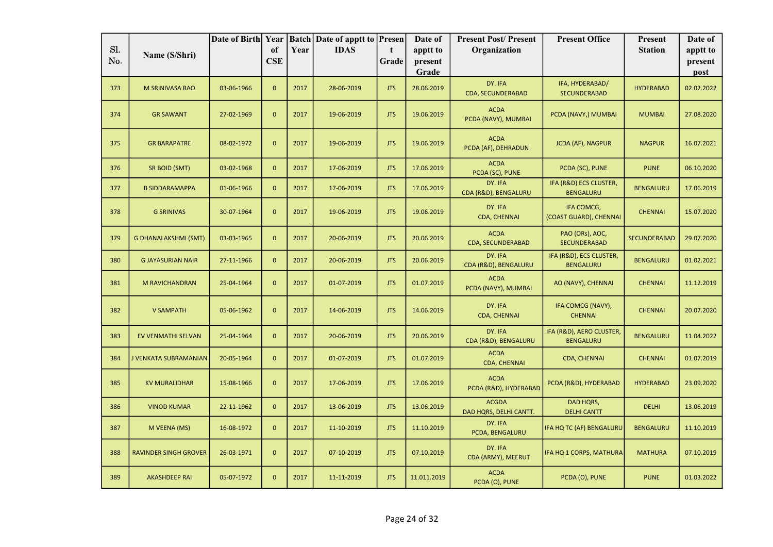|            |                              | Date of Birth Year |                  |      | <b>Batch Date of apptt to Presen</b> |            | Date of             | <b>Present Post/Present</b>            | <b>Present Office</b>                        | Present          | Date of             |
|------------|------------------------------|--------------------|------------------|------|--------------------------------------|------------|---------------------|----------------------------------------|----------------------------------------------|------------------|---------------------|
| Sl.<br>No. | Name (S/Shri)                |                    | of<br><b>CSE</b> | Year | <b>IDAS</b>                          | t<br>Grade | apptt to<br>present | Organization                           |                                              | <b>Station</b>   | apptt to<br>present |
|            |                              |                    |                  |      |                                      |            | Grade               |                                        |                                              |                  | post                |
| 373        | M SRINIVASA RAO              | 03-06-1966         | $\mathbf{0}$     | 2017 | 28-06-2019                           | <b>JTS</b> | 28.06.2019          | DY. IFA<br><b>CDA, SECUNDERABAD</b>    | IFA, HYDERABAD/<br><b>SECUNDERABAD</b>       | <b>HYDERABAD</b> | 02.02.2022          |
| 374        | <b>GR SAWANT</b>             | 27-02-1969         | $\mathbf{0}$     | 2017 | 19-06-2019                           | <b>JTS</b> | 19.06.2019          | <b>ACDA</b><br>PCDA (NAVY), MUMBAI     | PCDA (NAVY,) MUMBAI                          | <b>MUMBAI</b>    | 27.08.2020          |
| 375        | <b>GR BARAPATRE</b>          | 08-02-1972         | $\mathbf{0}$     | 2017 | 19-06-2019                           | <b>JTS</b> | 19.06.2019          | <b>ACDA</b><br>PCDA (AF), DEHRADUN     | <b>JCDA (AF), NAGPUR</b>                     | <b>NAGPUR</b>    | 16.07.2021          |
| 376        | SR BOID (SMT)                | 03-02-1968         | $\overline{0}$   | 2017 | 17-06-2019                           | <b>JTS</b> | 17.06.2019          | <b>ACDA</b><br>PCDA (SC), PUNE         | PCDA (SC), PUNE                              | <b>PUNE</b>      | 06.10.2020          |
| 377        | <b>B SIDDARAMAPPA</b>        | 01-06-1966         | $\mathbf{0}$     | 2017 | 17-06-2019                           | <b>JTS</b> | 17.06.2019          | DY. IFA<br>CDA (R&D), BENGALURU        | IFA (R&D) ECS CLUSTER,<br><b>BENGALURU</b>   | <b>BENGALURU</b> | 17.06.2019          |
| 378        | <b>G SRINIVAS</b>            | 30-07-1964         | $\mathbf{0}$     | 2017 | 19-06-2019                           | <b>JTS</b> | 19.06.2019          | DY. IFA<br><b>CDA, CHENNAI</b>         | IFA COMCG,<br>(COAST GUARD), CHENNAI         | <b>CHENNAI</b>   | 15.07.2020          |
| 379        | <b>G DHANALAKSHMI (SMT)</b>  | 03-03-1965         | $\mathbf{0}$     | 2017 | 20-06-2019                           | <b>JTS</b> | 20.06.2019          | <b>ACDA</b><br>CDA, SECUNDERABAD       | PAO (ORs), AOC,<br>SECUNDERABAD              | SECUNDERABAD     | 29.07.2020          |
| 380        | <b>G JAYASURIAN NAIR</b>     | 27-11-1966         | $\mathbf{0}$     | 2017 | 20-06-2019                           | <b>JTS</b> | 20.06.2019          | DY. IFA<br>CDA (R&D), BENGALURU        | IFA (R&D), ECS CLUSTER,<br><b>BENGALURU</b>  | <b>BENGALURU</b> | 01.02.2021          |
| 381        | M RAVICHANDRAN               | 25-04-1964         | $\mathbf{0}$     | 2017 | 01-07-2019                           | <b>JTS</b> | 01.07.2019          | <b>ACDA</b><br>PCDA (NAVY), MUMBAI     | AO (NAVY), CHENNAI                           | <b>CHENNAI</b>   | 11.12.2019          |
| 382        | <b>V SAMPATH</b>             | 05-06-1962         | $\mathbf{0}$     | 2017 | 14-06-2019                           | <b>JTS</b> | 14.06.2019          | DY. IFA<br>CDA, CHENNAI                | IFA COMCG (NAVY),<br><b>CHENNAI</b>          | <b>CHENNAI</b>   | 20.07.2020          |
| 383        | EV VENMATHI SELVAN           | 25-04-1964         | $\mathbf{0}$     | 2017 | 20-06-2019                           | <b>JTS</b> | 20.06.2019          | DY. IFA<br>CDA (R&D), BENGALURU        | IFA (R&D), AERO CLUSTER,<br><b>BENGALURU</b> | <b>BENGALURU</b> | 11.04.2022          |
| 384        | J VENKATA SUBRAMANIAN        | 20-05-1964         | $\mathbf{0}$     | 2017 | 01-07-2019                           | <b>JTS</b> | 01.07.2019          | <b>ACDA</b><br><b>CDA, CHENNAI</b>     | CDA, CHENNAI                                 | <b>CHENNAI</b>   | 01.07.2019          |
| 385        | <b>KV MURALIDHAR</b>         | 15-08-1966         | $\mathbf{0}$     | 2017 | 17-06-2019                           | <b>JTS</b> | 17.06.2019          | <b>ACDA</b><br>PCDA (R&D), HYDERABAD   | PCDA (R&D), HYDERABAD                        | <b>HYDERABAD</b> | 23.09.2020          |
| 386        | <b>VINOD KUMAR</b>           | 22-11-1962         | $\mathbf{0}$     | 2017 | 13-06-2019                           | <b>JTS</b> | 13.06.2019          | <b>ACGDA</b><br>DAD HORS, DELHI CANTT. | DAD HQRS,<br><b>DELHI CANTT</b>              | <b>DELHI</b>     | 13.06.2019          |
| 387        | M VEENA (MS)                 | 16-08-1972         | $\mathbf{0}$     | 2017 | 11-10-2019                           | <b>JTS</b> | 11.10.2019          | DY. IFA<br>PCDA, BENGALURU             | IFA HQ TC (AF) BENGALURU                     | <b>BENGALURU</b> | 11.10.2019          |
| 388        | <b>RAVINDER SINGH GROVER</b> | 26-03-1971         | $\mathbf{0}$     | 2017 | 07-10-2019                           | <b>JTS</b> | 07.10.2019          | DY. IFA<br>CDA (ARMY), MEERUT          | IFA HQ 1 CORPS, MATHURA                      | <b>MATHURA</b>   | 07.10.2019          |
| 389        | <b>AKASHDEEP RAI</b>         | 05-07-1972         | $\mathbf{0}$     | 2017 | 11-11-2019                           | <b>JTS</b> | 11.011.2019         | <b>ACDA</b><br>PCDA (O), PUNE          | PCDA (O), PUNE                               | <b>PUNE</b>      | 01.03.2022          |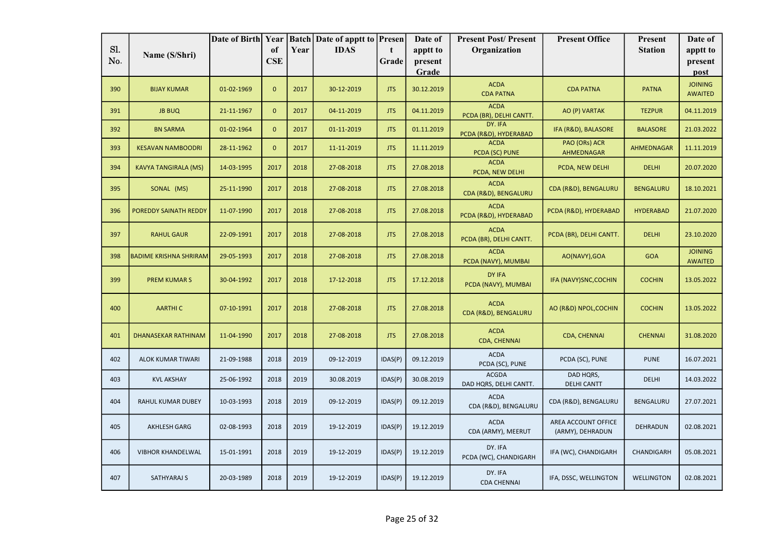|     |                               | Date of Birth Year |              |      | <b>Batch Date of apptt to Presen</b> |            | Date of          | <b>Present Post/Present</b>            | <b>Present Office</b>                   | Present           | Date of                          |
|-----|-------------------------------|--------------------|--------------|------|--------------------------------------|------------|------------------|----------------------------------------|-----------------------------------------|-------------------|----------------------------------|
| Sl. | Name (S/Shri)                 |                    | of           | Year | <b>IDAS</b>                          | t          | apptt to         | Organization                           |                                         | <b>Station</b>    | apptt to                         |
| No. |                               |                    | <b>CSE</b>   |      |                                      | Grade      | present<br>Grade |                                        |                                         |                   | present                          |
|     |                               |                    |              |      |                                      |            |                  |                                        |                                         |                   | post                             |
| 390 | <b>BIJAY KUMAR</b>            | 01-02-1969         | $\mathbf{0}$ | 2017 | 30-12-2019                           | <b>JTS</b> | 30.12.2019       | <b>ACDA</b><br><b>CDA PATNA</b>        | <b>CDA PATNA</b>                        | <b>PATNA</b>      | <b>JOINING</b><br><b>AWAITED</b> |
| 391 | <b>JB BUQ</b>                 | 21-11-1967         | $\mathbf{0}$ | 2017 | 04-11-2019                           | <b>JTS</b> | 04.11.2019       | <b>ACDA</b><br>PCDA (BR), DELHI CANTT. | AO (P) VARTAK                           | <b>TEZPUR</b>     | 04.11.2019                       |
| 392 | <b>BN SARMA</b>               | 01-02-1964         | $\mathbf{0}$ | 2017 | 01-11-2019                           | <b>JTS</b> | 01.11.2019       | DY. IFA<br>PCDA (R&D), HYDERABAD       | IFA (R&D), BALASORE                     | <b>BALASORE</b>   | 21.03.2022                       |
| 393 | <b>KESAVAN NAMBOODRI</b>      | 28-11-1962         | $\mathbf{0}$ | 2017 | 11-11-2019                           | <b>JTS</b> | 11.11.2019       | <b>ACDA</b><br>PCDA (SC) PUNE          | PAO (ORs) ACR<br>AHMEDNAGAR             | <b>AHMEDNAGAR</b> | 11.11.2019                       |
| 394 | <b>KAVYA TANGIRALA (MS)</b>   | 14-03-1995         | 2017         | 2018 | 27-08-2018                           | <b>JTS</b> | 27.08.2018       | <b>ACDA</b><br>PCDA, NEW DELHI         | PCDA, NEW DELHI                         | <b>DELHI</b>      | 20.07.2020                       |
| 395 | SONAL (MS)                    | 25-11-1990         | 2017         | 2018 | 27-08-2018                           | <b>JTS</b> | 27.08.2018       | <b>ACDA</b><br>CDA (R&D), BENGALURU    | CDA (R&D), BENGALURU                    | <b>BENGALURU</b>  | 18.10.2021                       |
| 396 | POREDDY SAINATH REDDY         | 11-07-1990         | 2017         | 2018 | 27-08-2018                           | <b>JTS</b> | 27.08.2018       | <b>ACDA</b><br>PCDA (R&D), HYDERABAD   | PCDA (R&D), HYDERABAD                   | <b>HYDERABAD</b>  | 21.07.2020                       |
| 397 | <b>RAHUL GAUR</b>             | 22-09-1991         | 2017         | 2018 | 27-08-2018                           | <b>JTS</b> | 27.08.2018       | <b>ACDA</b><br>PCDA (BR), DELHI CANTT. | PCDA (BR), DELHI CANTT.                 | <b>DELHI</b>      | 23.10.2020                       |
| 398 | <b>BADIME KRISHNA SHRIRAM</b> | 29-05-1993         | 2017         | 2018 | 27-08-2018                           | <b>JTS</b> | 27.08.2018       | <b>ACDA</b><br>PCDA (NAVY), MUMBAI     | AO(NAVY), GOA                           | <b>GOA</b>        | <b>JOINING</b><br><b>AWAITED</b> |
| 399 | <b>PREM KUMARS</b>            | 30-04-1992         | 2017         | 2018 | 17-12-2018                           | <b>JTS</b> | 17.12.2018       | DY IFA<br>PCDA (NAVY), MUMBAI          | IFA (NAVY) SNC, COCHIN                  | <b>COCHIN</b>     | 13.05.2022                       |
| 400 | <b>AARTHIC</b>                | 07-10-1991         | 2017         | 2018 | 27-08-2018                           | <b>JTS</b> | 27.08.2018       | <b>ACDA</b><br>CDA (R&D), BENGALURU    | AO (R&D) NPOL, COCHIN                   | <b>COCHIN</b>     | 13.05.2022                       |
| 401 | <b>DHANASEKAR RATHINAM</b>    | 11-04-1990         | 2017         | 2018 | 27-08-2018                           | <b>JTS</b> | 27.08.2018       | <b>ACDA</b><br><b>CDA, CHENNAI</b>     | CDA, CHENNAI                            | <b>CHENNAI</b>    | 31.08.2020                       |
| 402 | ALOK KUMAR TIWARI             | 21-09-1988         | 2018         | 2019 | 09-12-2019                           | IDAS(P)    | 09.12.2019       | <b>ACDA</b><br>PCDA (SC), PUNE         | PCDA (SC), PUNE                         | <b>PUNE</b>       | 16.07.2021                       |
| 403 | <b>KVL AKSHAY</b>             | 25-06-1992         | 2018         | 2019 | 30.08.2019                           | IDAS(P)    | 30.08.2019       | <b>ACGDA</b><br>DAD HQRS, DELHI CANTT. | DAD HQRS,<br><b>DELHI CANTT</b>         | DELHI             | 14.03.2022                       |
| 404 | RAHUL KUMAR DUBEY             | 10-03-1993         | 2018         | 2019 | 09-12-2019                           | IDAS(P)    | 09.12.2019       | <b>ACDA</b><br>CDA (R&D), BENGALURU    | CDA (R&D), BENGALURU                    | <b>BENGALURU</b>  | 27.07.2021                       |
| 405 | <b>AKHLESH GARG</b>           | 02-08-1993         | 2018         | 2019 | 19-12-2019                           | IDAS(P)    | 19.12.2019       | <b>ACDA</b><br>CDA (ARMY), MEERUT      | AREA ACCOUNT OFFICE<br>(ARMY), DEHRADUN | DEHRADUN          | 02.08.2021                       |
| 406 | <b>VIBHOR KHANDELWAL</b>      | 15-01-1991         | 2018         | 2019 | 19-12-2019                           | IDAS(P)    | 19.12.2019       | DY. IFA<br>PCDA (WC), CHANDIGARH       | IFA (WC), CHANDIGARH                    | CHANDIGARH        | 05.08.2021                       |
| 407 | SATHYARAJ S                   | 20-03-1989         | 2018         | 2019 | 19-12-2019                           | IDAS(P)    | 19.12.2019       | DY. IFA<br><b>CDA CHENNAI</b>          | IFA, DSSC, WELLINGTON                   | WELLINGTON        | 02.08.2021                       |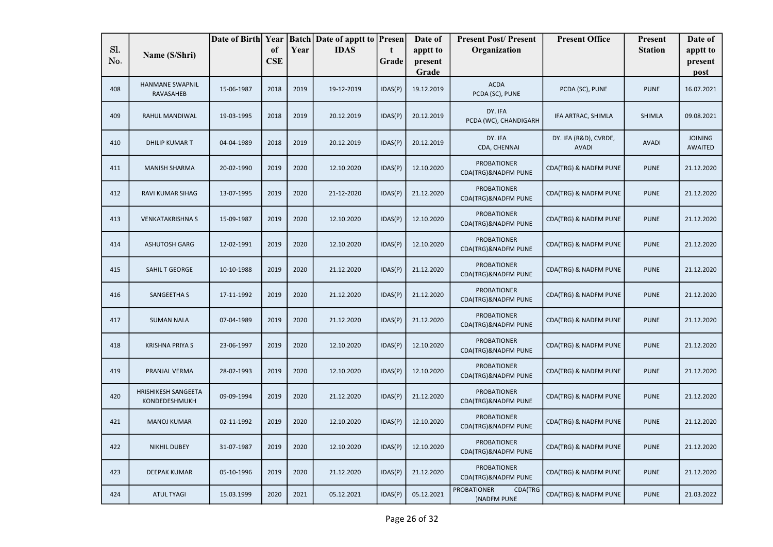|            |                                             |            |                  |      | Date of Birth Year   Batch   Date of apptt to   Presen |            | Date of             | <b>Present Post/Present</b>                        | <b>Present Office</b>                 | Present        | Date of                          |
|------------|---------------------------------------------|------------|------------------|------|--------------------------------------------------------|------------|---------------------|----------------------------------------------------|---------------------------------------|----------------|----------------------------------|
| Sl.<br>No. | Name (S/Shri)                               |            | of<br><b>CSE</b> | Year | <b>IDAS</b>                                            | t<br>Grade | apptt to<br>present | Organization                                       |                                       | <b>Station</b> | apptt to<br>present              |
|            |                                             |            |                  |      |                                                        |            | Grade               |                                                    |                                       |                | post                             |
| 408        | <b>HANMANE SWAPNIL</b><br>RAVASAHEB         | 15-06-1987 | 2018             | 2019 | 19-12-2019                                             | IDAS(P)    | 19.12.2019          | <b>ACDA</b><br>PCDA (SC), PUNE                     | PCDA (SC), PUNE                       | <b>PUNE</b>    | 16.07.2021                       |
| 409        | RAHUL MANDIWAL                              | 19-03-1995 | 2018             | 2019 | 20.12.2019                                             | IDAS(P)    | 20.12.2019          | DY. IFA<br>PCDA (WC), CHANDIGARH                   | IFA ARTRAC, SHIMLA                    | <b>SHIMLA</b>  | 09.08.2021                       |
| 410        | <b>DHILIP KUMART</b>                        | 04-04-1989 | 2018             | 2019 | 20.12.2019                                             | IDAS(P)    | 20.12.2019          | DY. IFA<br>CDA, CHENNAI                            | DY. IFA (R&D), CVRDE,<br><b>AVADI</b> | <b>AVADI</b>   | <b>JOINING</b><br><b>AWAITED</b> |
| 411        | <b>MANISH SHARMA</b>                        | 20-02-1990 | 2019             | 2020 | 12.10.2020                                             | IDAS(P)    | 12.10.2020          | <b>PROBATIONER</b><br>CDA(TRG)&NADFM PUNE          | CDA(TRG) & NADFM PUNE                 | <b>PUNE</b>    | 21.12.2020                       |
| 412        | RAVI KUMAR SIHAG                            | 13-07-1995 | 2019             | 2020 | 21-12-2020                                             | IDAS(P)    | 21.12.2020          | <b>PROBATIONER</b><br>CDA(TRG)&NADFM PUNE          | CDA(TRG) & NADFM PUNE                 | <b>PUNE</b>    | 21.12.2020                       |
| 413        | <b>VENKATAKRISHNA S</b>                     | 15-09-1987 | 2019             | 2020 | 12.10.2020                                             | IDAS(P)    | 12.10.2020          | <b>PROBATIONER</b><br>CDA(TRG)&NADFM PUNE          | CDA(TRG) & NADFM PUNE                 | <b>PUNE</b>    | 21.12.2020                       |
| 414        | <b>ASHUTOSH GARG</b>                        | 12-02-1991 | 2019             | 2020 | 12.10.2020                                             | IDAS(P)    | 12.10.2020          | <b>PROBATIONER</b><br>CDA(TRG)&NADFM PUNE          | CDA(TRG) & NADFM PUNE                 | <b>PUNE</b>    | 21.12.2020                       |
| 415        | SAHIL T GEORGE                              | 10-10-1988 | 2019             | 2020 | 21.12.2020                                             | IDAS(P)    | 21.12.2020          | <b>PROBATIONER</b><br>CDA(TRG)&NADFM PUNE          | CDA(TRG) & NADFM PUNE                 | <b>PUNE</b>    | 21.12.2020                       |
| 416        | <b>SANGEETHA S</b>                          | 17-11-1992 | 2019             | 2020 | 21.12.2020                                             | IDAS(P)    | 21.12.2020          | <b>PROBATIONER</b><br>CDA(TRG)&NADFM PUNE          | CDA(TRG) & NADFM PUNE                 | <b>PUNE</b>    | 21.12.2020                       |
| 417        | <b>SUMAN NALA</b>                           | 07-04-1989 | 2019             | 2020 | 21.12.2020                                             | IDAS(P)    | 21.12.2020          | <b>PROBATIONER</b><br>CDA(TRG)&NADFM PUNE          | CDA(TRG) & NADFM PUNE                 | <b>PUNE</b>    | 21.12.2020                       |
| 418        | <b>KRISHNA PRIYA S</b>                      | 23-06-1997 | 2019             | 2020 | 12.10.2020                                             | IDAS(P)    | 12.10.2020          | <b>PROBATIONER</b><br>CDA(TRG)&NADFM PUNE          | CDA(TRG) & NADFM PUNE                 | <b>PUNE</b>    | 21.12.2020                       |
| 419        | PRANJAL VERMA                               | 28-02-1993 | 2019             | 2020 | 12.10.2020                                             | IDAS(P)    | 12.10.2020          | <b>PROBATIONER</b><br>CDA(TRG)&NADFM PUNE          | CDA(TRG) & NADFM PUNE                 | <b>PUNE</b>    | 21.12.2020                       |
| 420        | <b>HRISHIKESH SANGEETA</b><br>KONDEDESHMUKH | 09-09-1994 | 2019             | 2020 | 21.12.2020                                             | IDAS(P)    | 21.12.2020          | <b>PROBATIONER</b><br>CDA(TRG)&NADFM PUNE          | CDA(TRG) & NADFM PUNE                 | <b>PUNE</b>    | 21.12.2020                       |
| 421        | <b>MANOJ KUMAR</b>                          | 02-11-1992 | 2019             | 2020 | 12.10.2020                                             | IDAS(P)    | 12.10.2020          | <b>PROBATIONER</b><br>CDA(TRG)&NADFM PUNE          | CDA(TRG) & NADFM PUNE                 | <b>PUNE</b>    | 21.12.2020                       |
| 422        | <b>NIKHIL DUBEY</b>                         | 31-07-1987 | 2019             | 2020 | 12.10.2020                                             | IDAS(P)    | 12.10.2020          | <b>PROBATIONER</b><br>CDA(TRG)&NADFM PUNE          | CDA(TRG) & NADFM PUNE                 | <b>PUNE</b>    | 21.12.2020                       |
| 423        | <b>DEEPAK KUMAR</b>                         | 05-10-1996 | 2019             | 2020 | 21.12.2020                                             | IDAS(P)    | 21.12.2020          | <b>PROBATIONER</b><br>CDA(TRG)&NADFM PUNE          | CDA(TRG) & NADFM PUNE                 | <b>PUNE</b>    | 21.12.2020                       |
| 424        | <b>ATUL TYAGI</b>                           | 15.03.1999 | 2020             | 2021 | 05.12.2021                                             | IDAS(P)    | 05.12.2021          | <b>PROBATIONER</b><br>CDA(TRG<br><b>NADFM PUNE</b> | CDA(TRG) & NADFM PUNE                 | <b>PUNE</b>    | 21.03.2022                       |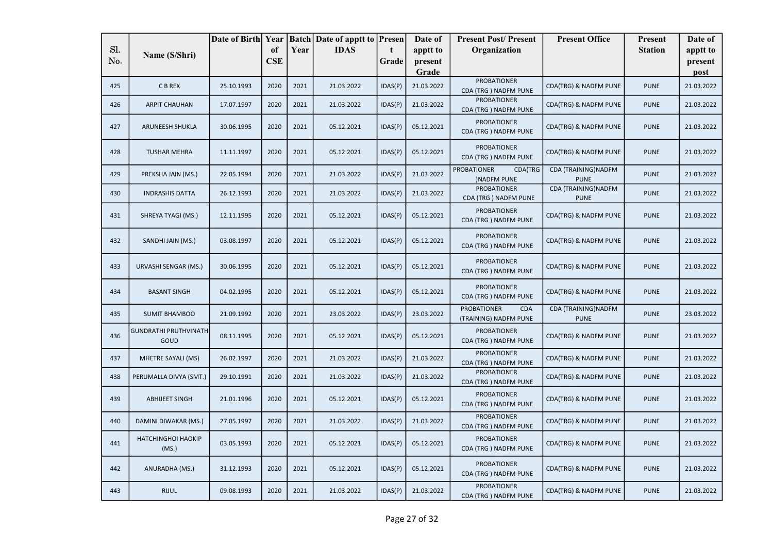|     |                                      | Date of Birth Year |            |      | <b>Batch</b> Date of apptt to | Presen      | Date of    | <b>Present Post/Present</b>                               | <b>Present Office</b>               | Present        | Date of    |
|-----|--------------------------------------|--------------------|------------|------|-------------------------------|-------------|------------|-----------------------------------------------------------|-------------------------------------|----------------|------------|
| Sl. | Name (S/Shri)                        |                    | of         | Year | <b>IDAS</b>                   | $\mathbf t$ | apptt to   | Organization                                              |                                     | <b>Station</b> | apptt to   |
| No. |                                      |                    | <b>CSE</b> |      |                               | Grade       | present    |                                                           |                                     |                | present    |
|     |                                      |                    |            |      |                               |             | Grade      | <b>PROBATIONER</b>                                        |                                     |                | post       |
| 425 | C B REX                              | 25.10.1993         | 2020       | 2021 | 21.03.2022                    | IDAS(P)     | 21.03.2022 | CDA (TRG) NADFM PUNE                                      | CDA(TRG) & NADFM PUNE               | <b>PUNE</b>    | 21.03.2022 |
| 426 | <b>ARPIT CHAUHAN</b>                 | 17.07.1997         | 2020       | 2021 | 21.03.2022                    | IDAS(P)     | 21.03.2022 | <b>PROBATIONER</b><br>CDA (TRG) NADFM PUNE                | CDA(TRG) & NADFM PUNE               | <b>PUNE</b>    | 21.03.2022 |
| 427 | ARUNEESH SHUKLA                      | 30.06.1995         | 2020       | 2021 | 05.12.2021                    | IDAS(P)     | 05.12.2021 | <b>PROBATIONER</b><br>CDA (TRG) NADFM PUNE                | CDA(TRG) & NADFM PUNE               | <b>PUNE</b>    | 21.03.2022 |
| 428 | <b>TUSHAR MEHRA</b>                  | 11.11.1997         | 2020       | 2021 | 05.12.2021                    | IDAS(P)     | 05.12.2021 | <b>PROBATIONER</b><br>CDA (TRG) NADFM PUNE                | CDA(TRG) & NADFM PUNE               | <b>PUNE</b>    | 21.03.2022 |
| 429 | PREKSHA JAIN (MS.)                   | 22.05.1994         | 2020       | 2021 | 21.03.2022                    | IDAS(P)     | 21.03.2022 | <b>PROBATIONER</b><br>CDA(TRG<br><b>)NADFM PUNE</b>       | CDA (TRAINING) NADFM<br><b>PUNE</b> | <b>PUNE</b>    | 21.03.2022 |
| 430 | <b>INDRASHIS DATTA</b>               | 26.12.1993         | 2020       | 2021 | 21.03.2022                    | IDAS(P)     | 21.03.2022 | <b>PROBATIONER</b><br>CDA (TRG) NADFM PUNE                | CDA (TRAINING) NADFM<br><b>PUNE</b> | <b>PUNE</b>    | 21.03.2022 |
| 431 | SHREYA TYAGI (MS.)                   | 12.11.1995         | 2020       | 2021 | 05.12.2021                    | IDAS(P)     | 05.12.2021 | <b>PROBATIONER</b><br>CDA (TRG) NADFM PUNE                | CDA(TRG) & NADFM PUNE               | <b>PUNE</b>    | 21.03.2022 |
| 432 | SANDHI JAIN (MS.)                    | 03.08.1997         | 2020       | 2021 | 05.12.2021                    | IDAS(P)     | 05.12.2021 | <b>PROBATIONER</b><br>CDA (TRG) NADFM PUNE                | CDA(TRG) & NADFM PUNE               | <b>PUNE</b>    | 21.03.2022 |
| 433 | URVASHI SENGAR (MS.)                 | 30.06.1995         | 2020       | 2021 | 05.12.2021                    | IDAS(P)     | 05.12.2021 | <b>PROBATIONER</b><br>CDA (TRG) NADFM PUNE                | CDA(TRG) & NADFM PUNE               | <b>PUNE</b>    | 21.03.2022 |
| 434 | <b>BASANT SINGH</b>                  | 04.02.1995         | 2020       | 2021 | 05.12.2021                    | IDAS(P)     | 05.12.2021 | <b>PROBATIONER</b><br>CDA (TRG) NADFM PUNE                | CDA(TRG) & NADFM PUNE               | <b>PUNE</b>    | 21.03.2022 |
| 435 | <b>SUMIT BHAMBOO</b>                 | 21.09.1992         | 2020       | 2021 | 23.03.2022                    | IDAS(P)     | 23.03.2022 | <b>PROBATIONER</b><br><b>CDA</b><br>(TRAINING) NADFM PUNE | CDA (TRAINING) NADFM<br><b>PUNE</b> | <b>PUNE</b>    | 23.03.2022 |
| 436 | <b>GUNDRATHI PRUTHVINATH</b><br>GOUD | 08.11.1995         | 2020       | 2021 | 05.12.2021                    | IDAS(P)     | 05.12.2021 | <b>PROBATIONER</b><br>CDA (TRG) NADFM PUNE                | CDA(TRG) & NADFM PUNE               | <b>PUNE</b>    | 21.03.2022 |
| 437 | MHETRE SAYALI (MS)                   | 26.02.1997         | 2020       | 2021 | 21.03.2022                    | IDAS(P)     | 21.03.2022 | <b>PROBATIONER</b><br>CDA (TRG) NADFM PUNE                | CDA(TRG) & NADFM PUNE               | <b>PUNE</b>    | 21.03.2022 |
| 438 | PERUMALLA DIVYA (SMT.)               | 29.10.1991         | 2020       | 2021 | 21.03.2022                    | IDAS(P)     | 21.03.2022 | <b>PROBATIONER</b><br>CDA (TRG) NADFM PUNE                | CDA(TRG) & NADFM PUNE               | <b>PUNE</b>    | 21.03.2022 |
| 439 | <b>ABHIJEET SINGH</b>                | 21.01.1996         | 2020       | 2021 | 05.12.2021                    | IDAS(P)     | 05.12.2021 | <b>PROBATIONER</b><br>CDA (TRG) NADFM PUNE                | CDA(TRG) & NADFM PUNE               | <b>PUNE</b>    | 21.03.2022 |
| 440 | DAMINI DIWAKAR (MS.)                 | 27.05.1997         | 2020       | 2021 | 21.03.2022                    | IDAS(P)     | 21.03.2022 | <b>PROBATIONER</b><br>CDA (TRG) NADFM PUNE                | CDA(TRG) & NADFM PUNE               | <b>PUNE</b>    | 21.03.2022 |
| 441 | <b>HATCHINGHOI HAOKIP</b><br>(MS.)   | 03.05.1993         | 2020       | 2021 | 05.12.2021                    | IDAS(P)     | 05.12.2021 | <b>PROBATIONER</b><br>CDA (TRG) NADFM PUNE                | CDA(TRG) & NADFM PUNE               | <b>PUNE</b>    | 21.03.2022 |
| 442 | ANURADHA (MS.)                       | 31.12.1993         | 2020       | 2021 | 05.12.2021                    | IDAS(P)     | 05.12.2021 | <b>PROBATIONER</b><br>CDA (TRG) NADFM PUNE                | CDA(TRG) & NADFM PUNE               | <b>PUNE</b>    | 21.03.2022 |
| 443 | <b>RIJUL</b>                         | 09.08.1993         | 2020       | 2021 | 21.03.2022                    | IDAS(P)     | 21.03.2022 | <b>PROBATIONER</b><br>CDA (TRG) NADFM PUNE                | CDA(TRG) & NADFM PUNE               | <b>PUNE</b>    | 21.03.2022 |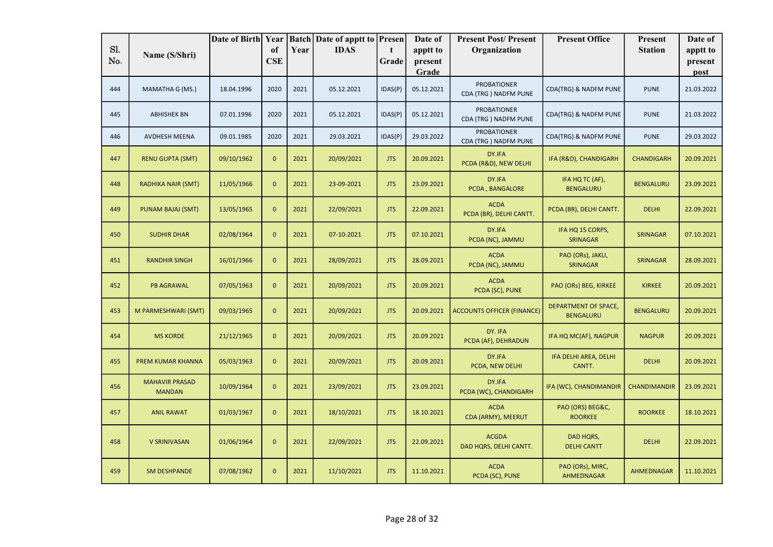|     |                                        | Date of Birth Year |              |      | <b>Batch</b> Date of apptt to <b>Presen</b> |            | Date of          | <b>Present Post/Present</b>                | <b>Present Office</b>                           | Present           | Date of         |
|-----|----------------------------------------|--------------------|--------------|------|---------------------------------------------|------------|------------------|--------------------------------------------|-------------------------------------------------|-------------------|-----------------|
| Sl. | Name (S/Shri)                          |                    | of           | Year | <b>IDAS</b>                                 | t          | apptt to         | Organization                               |                                                 | <b>Station</b>    | apptt to        |
| No. |                                        |                    | <b>CSE</b>   |      |                                             | Grade      | present<br>Grade |                                            |                                                 |                   | present<br>post |
| 444 | MAMATHA G (MS.)                        | 18.04.1996         | 2020         | 2021 | 05.12.2021                                  | IDAS(P)    | 05.12.2021       | <b>PROBATIONER</b><br>CDA (TRG) NADFM PUNE | CDA(TRG) & NADFM PUNE                           | <b>PUNE</b>       | 21.03.2022      |
| 445 | <b>ABHISHEK BN</b>                     | 07.01.1996         | 2020         | 2021 | 05.12.2021                                  | IDAS(P)    | 05.12.2021       | <b>PROBATIONER</b><br>CDA (TRG) NADFM PUNE | CDA(TRG) & NADFM PUNE                           | <b>PUNE</b>       | 21.03.2022      |
| 446 | AVDHESH MEENA                          | 09.01.1985         | 2020         | 2021 | 29.03.2021                                  | IDAS(P)    | 29.03.2022       | <b>PROBATIONER</b><br>CDA (TRG) NADFM PUNE | CDA(TRG) & NADFM PUNE                           | <b>PUNE</b>       | 29.03.2022      |
| 447 | <b>RENU GUPTA (SMT)</b>                | 09/10/1962         | $\mathbf{0}$ | 2021 | 20/09/2021                                  | <b>JTS</b> | 20.09.2021       | DY.IFA<br>PCDA (R&D), NEW DELHI            | IFA (R&D), CHANDIGARH                           | <b>CHANDIGARH</b> | 20.09.2021      |
| 448 | <b>RADHIKA NAIR (SMT)</b>              | 11/05/1966         | $\mathbf{0}$ | 2021 | 23-09-2021                                  | <b>JTS</b> | 23.09.2021       | DY.IFA<br>PCDA, BANGALORE                  | IFA HQ TC (AF),<br><b>BENGALURU</b>             | <b>BENGALURU</b>  | 23.09.2021      |
| 449 | PUNAM BAJAJ (SMT)                      | 13/05/1965         | $\mathbf{0}$ | 2021 | 22/09/2021                                  | <b>JTS</b> | 22.09.2021       | <b>ACDA</b><br>PCDA (BR), DELHI CANTT.     | PCDA (BR), DELHI CANTT.                         | <b>DELHI</b>      | 22.09.2021      |
| 450 | <b>SUDHIR DHAR</b>                     | 02/08/1964         | $\mathbf{0}$ | 2021 | 07-10-2021                                  | <b>JTS</b> | 07.10.2021       | DY.IFA<br>PCDA (NC), JAMMU                 | IFA HQ 15 CORPS,<br><b>SRINAGAR</b>             | <b>SRINAGAR</b>   | 07.10.2021      |
| 451 | <b>RANDHIR SINGH</b>                   | 16/01/1966         | $\mathbf{0}$ | 2021 | 28/09/2021                                  | <b>JTS</b> | 28.09.2021       | <b>ACDA</b><br>PCDA (NC), JAMMU            | PAO (ORs), JAKLI,<br><b>SRINAGAR</b>            | <b>SRINAGAR</b>   | 28.09.2021      |
| 452 | <b>PB AGRAWAL</b>                      | 07/05/1963         | $\mathbf{0}$ | 2021 | 20/09/2021                                  | <b>JTS</b> | 20.09.2021       | <b>ACDA</b><br>PCDA (SC), PUNE             | PAO (ORs) BEG, KIRKEE                           | <b>KIRKEE</b>     | 20.09.2021      |
| 453 | M PARMESHWARI (SMT)                    | 09/03/1965         | $\mathbf{0}$ | 2021 | 20/09/2021                                  | <b>JTS</b> | 20.09.2021       | <b>ACCOUNTS OFFICER (FINANCE)</b>          | <b>DEPARTMENT OF SPACE,</b><br><b>BENGALURU</b> | <b>BENGALURU</b>  | 20.09.2021      |
| 454 | <b>MS KORDE</b>                        | 21/12/1965         | $\mathbf{0}$ | 2021 | 20/09/2021                                  | <b>JTS</b> | 20.09.2021       | DY. IFA<br>PCDA (AF), DEHRADUN             | IFA HQ MC(AF), NAGPUR                           | <b>NAGPUR</b>     | 20.09.2021      |
| 455 | <b>PREM KUMAR KHANNA</b>               | 05/03/1963         | $\mathbf{0}$ | 2021 | 20/09/2021                                  | <b>JTS</b> | 20.09.2021       | DY.IFA<br>PCDA, NEW DELHI                  | IFA DELHI AREA, DELHI<br>CANTT.                 | <b>DELHI</b>      | 20.09.2021      |
| 456 | <b>MAHAVIR PRASAD</b><br><b>MANDAN</b> | 10/09/1964         | $\mathbf{0}$ | 2021 | 23/09/2021                                  | <b>JTS</b> | 23.09.2021       | DY.IFA<br>PCDA (WC), CHANDIGARH            | IFA (WC), CHANDIMANDIR                          | CHANDIMANDIR      | 23.09.2021      |
| 457 | <b>ANIL RAWAT</b>                      | 01/03/1967         | $\mathbf{0}$ | 2021 | 18/10/2021                                  | <b>JTS</b> | 18.10.2021       | <b>ACDA</b><br>CDA (ARMY), MEERUT          | PAO (ORS) BEG&C,<br><b>ROORKEE</b>              | <b>ROORKEE</b>    | 18.10.2021      |
| 458 | <b>V SRINIVASAN</b>                    | 01/06/1964         | $\mathbf{0}$ | 2021 | 22/09/2021                                  | <b>JTS</b> | 22.09.2021       | <b>ACGDA</b><br>DAD HQRS, DELHI CANTT.     | DAD HQRS,<br><b>DELHI CANTT</b>                 | <b>DELHI</b>      | 22.09.2021      |
| 459 | <b>SM DESHPANDE</b>                    | 07/08/1962         | $\mathbf{0}$ | 2021 | 11/10/2021                                  | <b>JTS</b> | 11.10.2021       | <b>ACDA</b><br>PCDA (SC), PUNE             | PAO (ORs), MIRC,<br>AHMEDNAGAR                  | AHMEDNAGAR        | 11.10.2021      |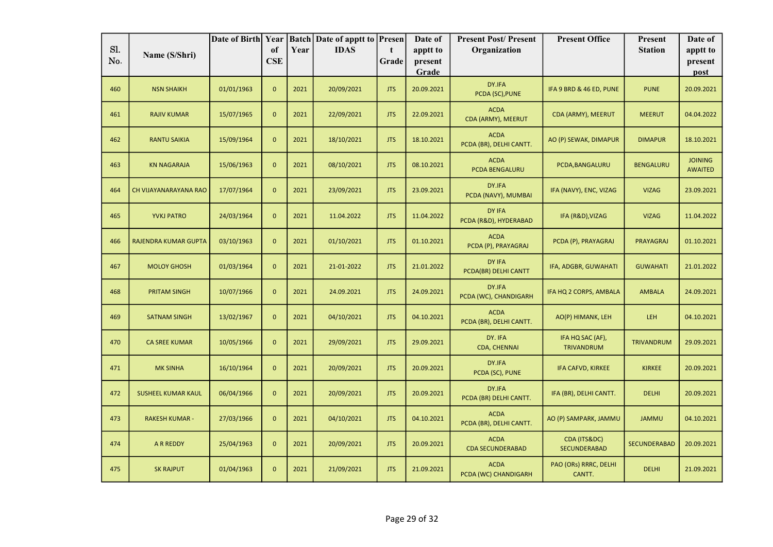| Sl. |                             | Date of Birth Year |                             |      | <b>Batch Date of apptt to Presen</b> |            | Date of             | <b>Present Post/Present</b>            | <b>Present Office</b>                 | Present          | Date of                          |
|-----|-----------------------------|--------------------|-----------------------------|------|--------------------------------------|------------|---------------------|----------------------------------------|---------------------------------------|------------------|----------------------------------|
| No. | Name (S/Shri)               |                    | <sub>of</sub><br><b>CSE</b> | Year | <b>IDAS</b>                          | t<br>Grade | apptt to<br>present | Organization                           |                                       | <b>Station</b>   | apptt to<br>present              |
|     |                             |                    |                             |      |                                      |            | Grade               |                                        |                                       |                  | post                             |
| 460 | <b>NSN SHAIKH</b>           | 01/01/1963         | $\mathbf{0}$                | 2021 | 20/09/2021                           | <b>JTS</b> | 20.09.2021          | DY.IFA<br>PCDA (SC), PUNE              | IFA 9 BRD & 46 ED, PUNE               | <b>PUNE</b>      | 20.09.2021                       |
| 461 | <b>RAJIV KUMAR</b>          | 15/07/1965         | $\mathbf{0}$                | 2021 | 22/09/2021                           | <b>JTS</b> | 22.09.2021          | <b>ACDA</b><br>CDA (ARMY), MEERUT      | CDA (ARMY), MEERUT                    | <b>MEERUT</b>    | 04.04.2022                       |
| 462 | RANTU SAIKIA                | 15/09/1964         | $\mathbf{0}$                | 2021 | 18/10/2021                           | <b>JTS</b> | 18.10.2021          | <b>ACDA</b><br>PCDA (BR), DELHI CANTT. | AO (P) SEWAK, DIMAPUR                 | <b>DIMAPUR</b>   | 18.10.2021                       |
| 463 | <b>KN NAGARAJA</b>          | 15/06/1963         | $\mathbf{0}$                | 2021 | 08/10/2021                           | <b>JTS</b> | 08.10.2021          | <b>ACDA</b><br>PCDA BENGALURU          | PCDA, BANGALURU                       | <b>BENGALURU</b> | <b>JOINING</b><br><b>AWAITED</b> |
| 464 | CH VIJAYANARAYANA RAO       | 17/07/1964         | $\mathbf{0}$                | 2021 | 23/09/2021                           | <b>JTS</b> | 23.09.2021          | DY.IFA<br>PCDA (NAVY), MUMBAI          | IFA (NAVY), ENC, VIZAG                | <b>VIZAG</b>     | 23.09.2021                       |
| 465 | <b>YVKJ PATRO</b>           | 24/03/1964         | $\mathbf{0}$                | 2021 | 11.04.2022                           | <b>JTS</b> | 11.04.2022          | DY IFA<br>PCDA (R&D), HYDERABAD        | IFA (R&D), VIZAG                      | <b>VIZAG</b>     | 11.04.2022                       |
| 466 | <b>RAJENDRA KUMAR GUPTA</b> | 03/10/1963         | $\mathbf{0}$                | 2021 | 01/10/2021                           | <b>JTS</b> | 01.10.2021          | <b>ACDA</b><br>PCDA (P), PRAYAGRAJ     | PCDA (P), PRAYAGRAJ                   | PRAYAGRAJ        | 01.10.2021                       |
| 467 | <b>MOLOY GHOSH</b>          | 01/03/1964         | $\mathbf{0}$                | 2021 | 21-01-2022                           | <b>JTS</b> | 21.01.2022          | DY IFA<br>PCDA(BR) DELHI CANTT         | IFA, ADGBR, GUWAHATI                  | <b>GUWAHATI</b>  | 21.01.2022                       |
| 468 | <b>PRITAM SINGH</b>         | 10/07/1966         | $\mathbf{0}$                | 2021 | 24.09.2021                           | <b>JTS</b> | 24.09.2021          | DY.IFA<br>PCDA (WC), CHANDIGARH        | IFA HQ 2 CORPS, AMBALA                | <b>AMBALA</b>    | 24.09.2021                       |
| 469 | <b>SATNAM SINGH</b>         | 13/02/1967         | $\mathbf 0$                 | 2021 | 04/10/2021                           | <b>JTS</b> | 04.10.2021          | <b>ACDA</b><br>PCDA (BR), DELHI CANTT. | AO(P) HIMANK, LEH                     | LEH              | 04.10.2021                       |
| 470 | <b>CA SREE KUMAR</b>        | 10/05/1966         | $\mathbf{0}$                | 2021 | 29/09/2021                           | <b>JTS</b> | 29.09.2021          | DY. IFA<br>CDA, CHENNAI                | IFA HQ SAC (AF),<br><b>TRIVANDRUM</b> | TRIVANDRUM       | 29.09.2021                       |
| 471 | <b>MK SINHA</b>             | 16/10/1964         | $\mathbf{0}$                | 2021 | 20/09/2021                           | <b>JTS</b> | 20.09.2021          | DY.IFA<br>PCDA (SC), PUNE              | IFA CAFVD, KIRKEE                     | <b>KIRKEE</b>    | 20.09.2021                       |
| 472 | <b>SUSHEEL KUMAR KAUL</b>   | 06/04/1966         | $\mathbf{0}$                | 2021 | 20/09/2021                           | <b>JTS</b> | 20.09.2021          | DY.IFA<br>PCDA (BR) DELHI CANTT.       | IFA (BR), DELHI CANTT.                | <b>DELHI</b>     | 20.09.2021                       |
| 473 | <b>RAKESH KUMAR -</b>       | 27/03/1966         | $\mathbf{0}$                | 2021 | 04/10/2021                           | <b>JTS</b> | 04.10.2021          | <b>ACDA</b><br>PCDA (BR), DELHI CANTT. | AO (P) SAMPARK, JAMMU                 | <b>JAMMU</b>     | 04.10.2021                       |
| 474 | <b>A R REDDY</b>            | 25/04/1963         | $\mathbf{0}$                | 2021 | 20/09/2021                           | <b>JTS</b> | 20.09.2021          | <b>ACDA</b><br><b>CDA SECUNDERABAD</b> | CDA (ITS&DC)<br><b>SECUNDERABAD</b>   | SECUNDERABAD     | 20.09.2021                       |
| 475 | <b>SK RAJPUT</b>            | 01/04/1963         | $\mathbf{0}$                | 2021 | 21/09/2021                           | <b>JTS</b> | 21.09.2021          | <b>ACDA</b><br>PCDA (WC) CHANDIGARH    | PAO (ORs) RRRC, DELHI<br>CANTT.       | <b>DELHI</b>     | 21.09.2021                       |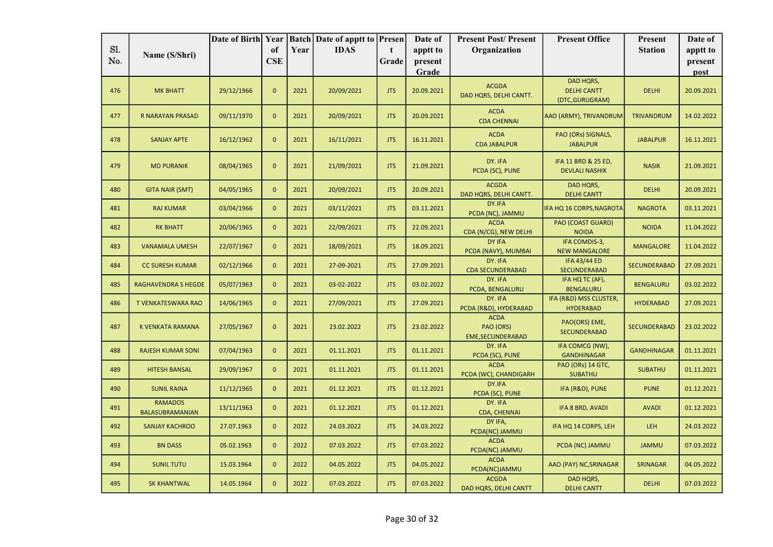|            |                                   | Date of Birth Year |                  |      | <b>Batch Date of apptt to Presen</b> |            | Date of          | <b>Present Post/Present</b>                          | <b>Present Office</b>                              | Present             | Date of         |
|------------|-----------------------------------|--------------------|------------------|------|--------------------------------------|------------|------------------|------------------------------------------------------|----------------------------------------------------|---------------------|-----------------|
| Sl.<br>No. | Name (S/Shri)                     |                    | of<br><b>CSE</b> | Year | <b>IDAS</b>                          | t          | apptt to         | Organization                                         |                                                    | <b>Station</b>      | apptt to        |
|            |                                   |                    |                  |      |                                      | Grade      | present<br>Grade |                                                      |                                                    |                     | present<br>post |
| 476        | <b>MK BHATT</b>                   | 29/12/1966         | $\mathbf{0}$     | 2021 | 20/09/2021                           | <b>JTS</b> | 20.09.2021       | <b>ACGDA</b><br>DAD HQRS, DELHI CANTT.               | DAD HQRS,<br><b>DELHI CANTT</b><br>(DTC, GURUGRAM) | <b>DELHI</b>        | 20.09.2021      |
| 477        | R NARAYAN PRASAD                  | 09/11/1970         | $\mathbf 0$      | 2021 | 20/09/2021                           | <b>JTS</b> | 20.09.2021       | <b>ACDA</b><br><b>CDA CHENNAI</b>                    | AAO (ARMY), TRIVANDRUM                             | TRIVANDRUM          | 14.02.2022      |
| 478        | <b>SANJAY APTE</b>                | 16/12/1962         | $\mathbf 0$      | 2021 | 16/11/2021                           | <b>JTS</b> | 16.11.2021       | <b>ACDA</b><br><b>CDA JABALPUR</b>                   | PAO (ORs) SIGNALS,<br><b>JABALPUR</b>              | <b>JABALPUR</b>     | 16.11.2021      |
| 479        | <b>MD PURANIK</b>                 | 08/04/1965         | $\mathbf{0}$     | 2021 | 21/09/2021                           | <b>JTS</b> | 21.09.2021       | DY. IFA<br>PCDA (SC), PUNE                           | IFA 11 BRD & 25 ED,<br><b>DEVLALI NASHIK</b>       | <b>NASIK</b>        | 21.09.2021      |
| 480        | <b>GITA NAIR (SMT)</b>            | 04/05/1965         | $\mathbf{0}$     | 2021 | 20/09/2021                           | <b>JTS</b> | 20.09.2021       | <b>ACGDA</b><br>DAD HQRS, DELHI CANTT.               | <b>DAD HQRS,</b><br><b>DELHI CANTT</b>             | <b>DELHI</b>        | 20.09.2021      |
| 481        | <b>RAJ KUMAR</b>                  | 03/04/1966         | $\mathbf{0}$     | 2021 | 03/11/2021                           | <b>JTS</b> | 03.11.2021       | DY.IFA<br>PCDA (NC), JAMMU                           | IFA HQ 16 CORPS, NAGROTA                           | <b>NAGROTA</b>      | 03.11.2021      |
| 482        | <b>RK BHATT</b>                   | 20/06/1965         | $\mathbf{0}$     | 2021 | 22/09/2021                           | <b>JTS</b> | 22.09.2021       | <b>ACDA</b><br>CDA (N/CG), NEW DELHI                 | PAO (COAST GUARD)<br><b>NOIDA</b>                  | <b>NOIDA</b>        | 11.04.2022      |
| 483        | <b>VANAMALA UMESH</b>             | 22/07/1967         | $\mathbf{0}$     | 2021 | 18/09/2021                           | <b>JTS</b> | 18.09.2021       | DY IFA<br>PCDA (NAVY), MUMBAI                        | IFA COMDIS-3,<br><b>NEW MANGALORE</b>              | <b>MANGALORE</b>    | 11.04.2022      |
| 484        | <b>CC SURESH KUMAR</b>            | 02/12/1966         | $\mathbf{0}$     | 2021 | 27-09-2021                           | JTS        | 27.09.2021       | DY. IFA<br><b>CDA SECUNDERABAD</b>                   | <b>IFA 43/44 ED</b><br>SECUNDERABAD                | <b>SECUNDERABAD</b> | 27.09.2021      |
| 485        | <b>RAGHAVENDRA S HEGDE</b>        | 05/07/1963         | $\mathbf{0}$     | 2021 | 03-02-2022                           | <b>JTS</b> | 03.02.2022       | DY. IFA<br>PCDA, BENGALURU                           | IFA HQ TC (AF),<br><b>BENGALURU</b>                | <b>BENGALURU</b>    | 03.02.2022      |
| 486        | T VENKATESWARA RAO                | 14/06/1965         | $\mathbf{0}$     | 2021 | 27/09/2021                           | <b>JTS</b> | 27.09.2021       | DY. IFA<br>PCDA (R&D), HYDERABAD                     | IFA (R&D) MSS CLUSTER,<br><b>HYDERABAD</b>         | <b>HYDERABAD</b>    | 27.09.2021      |
| 487        | K VENKATA RAMANA                  | 27/05/1967         | $\mathbf 0$      | 2021 | 23.02.2022                           | JTS        | 23.02.2022       | <b>ACDA</b><br>PAO (ORS)<br><b>EME, SECUNDERABAD</b> | PAO(ORS) EME,<br><b>SECUNDERABAD</b>               | SECUNDERABAD        | 23.02.2022      |
| 488        | <b>RAJESH KUMAR SONI</b>          | 07/04/1963         | $\mathbf{0}$     | 2021 | 01.11.2021                           | <b>JTS</b> | 01.11.2021       | DY. IFA<br>PCDA (SC), PUNE                           | IFA COMCG (NW),<br><b>GANDHINAGAR</b>              | <b>GANDHINAGAR</b>  | 01.11.2021      |
| 489        | <b>HITESH BANSAL</b>              | 29/09/1967         | $\mathbf{0}$     | 2021 | 01.11.2021                           | <b>JTS</b> | 01.11.2021       | <b>ACDA</b><br>PCDA (WC), CHANDIGARH                 | PAO (ORs) 14 GTC,<br><b>SUBATHU</b>                | <b>SUBATHU</b>      | 01.11.2021      |
| 490        | <b>SUNIL RAINA</b>                | 11/12/1965         | $\mathbf{0}$     | 2021 | 01.12.2021                           | <b>JTS</b> | 01.12.2021       | DY.IFA<br>PCDA (SC), PUNE                            | IFA (R&D), PUNE                                    | <b>PUNE</b>         | 01.12.2021      |
| 491        | <b>RAMADOS</b><br>BALASUBRAMANIAN | 13/11/1963         | $\mathbf{0}$     | 2021 | 01.12.2021                           | JTS        | 01.12.2021       | DY. IFA<br><b>CDA, CHENNAI</b>                       | IFA 8 BRD, AVADI                                   | <b>AVADI</b>        | 01.12.2021      |
| 492        | <b>SANJAY KACHROO</b>             | 27.07.1963         | $\mathbf{0}$     | 2022 | 24.03.2022                           | <b>JTS</b> | 24.03.2022       | DY IFA,<br>PCDA(NC) JAMMU                            | IFA HQ 14 CORPS, LEH                               | LEH                 | 24.03.2022      |
| 493        | <b>BN DASS</b>                    | 05.02.1963         | $\mathbf{0}$     | 2022 | 07.03.2022                           | <b>JTS</b> | 07.03.2022       | <b>ACDA</b><br>PCDA(NC) JAMMU                        | PCDA (NC) JAMMU                                    | <b>JAMMU</b>        | 07.03.2022      |
| 494        | <b>SUNIL TUTU</b>                 | 15.03.1964         | $\mathbf{0}$     | 2022 | 04.05.2022                           | <b>JTS</b> | 04.05.2022       | <b>ACDA</b><br>PCDA(NC)JAMMU                         | AAO (PAY) NC, SRINAGAR                             | <b>SRINAGAR</b>     | 04.05.2022      |
| 495        | <b>SK KHANTWAL</b>                | 14.05.1964         | $\mathbf{0}$     | 2022 | 07.03.2022                           | <b>JTS</b> | 07.03.2022       | <b>ACGDA</b><br>DAD HQRS, DELHI CANTT                | DAD HQRS,<br><b>DELHI CANTT</b>                    | <b>DELHI</b>        | 07.03.2022      |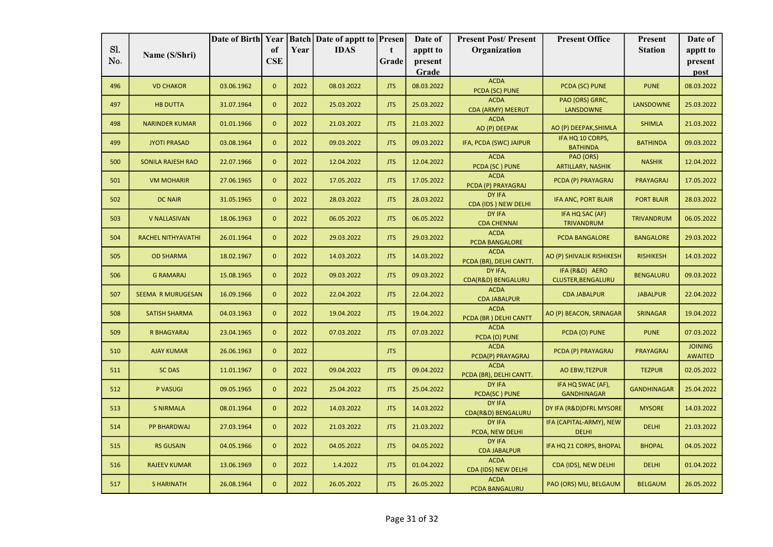|     |                           | Date of Birth Year |                |      | <b>Batch</b> Date of apptt to <b>Presen</b> |            | Date of          | <b>Present Post/Present</b>             | <b>Present Office</b>                   | Present            | Date of                          |
|-----|---------------------------|--------------------|----------------|------|---------------------------------------------|------------|------------------|-----------------------------------------|-----------------------------------------|--------------------|----------------------------------|
| Sl. | Name (S/Shri)             |                    | of             | Year | <b>IDAS</b>                                 | t.         | apptt to         | Organization                            |                                         | <b>Station</b>     | apptt to                         |
| No. |                           |                    | <b>CSE</b>     |      |                                             | Grade      | present<br>Grade |                                         |                                         |                    | present<br>post                  |
| 496 | <b>VD CHAKOR</b>          | 03.06.1962         | $\mathbf{0}$   | 2022 | 08.03.2022                                  | <b>JTS</b> | 08.03.2022       | <b>ACDA</b>                             | PCDA (SC) PUNE                          | <b>PUNE</b>        | 08.03.2022                       |
|     |                           |                    |                |      |                                             |            |                  | PCDA (SC) PUNE                          |                                         |                    |                                  |
| 497 | <b>HB DUTTA</b>           | 31.07.1964         | $\mathbf{0}$   | 2022 | 25.03.2022                                  | <b>JTS</b> | 25.03.2022       | <b>ACDA</b><br><b>CDA (ARMY) MEERUT</b> | PAO (ORS) GRRC,<br><b>LANSDOWNE</b>     | <b>LANSDOWNE</b>   | 25.03.2022                       |
| 498 | <b>NARINDER KUMAR</b>     | 01.01.1966         | $\mathbf{0}$   | 2022 | 21.03.2022                                  | <b>JTS</b> | 21.03.2022       | <b>ACDA</b><br>AO (P) DEEPAK            | AO (P) DEEPAK, SHIMLA                   | <b>SHIMLA</b>      | 21.03.2022                       |
| 499 | <b>JYOTI PRASAD</b>       | 03.08.1964         | $\mathbf{0}$   | 2022 | 09.03.2022                                  | JTS        | 09.03.2022       | IFA, PCDA (SWC) JAIPUR                  | IFA HQ 10 CORPS,<br><b>BATHINDA</b>     | <b>BATHINDA</b>    | 09.03.2022                       |
| 500 | <b>SONILA RAJESH RAO</b>  | 22.07.1966         | $\mathbf{0}$   | 2022 | 12.04.2022                                  | <b>JTS</b> | 12.04.2022       | <b>ACDA</b><br>PCDA (SC) PUNE           | PAO (ORS)<br><b>ARTILLARY, NASHIK</b>   | <b>NASHIK</b>      | 12.04.2022                       |
| 501 | <b>VM MOHARIR</b>         | 27.06.1965         | $\mathbf{0}$   | 2022 | 17.05.2022                                  | JTS        | 17.05.2022       | <b>ACDA</b><br>PCDA (P) PRAYAGRAJ       | PCDA (P) PRAYAGRAJ                      | <b>PRAYAGRAJ</b>   | 17.05.2022                       |
| 502 | <b>DC NAIR</b>            | 31.05.1965         | $\mathbf{0}$   | 2022 | 28.03.2022                                  | JTS        | 28.03.2022       | DY IFA<br>CDA (IDS) NEW DELHI           | IFA ANC, PORT BLAIR                     | <b>PORT BLAIR</b>  | 28.03.2022                       |
| 503 | <b>V NALLASIVAN</b>       | 18.06.1963         | $\mathbf{0}$   | 2022 | 06.05.2022                                  | <b>JTS</b> | 06.05.2022       | DY IFA<br><b>CDA CHENNAI</b>            | IFA HQ SAC (AF)<br>TRIVANDRUM           | <b>TRIVANDRUM</b>  | 06.05.2022                       |
| 504 | <b>RACHEL NITHYAVATHI</b> | 26.01.1964         | $\mathbf{0}$   | 2022 | 29.03.2022                                  | <b>JTS</b> | 29.03.2022       | <b>ACDA</b><br>PCDA BANGALORE           | PCDA BANGALORE                          | <b>BANGALORE</b>   | 29.03.2022                       |
| 505 | <b>OD SHARMA</b>          | 18.02.1967         | $\mathbf{0}$   | 2022 | 14.03.2022                                  | <b>JTS</b> | 14.03.2022       | <b>ACDA</b><br>PCDA (BR), DELHI CANTT.  | AO (P) SHIVALIK RISHIKESH               | <b>RISHIKESH</b>   | 14.03.2022                       |
| 506 | <b>G RAMARAJ</b>          | 15.08.1965         | $\overline{0}$ | 2022 | 09.03.2022                                  | JTS        | 09.03.2022       | DY IFA.<br>CDA(R&D) BENGALURU           | IFA (R&D) AERO<br>CLUSTER, BENGALURU    | <b>BENGALURU</b>   | 09.03.2022                       |
| 507 | <b>SEEMA R MURUGESAN</b>  | 16.09.1966         | $\mathbf{0}$   | 2022 | 22.04.2022                                  | <b>JTS</b> | 22.04.2022       | <b>ACDA</b><br><b>CDA JABALPUR</b>      | <b>CDA JABALPUR</b>                     | <b>JABALPUR</b>    | 22.04.2022                       |
| 508 | <b>SATISH SHARMA</b>      | 04.03.1963         | $\mathbf{0}$   | 2022 | 19.04.2022                                  | <b>JTS</b> | 19.04.2022       | <b>ACDA</b><br>PCDA (BR) DELHI CANTT    | AO (P) BEACON, SRINAGAR                 | <b>SRINAGAR</b>    | 19.04.2022                       |
| 509 | R BHAGYARAJ               | 23.04.1965         | $\mathbf{0}$   | 2022 | 07.03.2022                                  | <b>JTS</b> | 07.03.2022       | <b>ACDA</b><br>PCDA (O) PUNE            | PCDA (O) PUNE                           | <b>PUNE</b>        | 07.03.2022                       |
| 510 | <b>AJAY KUMAR</b>         | 26.06.1963         | $\mathbf 0$    | 2022 |                                             | <b>JTS</b> |                  | <b>ACDA</b><br>PCDA(P) PRAYAGRAJ        | PCDA (P) PRAYAGRAJ                      | <b>PRAYAGRAJ</b>   | <b>JOINING</b><br><b>AWAITED</b> |
| 511 | <b>SC DAS</b>             | 11.01.1967         | $\mathbf{0}$   | 2022 | 09.04.2022                                  | <b>JTS</b> | 09.04.2022       | <b>ACDA</b><br>PCDA (BR), DELHI CANTT.  | <b>AO EBW, TEZPUR</b>                   | <b>TEZPUR</b>      | 02.05.2022                       |
| 512 | P VASUGI                  | 09.05.1965         | $\mathbf{0}$   | 2022 | 25.04.2022                                  | <b>JTS</b> | 25.04.2022       | DY IFA<br>PCDA(SC) PUNE                 | IFA HQ SWAC (AF),<br><b>GANDHINAGAR</b> | <b>GANDHINAGAR</b> | 25.04.2022                       |
| 513 | <b>S NIRMALA</b>          | 08.01.1964         | $\mathbf{0}$   | 2022 | 14.03.2022                                  | <b>JTS</b> | 14.03.2022       | DY IFA<br>CDA(R&D) BENGALURU            | DY IFA (R&D) DFRL MYSORE                | <b>MYSORE</b>      | 14.03.2022                       |
| 514 | <b>PP BHARDWAJ</b>        | 27.03.1964         | $\mathbf{0}$   | 2022 | 21.03.2022                                  | JTS        | 21.03.2022       | DY IFA<br>PCDA, NEW DELHI               | IFA (CAPITAL-ARMY), NEW<br><b>DELHI</b> | <b>DELHI</b>       | 21.03.2022                       |
| 515 | <b>RS GUSAIN</b>          | 04.05.1966         | $\mathbf{0}$   | 2022 | 04.05.2022                                  | <b>JTS</b> | 04.05.2022       | DY IFA<br><b>CDA JABALPUR</b>           | IFA HQ 21 CORPS, BHOPAL                 | <b>BHOPAL</b>      | 04.05.2022                       |
| 516 | <b>RAJEEV KUMAR</b>       | 13.06.1969         | $\mathbf{0}$   | 2022 | 1.4.2022                                    | JTS        | 01.04.2022       | <b>ACDA</b><br>CDA (IDS) NEW DELHI      | CDA (IDS), NEW DELHI                    | <b>DELHI</b>       | 01.04.2022                       |
| 517 | <b>SHARINATH</b>          | 26.08.1964         | $\mathbf{0}$   | 2022 | 26.05.2022                                  | <b>JTS</b> | 26.05.2022       | <b>ACDA</b><br>PCDA BANGALURU           | PAO (ORS) MLI, BELGAUM                  | <b>BELGAUM</b>     | 26.05.2022                       |